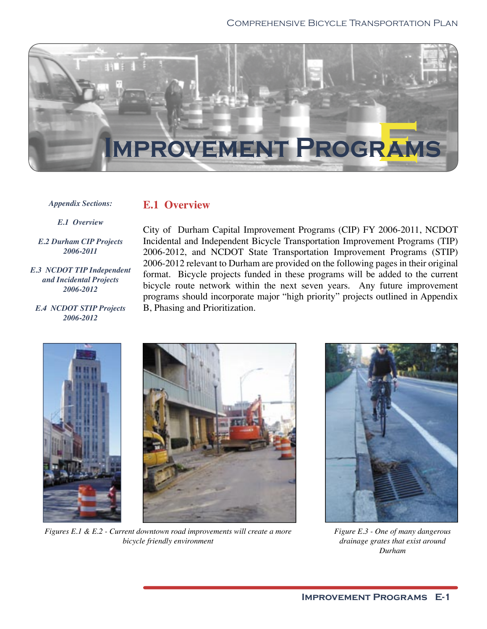

*Appendix Sections:*

### **E.1 Overview**

*E.1 Overview*

*E.2 Durham CIP Projects 2006-2011*

*E.3 NCDOT TIP Independent and Incidental Projects 2006-2012*

*E.4 NCDOT STIP Projects 2006-2012*

City of Durham Capital Improvement Programs (CIP) FY 2006-2011, NCDOT Incidental and Independent Bicycle Transportation Improvement Programs (TIP) 2006-2012, and NCDOT State Transportation Improvement Programs (STIP) 2006-2012 relevant to Durham are provided on the following pages in their original format. Bicycle projects funded in these programs will be added to the current bicycle route network within the next seven years. Any future improvement programs should incorporate major "high priority" projects outlined in Appendix B, Phasing and Prioritization.





*Figures E.1 & E.2 - Current downtown road improvements will create a more bicycle friendly environment*



*Figure E.3 - One of many dangerous drainage grates that exist around Durham*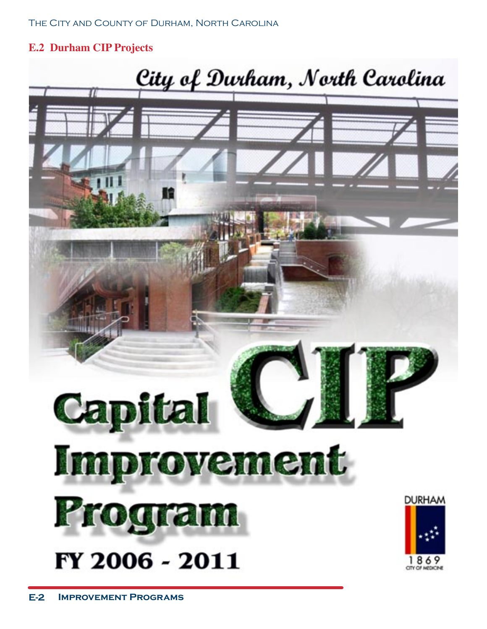### **E.2 Durham CIP Projects**

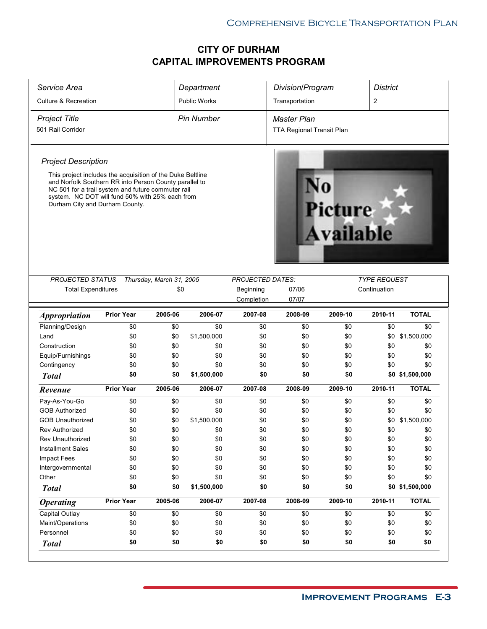| Service Area                                                                                                                                                                                      |                                                            |                          | Department          |                         | Division/Program                 |                                    | <b>District</b>     |                 |
|---------------------------------------------------------------------------------------------------------------------------------------------------------------------------------------------------|------------------------------------------------------------|--------------------------|---------------------|-------------------------|----------------------------------|------------------------------------|---------------------|-----------------|
| <b>Culture &amp; Recreation</b>                                                                                                                                                                   |                                                            |                          | <b>Public Works</b> |                         | Transportation                   |                                    | $\overline{c}$      |                 |
| <b>Project Title</b>                                                                                                                                                                              |                                                            |                          | <b>Pin Number</b>   |                         | <b>Master Plan</b>               |                                    |                     |                 |
| 501 Rail Corridor                                                                                                                                                                                 |                                                            |                          |                     |                         | <b>TTA Regional Transit Plan</b> |                                    |                     |                 |
| <b>Project Description</b>                                                                                                                                                                        |                                                            |                          |                     |                         |                                  |                                    |                     |                 |
| and Norfolk Southern RR into Person County parallel to<br>NC 501 for a trail system and future commuter rail<br>system. NC DOT will fund 50% with 25% each from<br>Durham City and Durham County. | This project includes the acquisition of the Duke Beltline |                          |                     |                         |                                  | <b>Picture</b><br><b>Available</b> |                     |                 |
| <b>PROJECTED STATUS</b>                                                                                                                                                                           |                                                            | Thursday, March 31, 2005 |                     | <b>PROJECTED DATES:</b> |                                  |                                    | <b>TYPE REQUEST</b> |                 |
| <b>Total Expenditures</b>                                                                                                                                                                         |                                                            | \$0                      |                     | Beginning               | 07/06                            |                                    | Continuation        |                 |
|                                                                                                                                                                                                   |                                                            |                          |                     | Completion              | 07/07                            |                                    |                     |                 |
| <i><b>Appropriation</b></i>                                                                                                                                                                       | <b>Prior Year</b>                                          | 2005-06                  | 2006-07             | 2007-08                 | 2008-09                          | 2009-10                            | 2010-11             | <b>TOTAL</b>    |
| Planning/Design                                                                                                                                                                                   | \$0                                                        | \$0                      | \$0                 | \$0                     | \$0                              | \$0                                | \$0                 | \$0             |
| Land                                                                                                                                                                                              | \$0                                                        | \$0                      | \$1,500,000         | \$0                     | \$0                              | \$0                                | \$0                 | \$1,500,000     |
| Construction                                                                                                                                                                                      | \$0                                                        | \$0                      | \$0                 | \$0                     | \$0                              | \$0                                | \$0                 | \$0             |
| Equip/Furnishings                                                                                                                                                                                 | \$0                                                        | \$0                      | \$0                 | \$0                     | \$0                              | \$0                                | \$0                 | \$0             |
| Contingency                                                                                                                                                                                       | \$0                                                        | \$0                      | \$0                 | \$0                     | \$0                              | \$0                                | \$0                 | \$0             |
| <b>Total</b>                                                                                                                                                                                      | \$0                                                        | \$0                      | \$1,500,000         | \$0                     | \$0                              | \$0                                |                     | \$0 \$1,500,000 |
| Revenue                                                                                                                                                                                           | <b>Prior Year</b>                                          | 2005-06                  | 2006-07             | 2007-08                 | 2008-09                          | 2009-10                            | 2010-11             | <b>TOTAL</b>    |
| Pay-As-You-Go                                                                                                                                                                                     | \$0                                                        | \$0                      | \$0                 | \$0                     | \$0                              | \$0                                | \$0                 | \$0             |
| <b>GOB Authorized</b>                                                                                                                                                                             | \$0                                                        | \$0                      | \$0                 | \$0                     | \$0                              | \$0                                | \$0                 | \$0             |
| <b>GOB Unauthorized</b>                                                                                                                                                                           |                                                            |                          |                     |                         |                                  |                                    |                     |                 |
|                                                                                                                                                                                                   | \$0                                                        | \$0                      | \$1,500,000         | \$0                     | \$0                              | \$0                                | \$0                 | \$1,500,000     |
| <b>Rev Authorized</b>                                                                                                                                                                             | \$0                                                        | \$0                      | \$0                 | \$0                     | \$0                              | \$0                                | \$0                 | \$0             |
| <b>Rev Unauthorized</b>                                                                                                                                                                           | \$0                                                        | \$0                      | \$0                 | \$0                     | \$0                              | \$0                                | \$0                 | \$0             |
| <b>Installment Sales</b>                                                                                                                                                                          | \$0                                                        | \$0                      | \$0                 | \$0                     | \$0                              | \$0                                | \$0                 | \$0             |
| Impact Fees                                                                                                                                                                                       | \$0                                                        | \$0                      | \$0                 | \$0                     | \$0                              | \$0                                | \$0                 | \$0             |
| Intergovernmental                                                                                                                                                                                 | \$0                                                        | \$0                      | \$0                 | \$0                     | \$0                              | \$0                                | \$0                 | \$0             |
| Other                                                                                                                                                                                             | \$0                                                        | \$0                      | \$0                 | \$0                     | \$0                              | \$0                                | \$0                 | \$0             |
| <b>Total</b>                                                                                                                                                                                      | \$0                                                        | \$0                      | \$1,500,000         | \$0                     | \$0                              | \$0                                |                     | \$0 \$1,500,000 |
| <b>Operating</b>                                                                                                                                                                                  | <b>Prior Year</b>                                          | 2005-06                  | 2006-07             | 2007-08                 | 2008-09                          | 2009-10                            | 2010-11             | <b>TOTAL</b>    |
| Capital Outlay                                                                                                                                                                                    | \$0                                                        | \$0                      | \$0                 | \$0                     | \$0                              | \$0                                | \$0                 | \$0             |
| Maint/Operations                                                                                                                                                                                  | \$0                                                        | \$0                      | \$0                 | \$0                     | \$0                              | \$0                                | \$0                 | \$0             |
| Personnel                                                                                                                                                                                         | \$0<br>\$0                                                 | \$0<br>\$0               | \$0<br>\$0          | \$0<br>\$0              | \$0<br>\$0                       | \$0<br>\$0                         | \$0<br>\$0          | \$0<br>\$0      |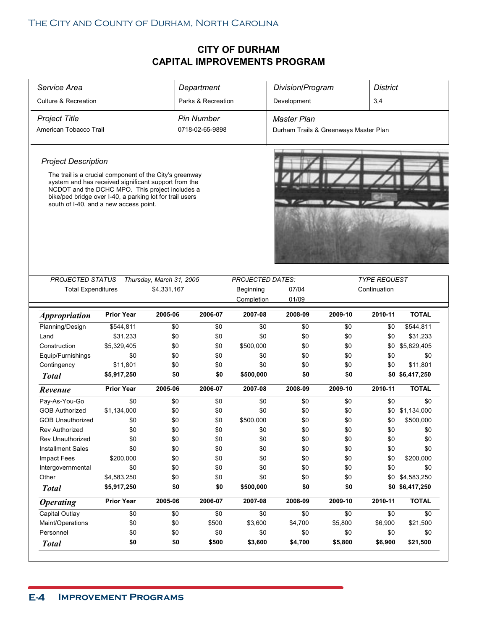| Service Area                                                                                                                                                                                                                                                             |                   |                                         | Department         |                                      | Division/Program                      |         | <b>District</b>                     |                 |  |
|--------------------------------------------------------------------------------------------------------------------------------------------------------------------------------------------------------------------------------------------------------------------------|-------------------|-----------------------------------------|--------------------|--------------------------------------|---------------------------------------|---------|-------------------------------------|-----------------|--|
| <b>Culture &amp; Recreation</b>                                                                                                                                                                                                                                          |                   |                                         | Parks & Recreation |                                      | Development                           |         | 3,4                                 |                 |  |
| <b>Project Title</b>                                                                                                                                                                                                                                                     |                   |                                         | <b>Pin Number</b>  |                                      | Master Plan                           |         |                                     |                 |  |
| American Tobacco Trail                                                                                                                                                                                                                                                   |                   |                                         | 0718-02-65-9898    |                                      | Durham Trails & Greenways Master Plan |         |                                     |                 |  |
|                                                                                                                                                                                                                                                                          |                   |                                         |                    |                                      |                                       |         |                                     |                 |  |
| <b>Project Description</b>                                                                                                                                                                                                                                               |                   |                                         |                    |                                      |                                       |         |                                     |                 |  |
| The trail is a crucial component of the City's greenway<br>system and has received significant support from the<br>NCDOT and the DCHC MPO. This project includes a<br>bike/ped bridge over I-40, a parking lot for trail users<br>south of I-40, and a new access point. |                   |                                         |                    |                                      |                                       |         |                                     |                 |  |
|                                                                                                                                                                                                                                                                          |                   |                                         |                    |                                      |                                       |         |                                     |                 |  |
| <b>PROJECTED STATUS</b><br><b>Total Expenditures</b>                                                                                                                                                                                                                     |                   | Thursday, March 31, 2005<br>\$4,331,167 |                    | <b>PROJECTED DATES:</b><br>Beginning | 07/04                                 |         | <b>TYPE REQUEST</b><br>Continuation |                 |  |
|                                                                                                                                                                                                                                                                          |                   |                                         |                    | Completion                           | 01/09                                 |         |                                     |                 |  |
| <b>Appropriation</b>                                                                                                                                                                                                                                                     | <b>Prior Year</b> | 2005-06                                 | 2006-07            | 2007-08                              | 2008-09                               | 2009-10 | 2010-11                             | <b>TOTAL</b>    |  |
| Planning/Design                                                                                                                                                                                                                                                          | \$544,811         | \$0                                     | \$0                | \$0                                  | \$0                                   | \$0     | \$0                                 | \$544,811       |  |
| Land                                                                                                                                                                                                                                                                     | \$31,233          | \$0                                     | \$0                | \$0                                  | \$0                                   | \$0     | \$0                                 | \$31,233        |  |
| Construction                                                                                                                                                                                                                                                             | \$5,329,405       | \$0                                     | \$0                | \$500,000                            | \$0                                   | \$0     | \$0                                 | \$5,829,405     |  |
| Equip/Furnishings                                                                                                                                                                                                                                                        | \$0               | \$0                                     | \$0                | \$0                                  | \$0                                   | \$0     | \$0                                 | \$0             |  |
| Contingency                                                                                                                                                                                                                                                              | \$11,801          | \$0                                     | \$0                | \$0                                  | \$0                                   | \$0     | \$0                                 | \$11,801        |  |
| <b>Total</b>                                                                                                                                                                                                                                                             | \$5,917,250       | \$0                                     | \$0                | \$500,000                            | \$0                                   | \$0     |                                     | \$0 \$6,417,250 |  |
| Revenue                                                                                                                                                                                                                                                                  | <b>Prior Year</b> | 2005-06                                 | 2006-07            | 2007-08                              | 2008-09                               | 2009-10 | 2010-11                             | <b>TOTAL</b>    |  |
| Pay-As-You-Go                                                                                                                                                                                                                                                            | \$0               | \$0                                     | \$0                | \$0                                  | \$0                                   | \$0     | \$0                                 | \$0             |  |
| <b>GOB Authorized</b>                                                                                                                                                                                                                                                    | \$1,134,000       | \$0                                     | \$0                | \$0                                  | \$0                                   | \$0     | \$0                                 | \$1,134,000     |  |
| <b>GOB Unauthorized</b>                                                                                                                                                                                                                                                  | \$0               | \$0                                     | \$0                | \$500,000                            | \$0                                   | \$0     | \$0                                 | \$500,000       |  |
| <b>Rev Authorized</b>                                                                                                                                                                                                                                                    | \$0               | \$0                                     | \$0                | \$0                                  | \$0                                   | \$0     | \$0                                 | \$0             |  |
| <b>Rev Unauthorized</b>                                                                                                                                                                                                                                                  | \$0               | \$0                                     | \$0                | \$0                                  | \$0                                   | \$0     | \$0                                 | \$0             |  |
| <b>Installment Sales</b>                                                                                                                                                                                                                                                 | \$0               | \$0                                     | \$0                | \$0                                  | \$0                                   | \$0     | \$0                                 | \$0             |  |
| Impact Fees                                                                                                                                                                                                                                                              | \$200,000         | \$0                                     | \$0                | \$0                                  | \$0                                   | \$0     | \$0                                 | \$200,000       |  |
| Intergovernmental                                                                                                                                                                                                                                                        | \$0               | \$0                                     | \$0                | \$0                                  | \$0                                   | \$0     | \$0                                 | \$0             |  |
| Other                                                                                                                                                                                                                                                                    | \$4,583,250       | \$0                                     | \$0                | \$0                                  | \$0                                   | \$0     | \$0                                 | \$4,583,250     |  |
| <b>Total</b>                                                                                                                                                                                                                                                             | \$5,917,250       | \$0                                     | \$0                | \$500,000                            | \$0                                   | \$0     |                                     | \$0 \$6,417,250 |  |
| <b>Operating</b>                                                                                                                                                                                                                                                         | <b>Prior Year</b> | 2005-06                                 | 2006-07            | 2007-08                              | 2008-09                               | 2009-10 | 2010-11                             | <b>TOTAL</b>    |  |
|                                                                                                                                                                                                                                                                          |                   |                                         |                    | \$0                                  | \$0                                   | \$0     | \$0                                 | \$0             |  |
| Capital Outlay                                                                                                                                                                                                                                                           | \$0               | \$0                                     | \$0                |                                      |                                       |         |                                     |                 |  |
| Maint/Operations                                                                                                                                                                                                                                                         | \$0               | \$0                                     | \$500              | \$3,600                              | \$4,700                               | \$5,800 | \$6,900                             | \$21,500        |  |
| Personnel                                                                                                                                                                                                                                                                | \$0               | \$0                                     | \$0                | \$0                                  | \$0                                   | \$0     | \$0                                 | \$0             |  |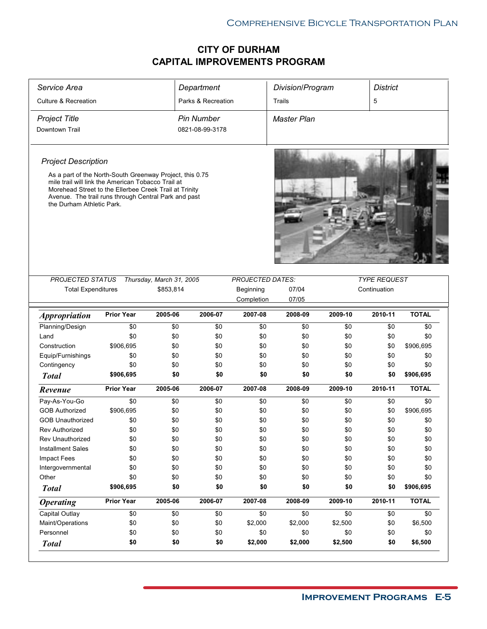|                                 |                                                                                                                |                          | Department         |                         | Division/Program   |         | <b>District</b>     |              |  |
|---------------------------------|----------------------------------------------------------------------------------------------------------------|--------------------------|--------------------|-------------------------|--------------------|---------|---------------------|--------------|--|
| <b>Culture &amp; Recreation</b> |                                                                                                                |                          | Parks & Recreation |                         | Trails             |         | 5                   |              |  |
| <b>Project Title</b>            |                                                                                                                |                          | <b>Pin Number</b>  |                         | <b>Master Plan</b> |         |                     |              |  |
| Downtown Trail                  |                                                                                                                |                          | 0821-08-99-3178    |                         |                    |         |                     |              |  |
| <b>Project Description</b>      | As a part of the North-South Greenway Project, this 0.75<br>mile trail will link the American Tobacco Trail at |                          |                    |                         |                    |         |                     |              |  |
| the Durham Athletic Park.       | Morehead Street to the Ellerbee Creek Trail at Trinity<br>Avenue. The trail runs through Central Park and past |                          |                    |                         |                    |         |                     |              |  |
| PROJECTED STATUS                |                                                                                                                | Thursday, March 31, 2005 |                    | <b>PROJECTED DATES:</b> |                    |         | <b>TYPE REQUEST</b> |              |  |
| <b>Total Expenditures</b>       |                                                                                                                | \$853,814                |                    | Beginning               | 07/04              |         | Continuation        |              |  |
|                                 |                                                                                                                |                          |                    | Completion              | 07/05              |         |                     |              |  |
| <b>Appropriation</b>            | <b>Prior Year</b>                                                                                              | 2005-06                  | 2006-07            | 2007-08                 | 2008-09            | 2009-10 | 2010-11             | <b>TOTAL</b> |  |
| Planning/Design                 | \$0                                                                                                            | \$0                      | \$0                | \$0                     | \$0                | \$0     | \$0                 | \$0          |  |
| Land                            | \$0                                                                                                            | \$0                      | \$0                | \$0                     | \$0                | \$0     | \$0                 | \$0          |  |
| Construction                    | \$906,695                                                                                                      | \$0                      | \$0                | \$0                     | \$0                | \$0     | \$0                 | \$906,695    |  |
|                                 |                                                                                                                |                          |                    |                         |                    |         |                     |              |  |
| Equip/Furnishings               | \$0                                                                                                            | \$0                      | \$0                | \$0                     | \$0                | \$0     | \$0                 | \$0          |  |
| Contingency                     | \$0                                                                                                            | \$0                      | \$0                | \$0                     | \$0                | \$0     | \$0                 | \$0          |  |
| <b>Total</b>                    | \$906,695                                                                                                      | \$0                      | \$0                | \$0                     | \$0                | \$0     | \$0                 | \$906,695    |  |
| Revenue                         | <b>Prior Year</b>                                                                                              | 2005-06                  | 2006-07            | 2007-08                 | 2008-09            | 2009-10 | 2010-11             | <b>TOTAL</b> |  |
| Pay-As-You-Go                   | \$0                                                                                                            | \$0                      | \$0                | \$0                     | \$0                | \$0     | \$0                 | \$0          |  |
| <b>GOB Authorized</b>           | \$906,695                                                                                                      | \$0                      | \$0                | \$0                     | \$0                | \$0     | \$0                 | \$906,695    |  |
| <b>GOB Unauthorized</b>         | \$0                                                                                                            | \$0                      | \$0                | \$0                     | \$0                | \$0     | \$0                 | \$0          |  |
| <b>Rev Authorized</b>           | \$0                                                                                                            | \$0                      | \$0                | \$0                     | \$0                | \$0     | \$0                 | \$0          |  |
| Rev Unauthorized                | \$0                                                                                                            | \$0                      | \$0                | \$0                     | \$0                | \$0     | \$0                 | \$0          |  |
| <b>Installment Sales</b>        | \$0                                                                                                            | \$0                      | \$0                | \$0                     | \$0                | \$0     | \$0                 | \$0          |  |
| Impact Fees                     | \$0                                                                                                            | \$0                      | \$0                | \$0                     | \$0                | \$0     | \$0                 | \$0          |  |
| Intergovernmental               | \$0                                                                                                            | \$0                      | \$0                | \$0                     | \$0                | \$0     | \$0                 | \$0          |  |
| Other                           | \$0                                                                                                            | \$0                      | \$0                | \$0                     | \$0                | \$0     | \$0                 | \$0          |  |
| <b>Total</b>                    | \$906,695                                                                                                      | \$0                      | \$0                | \$0                     | \$0                | \$0     | \$0                 | \$906,695    |  |
| <b>Operating</b>                | <b>Prior Year</b>                                                                                              | 2005-06                  | 2006-07            | 2007-08                 | 2008-09            | 2009-10 | 2010-11             | <b>TOTAL</b> |  |
| Capital Outlay                  | \$0                                                                                                            | \$0                      | \$0                | \$0                     | \$0                | \$0     | \$0                 | \$0          |  |
| Maint/Operations                | \$0                                                                                                            | \$0                      | \$0                | \$2,000                 | \$2,000            | \$2,500 | \$0                 | \$6,500      |  |
| Personnel                       | \$0                                                                                                            | \$0                      | \$0                | \$0                     | \$0                | \$0     | \$0                 | \$0          |  |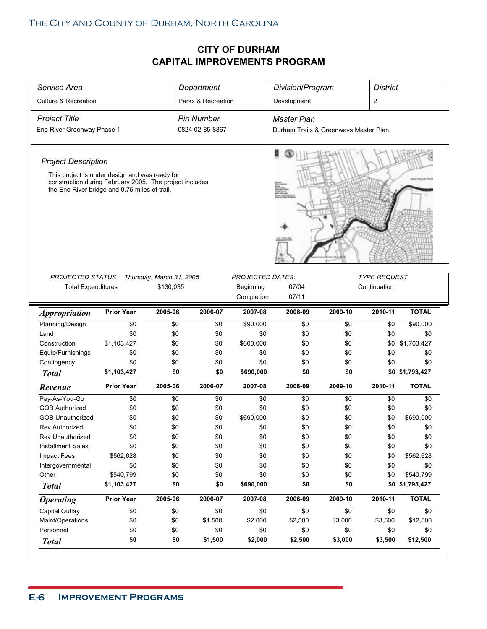| Service Area                                                                                                                                               |                   |                          | Department         |                         | Division/Program                      |         | <b>District</b>     |                 |  |
|------------------------------------------------------------------------------------------------------------------------------------------------------------|-------------------|--------------------------|--------------------|-------------------------|---------------------------------------|---------|---------------------|-----------------|--|
| <b>Culture &amp; Recreation</b>                                                                                                                            |                   |                          | Parks & Recreation |                         | Development                           |         | $\overline{2}$      |                 |  |
| <b>Project Title</b>                                                                                                                                       |                   |                          | <b>Pin Number</b>  |                         | Master Plan                           |         |                     |                 |  |
| Eno River Greenway Phase 1                                                                                                                                 |                   |                          | 0824-02-85-8867    |                         | Durham Trails & Greenways Master Plan |         |                     |                 |  |
|                                                                                                                                                            |                   |                          |                    |                         |                                       |         |                     |                 |  |
| <b>Project Description</b>                                                                                                                                 |                   |                          |                    |                         |                                       |         |                     |                 |  |
| This project is under design and was ready for<br>construction during February 2005. The project includes<br>the Eno River bridge and 0.75 miles of trail. |                   |                          |                    |                         |                                       |         |                     |                 |  |
|                                                                                                                                                            |                   |                          |                    |                         |                                       |         |                     |                 |  |
| <b>PROJECTED STATUS</b>                                                                                                                                    |                   | Thursday, March 31, 2005 |                    | <b>PROJECTED DATES:</b> |                                       |         | <b>TYPE REQUEST</b> |                 |  |
| <b>Total Expenditures</b>                                                                                                                                  |                   | \$130,035                |                    | Beginning               | 07/04                                 |         | Continuation        |                 |  |
|                                                                                                                                                            |                   |                          |                    | Completion              | 07/11                                 |         |                     |                 |  |
| <i><b>Appropriation</b></i>                                                                                                                                | <b>Prior Year</b> | 2005-06                  | 2006-07            | 2007-08                 | 2008-09                               | 2009-10 | 2010-11             | <b>TOTAL</b>    |  |
| Planning/Design                                                                                                                                            | \$0               | \$0                      | \$0                | \$90,000                | \$0                                   | \$0     | \$0                 | \$90,000        |  |
| Land                                                                                                                                                       | \$0               | \$0                      | \$0                | \$0                     | \$0                                   | \$0     | \$0                 | \$0             |  |
| Construction                                                                                                                                               | \$1,103,427       | \$0                      | \$0                | \$600,000               | \$0                                   | \$0     | \$0                 | \$1,703,427     |  |
| Equip/Furnishings                                                                                                                                          | \$0               | \$0                      | \$0                | \$0                     | \$0                                   | \$0     | \$0                 | \$0             |  |
| Contingency                                                                                                                                                | \$0               | \$0                      | \$0                | \$0                     | \$0                                   | \$0     | \$0                 | \$0             |  |
| <b>Total</b>                                                                                                                                               | \$1,103,427       | \$0                      | \$0                | \$690,000               | \$0                                   | \$0     |                     | \$0 \$1,793,427 |  |
| Revenue                                                                                                                                                    | <b>Prior Year</b> | 2005-06                  | 2006-07            | 2007-08                 | 2008-09                               | 2009-10 | 2010-11             | <b>TOTAL</b>    |  |
| Pay-As-You-Go                                                                                                                                              | \$0               | \$0                      | \$0                | \$0                     | \$0                                   | \$0     | \$0                 | \$0             |  |
| <b>GOB Authorized</b>                                                                                                                                      | \$0               | \$0                      | \$0                | \$0                     | \$0                                   | \$0     | \$0                 | \$0             |  |
| <b>GOB Unauthorized</b>                                                                                                                                    | \$0               | \$0                      | \$0                | \$690,000               | \$0                                   | \$0     | \$0                 | \$690,000       |  |
| <b>Rev Authorized</b>                                                                                                                                      | \$0               | \$0                      | \$0                | \$0                     | \$0                                   | \$0     | \$0                 | \$0             |  |
| Rev Unauthorized                                                                                                                                           | \$0               | \$0                      | \$0                | \$0                     | \$0                                   | \$0     | \$0                 | \$0             |  |
| <b>Installment Sales</b>                                                                                                                                   | \$0               | \$0                      | \$0                | \$0                     | \$0                                   | \$0     | \$0                 | \$0             |  |
| Impact Fees                                                                                                                                                | \$562,628         | \$0                      | \$0                | \$0                     | \$0                                   | \$0     | \$0                 | \$562,628       |  |
| Intergovernmental                                                                                                                                          | \$0               | \$0                      | \$0                | \$0                     | \$0                                   | \$0     | \$0                 | \$0             |  |
| Other                                                                                                                                                      | \$540,799         | \$0                      | \$0                | \$0                     | \$0                                   | \$0     | \$0                 | \$540,799       |  |
| <b>Total</b>                                                                                                                                               | \$1,103,427       | \$0                      | \$0                | \$690,000               | \$0                                   | \$0     |                     | \$0 \$1,793,427 |  |
| <b>Operating</b>                                                                                                                                           | <b>Prior Year</b> | 2005-06                  | 2006-07            | 2007-08                 | 2008-09                               | 2009-10 | 2010-11             | <b>TOTAL</b>    |  |
| Capital Outlay                                                                                                                                             | \$0               | \$0                      | \$0                | \$0                     | \$0                                   | \$0     | \$0                 | \$0             |  |
|                                                                                                                                                            | \$0               | \$0                      | \$1,500            | \$2,000                 | \$2,500                               | \$3,000 | \$3,500             | \$12,500        |  |
| Maint/Operations                                                                                                                                           |                   |                          |                    |                         |                                       |         |                     |                 |  |
| Personnel                                                                                                                                                  | \$0               | \$0                      | \$0                | \$0                     | \$0                                   | \$0     | \$0                 | \$0             |  |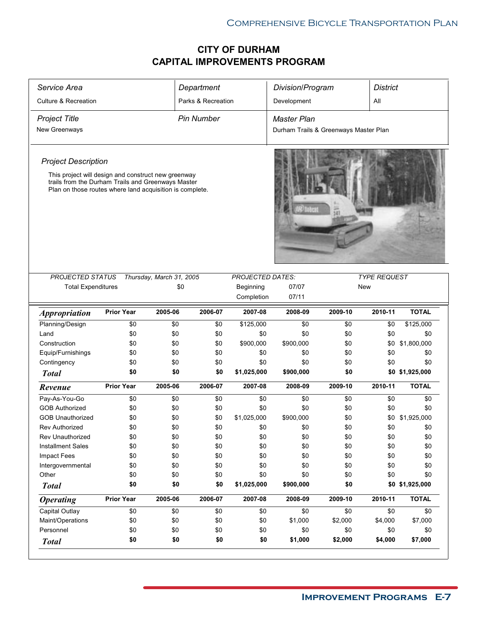| Service Area                                                                                                   |                   |                          | Department         |                         | Division/Program                      |         | <b>District</b>     |                 |
|----------------------------------------------------------------------------------------------------------------|-------------------|--------------------------|--------------------|-------------------------|---------------------------------------|---------|---------------------|-----------------|
| <b>Culture &amp; Recreation</b>                                                                                |                   |                          | Parks & Recreation |                         | Development                           |         | All                 |                 |
| <b>Project Title</b>                                                                                           |                   |                          | <b>Pin Number</b>  |                         | <b>Master Plan</b>                    |         |                     |                 |
| New Greenways                                                                                                  |                   |                          |                    |                         | Durham Trails & Greenways Master Plan |         |                     |                 |
| <b>Project Description</b><br>This project will design and construct new greenway                              |                   |                          |                    |                         |                                       |         |                     |                 |
| trails from the Durham Trails and Greenways Master<br>Plan on those routes where land acquisition is complete. |                   |                          |                    |                         |                                       |         |                     |                 |
|                                                                                                                |                   |                          |                    |                         |                                       |         |                     |                 |
|                                                                                                                |                   |                          |                    |                         |                                       |         |                     |                 |
|                                                                                                                |                   |                          |                    |                         |                                       |         |                     |                 |
| <b>PROJECTED STATUS</b>                                                                                        |                   | Thursday, March 31, 2005 |                    | <b>PROJECTED DATES:</b> |                                       |         | <b>TYPE REQUEST</b> |                 |
| <b>Total Expenditures</b>                                                                                      |                   | \$0                      |                    | Beginning               | 07/07                                 |         | <b>New</b>          |                 |
|                                                                                                                |                   |                          |                    | Completion              | 07/11                                 |         |                     |                 |
| <i><b>Appropriation</b></i>                                                                                    | <b>Prior Year</b> | 2005-06                  | 2006-07            | 2007-08                 | 2008-09                               | 2009-10 | 2010-11             | <b>TOTAL</b>    |
| Planning/Design                                                                                                | \$0               | \$0                      | \$0                | \$125,000               | \$0                                   | \$0     | \$0                 | \$125,000       |
| Land                                                                                                           | \$0               | \$0                      | \$0                | \$0                     | \$0                                   | \$0     | \$0                 | \$0             |
| Construction                                                                                                   | \$0               | \$0                      | \$0                | \$900,000               | \$900,000                             | \$0     | \$0                 | \$1,800,000     |
| Equip/Furnishings                                                                                              | \$0               | \$0                      | \$0                | \$0                     | \$0                                   | \$0     | \$0                 | \$0             |
| Contingency                                                                                                    | \$0               | \$0                      | \$0                | \$0                     | \$0                                   | \$0     | \$0                 | \$0             |
| <b>Total</b>                                                                                                   | \$0               | \$0                      | \$0                | \$1,025,000             | \$900,000                             | \$0     |                     | \$0 \$1,925,000 |
| Revenue                                                                                                        | <b>Prior Year</b> | 2005-06                  | 2006-07            | 2007-08                 | 2008-09                               | 2009-10 | 2010-11             | <b>TOTAL</b>    |
| Pay-As-You-Go                                                                                                  | \$0               | \$0                      | \$0                | \$0                     | \$0                                   | \$0     | \$0                 | \$0             |
| <b>GOB Authorized</b>                                                                                          | \$0               | \$0                      | \$0                | \$0                     | \$0                                   | \$0     | \$0                 | \$0             |
| <b>GOB Unauthorized</b>                                                                                        | \$0               | \$0                      | \$0                | \$1,025,000             | \$900,000                             | \$0     | \$0                 | \$1,925,000     |
| <b>Rev Authorized</b>                                                                                          | \$0               | \$0                      | \$0                | \$0                     | \$0                                   | \$0     | \$0                 | \$0             |
| Rev Unauthorized                                                                                               | \$0               | \$0                      | \$0                | \$0                     | \$0                                   | \$0     | \$0                 | \$0             |
| <b>Installment Sales</b>                                                                                       | \$0               | \$0                      | \$0                | \$0                     | \$0                                   | \$0     | \$0                 | \$0             |
| Impact Fees                                                                                                    | \$0               | \$0                      | \$0                | \$0                     | \$0                                   | \$0     | \$0                 | \$0             |
| Intergovernmental                                                                                              | \$0               | \$0                      | \$0                | \$0                     | \$0                                   | \$0     | \$0                 | \$0             |
| Other                                                                                                          | \$0               | \$0                      | \$0                | \$0                     | \$0                                   | \$0     | \$0                 | \$0             |
| <b>Total</b>                                                                                                   | \$0               | \$0                      | \$0                | \$1,025,000             | \$900,000                             | \$0     |                     | \$0 \$1,925,000 |
| <b>Operating</b>                                                                                               | <b>Prior Year</b> | 2005-06                  | 2006-07            | 2007-08                 | 2008-09                               | 2009-10 | 2010-11             | <b>TOTAL</b>    |
| Capital Outlay                                                                                                 | \$0               | \$0                      | \$0                | \$0                     | \$0                                   | \$0     | \$0                 | \$0             |
| Maint/Operations                                                                                               | \$0               | \$0                      | \$0                | \$0                     | \$1,000                               | \$2,000 | \$4,000             | \$7,000         |
| Personnel                                                                                                      | \$0               | \$0                      | \$0                | \$0                     | \$0                                   | \$0     | \$0                 | \$0             |
| <b>Total</b>                                                                                                   | \$0               | \$0                      | \$0                | \$0                     | \$1,000                               | \$2,000 | \$4,000             | \$7,000         |
|                                                                                                                |                   |                          |                    |                         |                                       |         |                     |                 |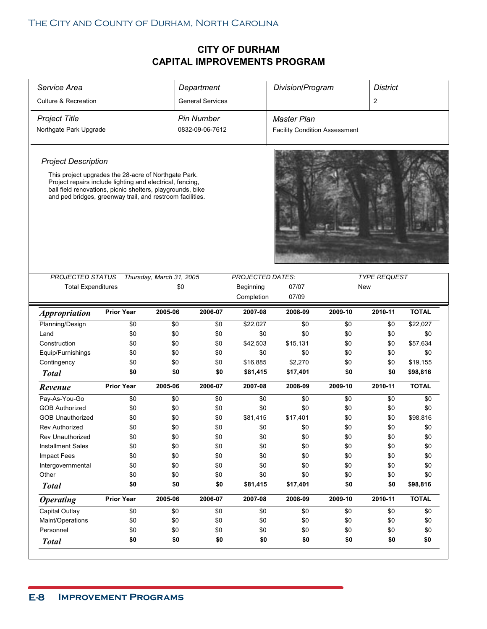| Service Area                                                                                                                                                                                                                                 |                   |                          | Department              |                         | Division/Program                     |         | <b>District</b>     |              |
|----------------------------------------------------------------------------------------------------------------------------------------------------------------------------------------------------------------------------------------------|-------------------|--------------------------|-------------------------|-------------------------|--------------------------------------|---------|---------------------|--------------|
| <b>Culture &amp; Recreation</b>                                                                                                                                                                                                              |                   |                          | <b>General Services</b> |                         |                                      |         | $\overline{2}$      |              |
| <b>Project Title</b>                                                                                                                                                                                                                         |                   |                          | <b>Pin Number</b>       |                         | Master Plan                          |         |                     |              |
| Northgate Park Upgrade                                                                                                                                                                                                                       |                   |                          | 0832-09-06-7612         |                         | <b>Facility Condition Assessment</b> |         |                     |              |
|                                                                                                                                                                                                                                              |                   |                          |                         |                         |                                      |         |                     |              |
| <b>Project Description</b>                                                                                                                                                                                                                   |                   |                          |                         |                         |                                      |         |                     |              |
| This project upgrades the 28-acre of Northgate Park.<br>Project repairs include lighting and electrical, fencing,<br>ball field renovations, picnic shelters, playgrounds, bike<br>and ped bridges, greenway trail, and restroom facilities. |                   |                          |                         |                         |                                      |         |                     |              |
| PROJECTED STATUS                                                                                                                                                                                                                             |                   | Thursday, March 31, 2005 |                         | <b>PROJECTED DATES:</b> |                                      |         | <b>TYPE REQUEST</b> |              |
| <b>Total Expenditures</b>                                                                                                                                                                                                                    |                   | \$0                      |                         | Beginning               | 07/07                                |         | New                 |              |
|                                                                                                                                                                                                                                              |                   |                          |                         | Completion              | 07/09                                |         |                     |              |
| <b>Appropriation</b>                                                                                                                                                                                                                         | <b>Prior Year</b> | 2005-06                  | 2006-07                 | 2007-08                 | 2008-09                              | 2009-10 | 2010-11             | <b>TOTAL</b> |
| Planning/Design                                                                                                                                                                                                                              | \$0               | \$0                      | \$0                     | \$22,027                | \$0                                  | \$0     | \$0                 | \$22,027     |
| Land                                                                                                                                                                                                                                         | \$0               | \$0                      | \$0                     | \$0                     | \$0                                  | \$0     | \$0                 | \$0          |
| Construction                                                                                                                                                                                                                                 | \$0               | \$0                      | \$0                     | \$42,503                | \$15,131                             | \$0     | \$0                 | \$57,634     |
| Equip/Furnishings                                                                                                                                                                                                                            | \$0               | \$0                      | \$0                     | \$0                     | \$0                                  | \$0     | \$0                 | \$0          |
| Contingency                                                                                                                                                                                                                                  | \$0               | \$0                      | \$0                     | \$16,885                | \$2,270                              | \$0     | \$0                 | \$19,155     |
| <b>Total</b>                                                                                                                                                                                                                                 | \$0               | \$0                      | \$0                     | \$81,415                | \$17,401                             | \$0     | \$0                 | \$98,816     |
| Revenue                                                                                                                                                                                                                                      | <b>Prior Year</b> | 2005-06                  | 2006-07                 | 2007-08                 | 2008-09                              | 2009-10 | 2010-11             | <b>TOTAL</b> |
|                                                                                                                                                                                                                                              | \$0               |                          |                         |                         |                                      |         |                     |              |
| Pay-As-You-Go                                                                                                                                                                                                                                |                   | \$0                      | \$0                     | \$0                     | \$0                                  | \$0     | \$0                 | \$0          |
| <b>GOB Authorized</b>                                                                                                                                                                                                                        | \$0               | \$0                      | \$0                     | \$0                     | \$0                                  | \$0     | \$0                 | \$0          |
| <b>GOB Unauthorized</b>                                                                                                                                                                                                                      | \$0               | \$0                      | \$0                     | \$81,415                | \$17,401                             | \$0     | \$0                 | \$98,816     |
| <b>Rev Authorized</b>                                                                                                                                                                                                                        | \$0               | \$0                      | \$0                     | \$0                     | \$0                                  | \$0     | \$0                 | \$0          |
| Rev Unauthorized                                                                                                                                                                                                                             | \$0               | \$0                      | \$0                     | \$0                     | \$0                                  | \$0     | \$0                 | \$0          |
| <b>Installment Sales</b>                                                                                                                                                                                                                     | \$0               | \$0                      | \$0                     | \$0                     | \$0                                  | \$0     | \$0                 | \$0          |
| Impact Fees                                                                                                                                                                                                                                  | \$0               | \$0                      | \$0                     | \$0                     | \$0                                  | \$0     | \$0                 | \$0          |
| Intergovernmental                                                                                                                                                                                                                            | \$0               | \$0                      | \$0                     | \$0                     | \$0                                  | \$0     | \$0                 | \$0          |
| Other                                                                                                                                                                                                                                        | \$0               | \$0                      | \$0                     | \$0                     | \$0                                  | \$0     | \$0                 | \$0          |
| <b>Total</b>                                                                                                                                                                                                                                 | \$0               | \$0                      | \$0                     | \$81,415                | \$17,401                             | \$0     | \$0                 | \$98,816     |
| <b>Operating</b>                                                                                                                                                                                                                             | <b>Prior Year</b> | 2005-06                  | 2006-07                 | 2007-08                 | 2008-09                              | 2009-10 | 2010-11             | <b>TOTAL</b> |
| Capital Outlay                                                                                                                                                                                                                               | \$0               | \$0                      | \$0                     | \$0                     | \$0                                  | \$0     | \$0                 | \$0          |
| Maint/Operations                                                                                                                                                                                                                             | \$0               | \$0                      | \$0                     | \$0                     | \$0                                  | \$0     | \$0                 | \$0          |
| Personnel                                                                                                                                                                                                                                    | \$0               | \$0                      | \$0                     | \$0                     | \$0                                  | \$0     | \$0                 | \$0          |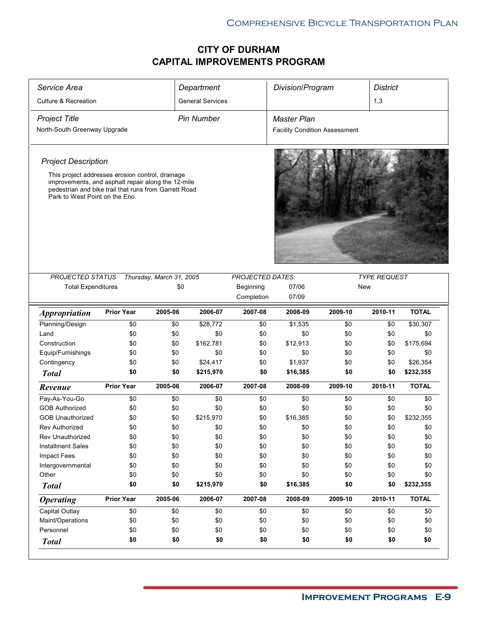| Service Area                                                                                                                                                                                      |                   |                          | Department              |                         | Division/Program                     |         | <b>District</b>     |              |  |
|---------------------------------------------------------------------------------------------------------------------------------------------------------------------------------------------------|-------------------|--------------------------|-------------------------|-------------------------|--------------------------------------|---------|---------------------|--------------|--|
| <b>Culture &amp; Recreation</b>                                                                                                                                                                   |                   |                          | <b>General Services</b> |                         |                                      |         | 1,3                 |              |  |
| <b>Project Title</b>                                                                                                                                                                              |                   |                          | <b>Pin Number</b>       |                         | <b>Master Plan</b>                   |         |                     |              |  |
| North-South Greenway Upgrade                                                                                                                                                                      |                   |                          |                         |                         | <b>Facility Condition Assessment</b> |         |                     |              |  |
|                                                                                                                                                                                                   |                   |                          |                         |                         |                                      |         |                     |              |  |
| <b>Project Description</b>                                                                                                                                                                        |                   |                          |                         |                         |                                      |         |                     |              |  |
| This project addresses erosion control, drainage<br>improvements, and asphalt repair along the 12-mile<br>pedestrian and bike trail that runs from Garrett Road<br>Park to West Point on the Eno. |                   |                          |                         |                         |                                      |         |                     |              |  |
|                                                                                                                                                                                                   |                   |                          |                         |                         |                                      |         |                     |              |  |
| PROJECTED STATUS                                                                                                                                                                                  |                   | Thursday, March 31, 2005 |                         | <b>PROJECTED DATES:</b> |                                      |         | <b>TYPE REQUEST</b> |              |  |
| <b>Total Expenditures</b>                                                                                                                                                                         |                   | \$0                      |                         | Beginning               | 07/06                                |         | New                 |              |  |
|                                                                                                                                                                                                   |                   |                          |                         | Completion              | 07/09                                |         |                     |              |  |
| <i><b>Appropriation</b></i>                                                                                                                                                                       | <b>Prior Year</b> | 2005-06                  | 2006-07                 | 2007-08                 | 2008-09                              | 2009-10 | 2010-11             | <b>TOTAL</b> |  |
| Planning/Design                                                                                                                                                                                   | \$0               | \$0                      | \$28,772                | \$0                     | \$1,535                              | \$0     | \$0                 | \$30,307     |  |
| Land                                                                                                                                                                                              | \$0               | \$0                      | \$0                     | \$0                     | \$0                                  | \$0     | \$0                 | \$0          |  |
| Construction                                                                                                                                                                                      | \$0               | \$0                      | \$162,781               | \$0                     | \$12,913                             | \$0     | \$0                 | \$175,694    |  |
| Equip/Furnishings                                                                                                                                                                                 | \$0               | \$0                      | \$0                     | \$0                     | \$0                                  | \$0     | \$0                 | \$0          |  |
| Contingency                                                                                                                                                                                       | \$0               | \$0                      | \$24,417                | \$0                     | \$1,937                              | \$0     | \$0                 | \$26,354     |  |
| <b>Total</b>                                                                                                                                                                                      | \$0               | \$0                      | \$215,970               | \$0                     | \$16,385                             | \$0     | \$0                 | \$232,355    |  |
| Revenue                                                                                                                                                                                           | <b>Prior Year</b> | 2005-06                  | 2006-07                 | 2007-08                 | 2008-09                              | 2009-10 | 2010-11             | <b>TOTAL</b> |  |
| Pay-As-You-Go                                                                                                                                                                                     | \$0               | \$0                      | \$0                     | \$0                     | \$0                                  | \$0     | \$0                 | \$0          |  |
| <b>GOB Authorized</b>                                                                                                                                                                             | \$0               | \$0                      | \$0                     | \$0                     | \$0                                  | \$0     | \$0                 | \$0          |  |
| <b>GOB Unauthorized</b>                                                                                                                                                                           | \$0               | \$0                      | \$215,970               | \$0                     | \$16,385                             | \$0     | \$0                 | \$232,355    |  |
| <b>Rev Authorized</b>                                                                                                                                                                             | \$0               | \$0                      | \$0                     | \$0                     | \$0                                  | \$0     | \$0                 | \$0          |  |
| Rev Unauthorized                                                                                                                                                                                  | \$0               | \$0                      | \$0                     | \$0                     | \$0                                  | \$0     | \$0                 | \$0          |  |
| <b>Installment Sales</b>                                                                                                                                                                          | \$0               | \$0                      | \$0                     | \$0                     | \$0                                  | \$0     | \$0                 | \$0          |  |
| Impact Fees                                                                                                                                                                                       | \$0               | \$0                      | \$0                     | \$0                     | \$0                                  | \$0     | \$0                 | \$0          |  |
| Intergovernmental                                                                                                                                                                                 | \$0               | \$0                      | \$0                     | \$0                     | \$0                                  | \$0     | \$0                 | \$0          |  |
| Other                                                                                                                                                                                             | \$0               | \$0                      | \$0                     | \$0                     | \$0                                  | \$0     | \$0                 | \$0          |  |
|                                                                                                                                                                                                   | \$0               | \$0                      | \$215,970               | \$0                     | \$16,385                             | \$0     | \$0                 | \$232,355    |  |
| <b>Total</b>                                                                                                                                                                                      |                   |                          |                         | 2007-08                 | 2008-09                              | 2009-10 | 2010-11             | <b>TOTAL</b> |  |
| <b>Operating</b>                                                                                                                                                                                  | <b>Prior Year</b> | 2005-06                  | 2006-07                 |                         |                                      |         |                     |              |  |
| Capital Outlay                                                                                                                                                                                    | \$0               | \$0                      | \$0                     | \$0                     | \$0                                  | \$0     | \$0                 | \$0          |  |
| Maint/Operations                                                                                                                                                                                  | \$0               | \$0                      | \$0                     | \$0                     | \$0                                  | \$0     | \$0                 | \$0          |  |
| Personnel                                                                                                                                                                                         | \$0               | \$0                      | \$0                     | \$0                     | \$0                                  | \$0     | \$0                 | \$0          |  |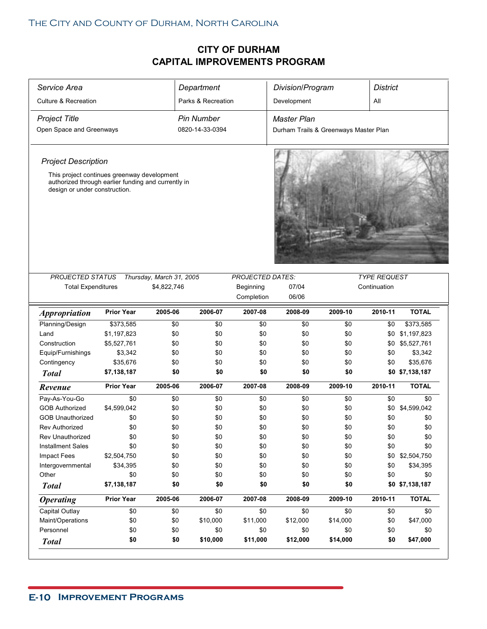| Service Area                                                                                                                        |                   |                          | Department         |                         | Division/Program                      |          | <b>District</b>     |                 |
|-------------------------------------------------------------------------------------------------------------------------------------|-------------------|--------------------------|--------------------|-------------------------|---------------------------------------|----------|---------------------|-----------------|
| <b>Culture &amp; Recreation</b>                                                                                                     |                   |                          | Parks & Recreation |                         | Development                           |          | All                 |                 |
| Project Title                                                                                                                       |                   |                          | <b>Pin Number</b>  |                         | Master Plan                           |          |                     |                 |
| Open Space and Greenways                                                                                                            |                   |                          | 0820-14-33-0394    |                         | Durham Trails & Greenways Master Plan |          |                     |                 |
|                                                                                                                                     |                   |                          |                    |                         |                                       |          |                     |                 |
| <b>Project Description</b>                                                                                                          |                   |                          |                    |                         |                                       |          |                     |                 |
| This project continues greenway development<br>authorized through earlier funding and currently in<br>design or under construction. |                   |                          |                    |                         |                                       |          |                     |                 |
|                                                                                                                                     |                   |                          |                    |                         |                                       |          |                     |                 |
| <b>PROJECTED STATUS</b>                                                                                                             |                   | Thursday, March 31, 2005 |                    | <b>PROJECTED DATES:</b> |                                       |          | <b>TYPE REQUEST</b> |                 |
| <b>Total Expenditures</b>                                                                                                           |                   | \$4,822,746              |                    | Beginning               | 07/04                                 |          | Continuation        |                 |
|                                                                                                                                     |                   |                          |                    | Completion              | 06/06                                 |          |                     |                 |
| <b>Appropriation</b>                                                                                                                | <b>Prior Year</b> | 2005-06                  | 2006-07            | 2007-08                 | 2008-09                               | 2009-10  | 2010-11             | <b>TOTAL</b>    |
| Planning/Design                                                                                                                     | \$373,585         | \$0                      | \$0                | \$0                     | \$0                                   | \$0      | \$0                 | \$373,585       |
| Land                                                                                                                                | \$1,197,823       | \$0                      | \$0                | \$0                     | \$0                                   | \$0      | \$0                 | \$1,197,823     |
| Construction                                                                                                                        | \$5,527,761       | \$0                      | \$0                | \$0                     | \$0                                   | \$0      | \$0                 | \$5,527,761     |
| Equip/Furnishings                                                                                                                   | \$3,342           | \$0                      | \$0                | \$0                     | \$0                                   | \$0      | \$0                 | \$3,342         |
| Contingency                                                                                                                         | \$35,676          | \$0                      | \$0                | \$0                     | \$0                                   | \$0      | \$0                 | \$35,676        |
| <b>Total</b>                                                                                                                        | \$7,138,187       | \$0                      | \$0                | \$0                     | \$0                                   | \$0      |                     | \$0 \$7,138,187 |
| Revenue                                                                                                                             | <b>Prior Year</b> | 2005-06                  | 2006-07            | 2007-08                 | 2008-09                               | 2009-10  | 2010-11             | <b>TOTAL</b>    |
| Pay-As-You-Go                                                                                                                       | \$0               | \$0                      | \$0                | \$0                     | \$0                                   | \$0      | \$0                 | \$0             |
| <b>GOB Authorized</b>                                                                                                               | \$4,599,042       | \$0                      |                    |                         |                                       |          |                     |                 |
|                                                                                                                                     |                   |                          | \$0                | \$0                     | \$0                                   | \$0      | \$0                 | \$4,599,042     |
| <b>GOB Unauthorized</b>                                                                                                             | \$0               | \$0                      | \$0                | \$0                     | \$0                                   | \$0      | \$0                 | \$0             |
| <b>Rev Authorized</b>                                                                                                               | \$0               | \$0                      | \$0                | \$0                     | \$0                                   | \$0      | \$0                 | \$0             |
| Rev Unauthorized                                                                                                                    | \$0               | \$0                      | \$0                | \$0                     | \$0                                   | \$0      | \$0                 | \$0             |
| <b>Installment Sales</b>                                                                                                            | \$0               | \$0                      | \$0                | \$0                     | \$0                                   | \$0      | \$0                 | \$0             |
| Impact Fees                                                                                                                         | \$2,504,750       | \$0                      | \$0                | \$0                     | \$0                                   | \$0      |                     | \$0 \$2,504,750 |
| Intergovernmental                                                                                                                   | \$34,395          | \$0                      | \$0                | \$0                     | \$0                                   | \$0      | \$0                 | \$34,395        |
| Other                                                                                                                               | \$0               | \$0                      | \$0                | \$0                     | \$0                                   | \$0      | \$0                 | \$0             |
| <b>Total</b>                                                                                                                        | \$7,138,187       | \$0                      | \$0                | \$0                     | \$0                                   | \$0      |                     | \$0 \$7,138,187 |
| <b>Operating</b>                                                                                                                    | <b>Prior Year</b> | 2005-06                  | 2006-07            | 2007-08                 | 2008-09                               | 2009-10  | 2010-11             | <b>TOTAL</b>    |
| Capital Outlay                                                                                                                      | \$0               | \$0                      | \$0                | \$0                     | \$0                                   | \$0      | \$0                 | \$0             |
| Maint/Operations                                                                                                                    | \$0               | \$0                      | \$10,000           | \$11,000                | \$12,000                              | \$14,000 | \$0                 | \$47,000        |
| Personnel                                                                                                                           | \$0               | \$0                      | \$0                | \$0                     | \$0                                   | \$0      | \$0                 | \$0             |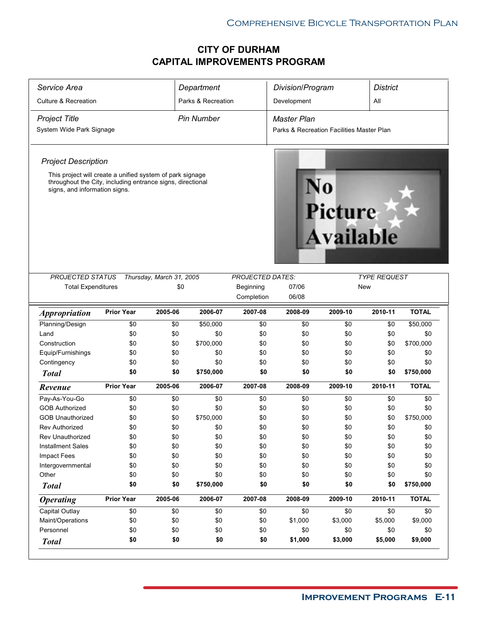| Service Area                                                                                                                                             |                   |                          | Department         |                         | Division/Program                          |                             | <b>District</b>     |                |
|----------------------------------------------------------------------------------------------------------------------------------------------------------|-------------------|--------------------------|--------------------|-------------------------|-------------------------------------------|-----------------------------|---------------------|----------------|
| <b>Culture &amp; Recreation</b>                                                                                                                          |                   |                          | Parks & Recreation |                         | Development                               |                             | All                 |                |
| <b>Project Title</b>                                                                                                                                     |                   |                          | <b>Pin Number</b>  |                         | <b>Master Plan</b>                        |                             |                     |                |
| System Wide Park Signage                                                                                                                                 |                   |                          |                    |                         | Parks & Recreation Facilities Master Plan |                             |                     |                |
|                                                                                                                                                          |                   |                          |                    |                         |                                           |                             |                     |                |
| <b>Project Description</b>                                                                                                                               |                   |                          |                    |                         |                                           |                             |                     |                |
| This project will create a unified system of park signage<br>throughout the City, including entrance signs, directional<br>signs, and information signs. |                   |                          |                    |                         |                                           | <b>Picture</b><br>Available |                     |                |
|                                                                                                                                                          |                   |                          |                    |                         |                                           |                             |                     |                |
| PROJECTED STATUS                                                                                                                                         |                   | Thursday, March 31, 2005 |                    | <b>PROJECTED DATES:</b> |                                           |                             | <b>TYPE REQUEST</b> |                |
| <b>Total Expenditures</b>                                                                                                                                |                   | \$0                      |                    | Beginning               | 07/06                                     |                             | New                 |                |
|                                                                                                                                                          |                   |                          |                    | Completion              | 06/08                                     |                             |                     |                |
| <i><b>Appropriation</b></i>                                                                                                                              | <b>Prior Year</b> | 2005-06                  | 2006-07            | 2007-08                 | 2008-09                                   | 2009-10                     | 2010-11             | <b>TOTAL</b>   |
| Planning/Design                                                                                                                                          | \$0               | \$0                      | \$50,000           | \$0                     | \$0                                       | \$0                         | \$0                 | \$50,000       |
| Land                                                                                                                                                     | \$0               | \$0                      | \$0                | \$0                     | \$0                                       | \$0                         | \$0                 | \$0            |
| Construction                                                                                                                                             | \$0               | \$0                      | \$700,000          | \$0                     | \$0                                       | \$0                         | \$0                 | \$700,000      |
| Equip/Furnishings                                                                                                                                        | \$0               | \$0                      | \$0                | \$0                     | \$0                                       | \$0                         | \$0                 | \$0            |
| Contingency                                                                                                                                              | \$0               | \$0                      | \$0                | \$0                     | \$0                                       | \$0                         | \$0                 | \$0            |
| <b>Total</b>                                                                                                                                             | \$0               | \$0                      | \$750,000          | \$0                     | \$0                                       | \$0                         | \$0                 | \$750,000      |
| Revenue                                                                                                                                                  | <b>Prior Year</b> | 2005-06                  | 2006-07            | 2007-08                 | 2008-09                                   | 2009-10                     | 2010-11             | <b>TOTAL</b>   |
| Pay-As-You-Go                                                                                                                                            | \$0               | \$0                      | \$0                | \$0                     | \$0                                       | \$0                         | \$0                 | \$0            |
| <b>GOB Authorized</b>                                                                                                                                    | \$0               | \$0                      | \$0                | \$0                     | \$0                                       | \$0                         | \$0                 | \$0            |
| <b>GOB Unauthorized</b>                                                                                                                                  | \$0               | \$0                      | \$750,000          | \$0                     | \$0                                       | \$0                         | \$0                 | \$750,000      |
| <b>Rev Authorized</b>                                                                                                                                    | \$0               | \$0                      | \$0                | \$0                     | \$0                                       | \$0                         | \$0                 | \$0            |
| Rev Unauthorized                                                                                                                                         | \$0               | \$0                      | \$0                | \$0                     | \$0                                       | \$0                         | \$0                 | \$0            |
| <b>Installment Sales</b>                                                                                                                                 | \$0               | \$0                      | \$0                | \$0                     | \$0                                       | \$0                         | \$0                 | \$0            |
| Impact Fees                                                                                                                                              | \$0               | \$0                      | \$0                | \$0                     | \$0                                       | \$0                         | \$0                 | \$0            |
| Intergovernmental                                                                                                                                        | \$0               | \$0                      | \$0                | \$0                     | \$0                                       | \$0                         | \$0                 | \$0            |
|                                                                                                                                                          |                   |                          |                    | \$0                     | \$0                                       | \$0                         | \$0                 | \$0            |
| Other                                                                                                                                                    | \$0               | \$0                      | \$0                |                         |                                           |                             |                     |                |
| <b>Total</b>                                                                                                                                             | \$0               | \$0                      | \$750,000          | \$0                     | \$0                                       | \$0                         | \$0                 | \$750,000      |
| <b>Operating</b>                                                                                                                                         | <b>Prior Year</b> | 2005-06                  | 2006-07            | 2007-08                 | 2008-09                                   | 2009-10                     | 2010-11             | <b>TOTAL</b>   |
| Capital Outlay                                                                                                                                           | \$0               | \$0                      | \$0                | \$0                     | \$0                                       | \$0                         | \$0                 | \$0            |
| Maint/Operations                                                                                                                                         | \$0               | \$0                      | \$0                | \$0                     | \$1,000                                   | \$3,000                     | \$5,000             | \$9,000        |
| Personnel<br><b>Total</b>                                                                                                                                | \$0<br>\$0        | \$0<br>\$0               | \$0<br>\$0         | \$0<br>\$0              | \$0<br>\$1,000                            | \$0<br>\$3,000              | \$0<br>\$5,000      | \$0<br>\$9,000 |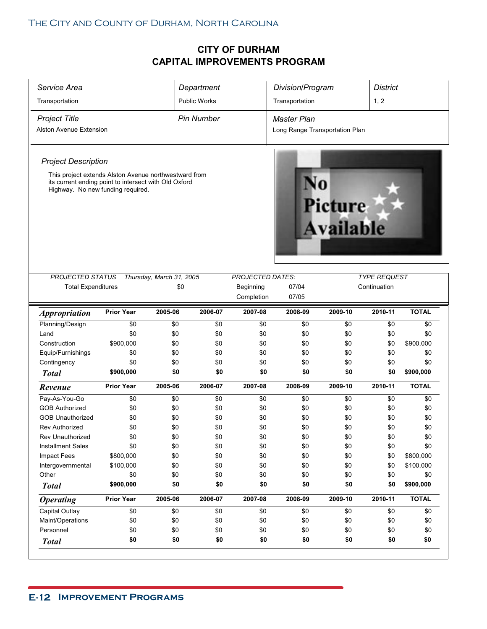| Service Area                                                                                                                                        |                   |                          | Department          |                         | Division/Program               |                             | <b>District</b>     |              |
|-----------------------------------------------------------------------------------------------------------------------------------------------------|-------------------|--------------------------|---------------------|-------------------------|--------------------------------|-----------------------------|---------------------|--------------|
| Transportation                                                                                                                                      |                   |                          | <b>Public Works</b> |                         | Transportation                 |                             | 1, 2                |              |
| <b>Project Title</b>                                                                                                                                |                   |                          | <b>Pin Number</b>   |                         | <b>Master Plan</b>             |                             |                     |              |
| <b>Alston Avenue Extension</b>                                                                                                                      |                   |                          |                     |                         | Long Range Transportation Plan |                             |                     |              |
|                                                                                                                                                     |                   |                          |                     |                         |                                |                             |                     |              |
| <b>Project Description</b>                                                                                                                          |                   |                          |                     |                         |                                |                             |                     |              |
| This project extends Alston Avenue northwestward from<br>its current ending point to intersect with Old Oxford<br>Highway. No new funding required. |                   |                          |                     |                         |                                | <b>Picture</b><br>Available |                     |              |
| <b>PROJECTED STATUS</b>                                                                                                                             |                   | Thursday, March 31, 2005 |                     | <b>PROJECTED DATES:</b> |                                |                             | <b>TYPE REQUEST</b> |              |
| <b>Total Expenditures</b>                                                                                                                           |                   | \$0                      |                     | Beginning               | 07/04                          |                             | Continuation        |              |
|                                                                                                                                                     |                   |                          |                     | Completion              | 07/05                          |                             |                     |              |
| <i><b>Appropriation</b></i>                                                                                                                         | <b>Prior Year</b> | 2005-06                  | 2006-07             | 2007-08                 | 2008-09                        | 2009-10                     | 2010-11             | <b>TOTAL</b> |
| Planning/Design                                                                                                                                     | \$0               | \$0                      | \$0                 | \$0                     | \$0                            | \$0                         | \$0                 | \$0          |
| Land                                                                                                                                                | \$0               | \$0                      | \$0                 | \$0                     | \$0                            | \$0                         | \$0                 | \$0          |
| Construction                                                                                                                                        | \$900,000         | \$0                      | \$0                 | \$0                     | \$0                            | \$0                         | \$0                 | \$900,000    |
| Equip/Furnishings                                                                                                                                   | \$0               | \$0                      | \$0                 | \$0                     | \$0                            | \$0                         | \$0                 | \$0          |
| Contingency                                                                                                                                         | \$0               | \$0                      | \$0                 | \$0                     | \$0                            | \$0                         | \$0                 | \$0          |
| <b>Total</b>                                                                                                                                        | \$900,000         | \$0                      | \$0                 | \$0                     | \$0                            | \$0                         | \$0                 | \$900,000    |
| Revenue                                                                                                                                             | <b>Prior Year</b> | 2005-06                  | 2006-07             | 2007-08                 | 2008-09                        | 2009-10                     | 2010-11             | <b>TOTAL</b> |
| Pay-As-You-Go                                                                                                                                       | \$0               | \$0                      | \$0                 | \$0                     | \$0                            | \$0                         | \$0                 | \$0          |
| <b>GOB Authorized</b>                                                                                                                               | \$0               | \$0                      | \$0                 | \$0                     | \$0                            | \$0                         | \$0                 | \$0          |
| <b>GOB Unauthorized</b>                                                                                                                             | \$0               | \$0                      | \$0                 | \$0                     | \$0                            | \$0                         | \$0                 | \$0          |
| <b>Rev Authorized</b>                                                                                                                               | \$0               | \$0                      | \$0                 | \$0                     | \$0                            | \$0                         | \$0                 | \$0          |
| Rev Unauthorized                                                                                                                                    | \$0               | \$0                      | \$0                 | \$0                     | \$0                            | \$0                         | \$0                 | \$0          |
| <b>Installment Sales</b>                                                                                                                            | \$0               | \$0                      | \$0                 | \$0                     | \$0                            | \$0                         | \$0                 | \$0          |
| Impact Fees                                                                                                                                         | \$800,000         | \$0                      | \$0                 | \$0                     | \$0                            | \$0                         | \$0                 | \$800,000    |
| Intergovernmental                                                                                                                                   | \$100,000         | \$0                      | \$0                 | \$0                     | \$0                            | \$0                         | \$0                 | \$100,000    |
| Other                                                                                                                                               | \$0               | \$0                      | \$0                 | \$0                     | \$0                            | \$0                         | \$0                 | \$0          |
| <b>Total</b>                                                                                                                                        | \$900,000         | \$0                      | \$0                 | \$0                     | \$0                            | \$0                         | \$0                 | \$900,000    |
| <b>Operating</b>                                                                                                                                    | <b>Prior Year</b> | 2005-06                  | 2006-07             | 2007-08                 | 2008-09                        | 2009-10                     | 2010-11             | <b>TOTAL</b> |
|                                                                                                                                                     | \$0               | \$0                      | \$0                 | \$0                     | \$0                            | \$0                         | \$0                 | \$0          |
|                                                                                                                                                     |                   |                          |                     | \$0                     | \$0                            | \$0                         | \$0                 | \$0          |
| Capital Outlay                                                                                                                                      | \$0               | \$0                      | \$0                 |                         |                                |                             |                     |              |
| Maint/Operations<br>Personnel                                                                                                                       | \$0<br>\$0        | \$0<br>\$0               | \$0<br>\$0          | \$0<br>\$0              | \$0<br>\$0                     | \$0<br>\$0                  | \$0<br>\$0          | \$0<br>\$0   |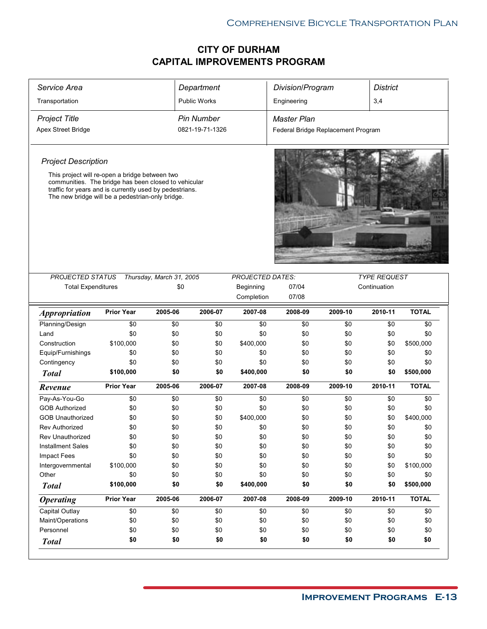| Service Area                                                                                                                                                                                                          |                   |                          | Department          |                         | Division/Program                   |            | <b>District</b>     |              |
|-----------------------------------------------------------------------------------------------------------------------------------------------------------------------------------------------------------------------|-------------------|--------------------------|---------------------|-------------------------|------------------------------------|------------|---------------------|--------------|
| Transportation                                                                                                                                                                                                        |                   |                          | <b>Public Works</b> |                         | Engineering                        |            | 3,4                 |              |
| <b>Project Title</b>                                                                                                                                                                                                  |                   |                          | <b>Pin Number</b>   |                         | <b>Master Plan</b>                 |            |                     |              |
| <b>Apex Street Bridge</b>                                                                                                                                                                                             |                   |                          | 0821-19-71-1326     |                         | Federal Bridge Replacement Program |            |                     |              |
|                                                                                                                                                                                                                       |                   |                          |                     |                         |                                    |            |                     |              |
| <b>Project Description</b>                                                                                                                                                                                            |                   |                          |                     |                         |                                    |            |                     |              |
| This project will re-open a bridge between two<br>communities. The bridge has been closed to vehicular<br>traffic for years and is currently used by pedestrians.<br>The new bridge will be a pedestrian-only bridge. |                   |                          |                     |                         |                                    |            |                     |              |
|                                                                                                                                                                                                                       |                   |                          |                     |                         |                                    |            |                     |              |
| PROJECTED STATUS                                                                                                                                                                                                      |                   | Thursday, March 31, 2005 |                     | <b>PROJECTED DATES:</b> |                                    |            | <b>TYPE REQUEST</b> |              |
| <b>Total Expenditures</b>                                                                                                                                                                                             |                   | \$0                      |                     | Beginning               | 07/04                              |            | Continuation        |              |
|                                                                                                                                                                                                                       |                   |                          |                     | Completion              | 07/08                              |            |                     |              |
| <i><b>Appropriation</b></i>                                                                                                                                                                                           | <b>Prior Year</b> | 2005-06                  | 2006-07             | 2007-08                 | 2008-09                            | 2009-10    | 2010-11             | <b>TOTAL</b> |
| Planning/Design                                                                                                                                                                                                       | \$0               | \$0                      | \$0                 | \$0                     | \$0                                | \$0        | \$0                 | \$0          |
| Land                                                                                                                                                                                                                  | \$0               | \$0                      | \$0                 | \$0                     | \$0                                | \$0        | \$0                 | \$0          |
| Construction                                                                                                                                                                                                          | \$100,000         | \$0                      | \$0                 | \$400,000               | \$0                                | \$0        | \$0                 | \$500,000    |
| Equip/Furnishings                                                                                                                                                                                                     | \$0               | \$0                      | \$0                 | \$0                     | \$0                                | \$0        | \$0                 | \$0          |
| Contingency                                                                                                                                                                                                           | \$0               | \$0                      | \$0                 | \$0                     | \$0                                | \$0        | \$0                 | \$0          |
| <b>Total</b>                                                                                                                                                                                                          | \$100,000         | \$0                      | \$0                 | \$400,000               | \$0                                | \$0        | \$0                 | \$500,000    |
| Revenue                                                                                                                                                                                                               | <b>Prior Year</b> | 2005-06                  | 2006-07             | 2007-08                 | 2008-09                            | 2009-10    | 2010-11             | <b>TOTAL</b> |
| Pay-As-You-Go                                                                                                                                                                                                         | \$0               | \$0                      | \$0                 | \$0                     | \$0                                | \$0        | \$0                 | \$0          |
| <b>GOB Authorized</b>                                                                                                                                                                                                 | \$0               | \$0                      | \$0                 | \$0                     | \$0                                | \$0        | \$0                 | \$0          |
| <b>GOB Unauthorized</b>                                                                                                                                                                                               | \$0               | \$0                      | \$0                 | \$400,000               | \$0                                | \$0        | \$0                 | \$400,000    |
| <b>Rev Authorized</b>                                                                                                                                                                                                 | \$0               | \$0                      | \$0                 | \$0                     | \$0                                | \$0        | \$0                 | \$0          |
| Rev Unauthorized                                                                                                                                                                                                      | \$0               | \$0                      | \$0                 | $\$0$                   | \$0                                | \$0        | $\$0$               | \$0          |
| <b>Installment Sales</b>                                                                                                                                                                                              | \$0               | \$0                      | \$0                 | \$0                     | \$0                                | \$0        | \$0                 | \$0          |
| Impact Fees                                                                                                                                                                                                           | \$0               | \$0                      | \$0                 | \$0                     | \$0                                | \$0        | \$0                 | \$0          |
| Intergovernmental                                                                                                                                                                                                     | \$100,000         | \$0                      | \$0                 | \$0                     | \$0                                | \$0        | \$0                 | \$100,000    |
| Other                                                                                                                                                                                                                 | \$0               | \$0                      | \$0                 | \$0                     | \$0                                | \$0        | \$0                 | \$0          |
| <b>Total</b>                                                                                                                                                                                                          | \$100,000         | \$0                      | \$0                 | \$400,000               | \$0                                | \$0        | \$0                 | \$500,000    |
| <b>Operating</b>                                                                                                                                                                                                      | <b>Prior Year</b> | 2005-06                  | 2006-07             | 2007-08                 | 2008-09                            | 2009-10    | 2010-11             | <b>TOTAL</b> |
| Capital Outlay                                                                                                                                                                                                        | \$0               | \$0                      | \$0                 | \$0                     | \$0                                | \$0        | \$0                 | \$0          |
|                                                                                                                                                                                                                       |                   | \$0                      | \$0                 | \$0                     | \$0                                | \$0        | \$0                 | \$0          |
| Maint/Operations                                                                                                                                                                                                      | \$0               |                          |                     |                         |                                    |            |                     |              |
| Personnel                                                                                                                                                                                                             | \$0<br>\$0        | \$0<br>\$0               | \$0<br>\$0          | \$0<br>\$0              | \$0<br>\$0                         | \$0<br>\$0 | \$0<br>\$0          | \$0<br>\$0   |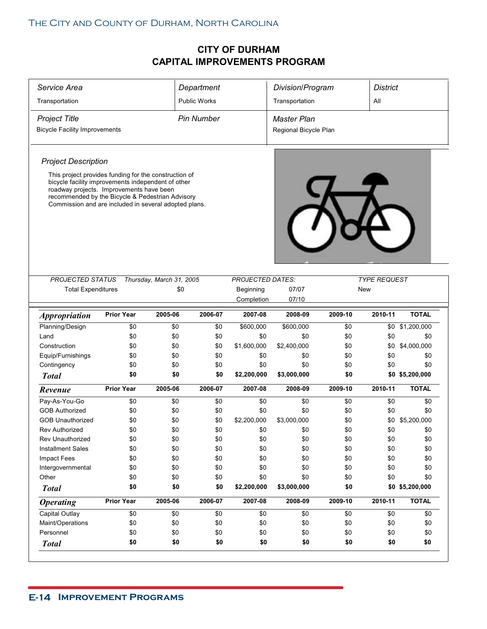| Service Area                                                                                                                                                                                                |                   |                                 | Department          |                         | Division/Program      |            | <b>District</b>     |                 |
|-------------------------------------------------------------------------------------------------------------------------------------------------------------------------------------------------------------|-------------------|---------------------------------|---------------------|-------------------------|-----------------------|------------|---------------------|-----------------|
| Transportation                                                                                                                                                                                              |                   |                                 | <b>Public Works</b> |                         | Transportation        |            | All                 |                 |
| <b>Project Title</b>                                                                                                                                                                                        |                   |                                 | <b>Pin Number</b>   |                         | <b>Master Plan</b>    |            |                     |                 |
| <b>Bicycle Facility Improvements</b>                                                                                                                                                                        |                   |                                 |                     |                         | Regional Bicycle Plan |            |                     |                 |
|                                                                                                                                                                                                             |                   |                                 |                     |                         |                       |            |                     |                 |
| <b>Project Description</b>                                                                                                                                                                                  |                   |                                 |                     |                         |                       |            |                     |                 |
| This project provides funding for the construction of                                                                                                                                                       |                   |                                 |                     |                         |                       |            |                     |                 |
| bicycle facility improvements independent of other<br>roadway projects. Improvements have been<br>recommended by the Bicycle & Pedestrian Advisory<br>Commission and are included in several adopted plans. |                   |                                 |                     |                         |                       |            |                     |                 |
| PROJECTED STATUS                                                                                                                                                                                            |                   |                                 |                     | <b>PROJECTED DATES:</b> |                       |            | <b>TYPE REQUEST</b> |                 |
| <b>Total Expenditures</b>                                                                                                                                                                                   |                   | Thursday, March 31, 2005<br>\$0 |                     | Beginning               | 07/07                 |            | New                 |                 |
|                                                                                                                                                                                                             |                   |                                 |                     | Completion              | 07/10                 |            |                     |                 |
| <b>Appropriation</b>                                                                                                                                                                                        | <b>Prior Year</b> | 2005-06                         | 2006-07             | 2007-08                 | 2008-09               | 2009-10    | 2010-11             | <b>TOTAL</b>    |
| Planning/Design                                                                                                                                                                                             | \$0               | \$0                             | \$0                 | \$600,000               | \$600,000             | \$0        | \$0                 | \$1,200,000     |
| Land                                                                                                                                                                                                        | \$0               | \$0                             | \$0                 | \$0                     | \$0                   | \$0        | \$0                 | \$0             |
| Construction                                                                                                                                                                                                | \$0               | \$0                             | \$0                 | \$1,600,000             | \$2,400,000           | \$0        | \$0                 | \$4,000,000     |
| Equip/Furnishings                                                                                                                                                                                           | \$0               | \$0                             | \$0                 | \$0                     | \$0                   | \$0        | \$0                 | \$0             |
|                                                                                                                                                                                                             | \$0               | \$0                             | \$0                 | \$0                     | \$0                   | \$0        | \$0                 | \$0             |
| Contingency                                                                                                                                                                                                 |                   |                                 |                     |                         | \$3,000,000           | \$0        |                     | \$0 \$5,200,000 |
| <b>Total</b>                                                                                                                                                                                                | \$0               | \$0                             | \$0                 | \$2,200,000             |                       |            |                     |                 |
| Revenue                                                                                                                                                                                                     | <b>Prior Year</b> | 2005-06                         | 2006-07             | 2007-08                 | 2008-09               | 2009-10    | 2010-11             | <b>TOTAL</b>    |
| Pay-As-You-Go                                                                                                                                                                                               | \$0               | \$0                             | \$0                 | \$0                     | \$0                   | \$0        | \$0                 | \$0             |
| <b>GOB Authorized</b>                                                                                                                                                                                       | \$0               | \$0                             | \$0                 | \$0                     | \$0                   | \$0        | \$0                 | \$0             |
| <b>GOB Unauthorized</b>                                                                                                                                                                                     | \$0               | \$0                             | \$0                 | \$2,200,000             | \$3,000,000           | \$0        | \$0                 | \$5,200,000     |
| <b>Rev Authorized</b>                                                                                                                                                                                       | \$0               | \$0                             | \$0                 | \$0                     | \$0                   | \$0        | \$0                 | \$0             |
| Rev Unauthorized                                                                                                                                                                                            | \$0               | \$0                             | \$0                 | \$0                     | \$0                   | \$0        | \$0                 | \$0             |
| <b>Installment Sales</b>                                                                                                                                                                                    | \$0               | \$0                             | \$0                 | \$0                     | \$0                   | \$0        | \$0                 | \$0             |
| Impact Fees                                                                                                                                                                                                 | \$0               | \$0                             | \$0                 | \$0                     | \$0                   | \$0        | \$0                 | \$0             |
| Intergovernmental                                                                                                                                                                                           | \$0               | \$0                             | \$0                 | \$0                     | \$0                   | \$0        | \$0                 | \$0             |
| Other                                                                                                                                                                                                       | \$0               | \$0                             | \$0                 | \$0                     | \$0                   | \$0        | \$0                 | \$0             |
| <b>Total</b>                                                                                                                                                                                                | \$0               | \$0                             | \$0                 | \$2,200,000             | \$3,000,000           | \$0        |                     | \$0 \$5,200,000 |
| <b>Operating</b>                                                                                                                                                                                            | <b>Prior Year</b> | 2005-06                         | 2006-07             | 2007-08                 | 2008-09               | 2009-10    | 2010-11             | <b>TOTAL</b>    |
| Capital Outlay                                                                                                                                                                                              | \$0               | \$0                             | \$0                 | \$0                     | \$0                   | \$0        | \$0                 | \$0             |
| Maint/Operations                                                                                                                                                                                            | \$0               | \$0                             | \$0                 | \$0                     | \$0                   | \$0        | \$0                 | \$0             |
| Personnel                                                                                                                                                                                                   | \$0<br>\$0        | \$0<br>\$0                      | \$0<br>\$0          | \$0<br>\$0              | \$0<br>\$0            | \$0<br>\$0 | \$0<br>\$0          | \$0<br>\$0      |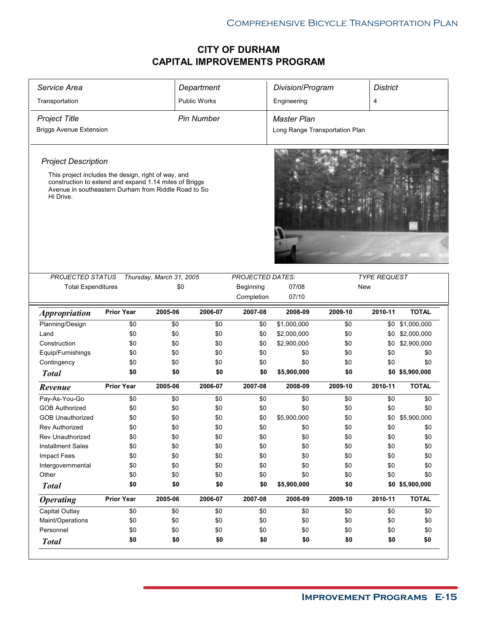| Service Area                                                                                                                                                                                                     |                   |                          | Department          |                  | Division/Program               |            | <b>District</b>     |                 |
|------------------------------------------------------------------------------------------------------------------------------------------------------------------------------------------------------------------|-------------------|--------------------------|---------------------|------------------|--------------------------------|------------|---------------------|-----------------|
| Transportation                                                                                                                                                                                                   |                   |                          | <b>Public Works</b> |                  | Engineering                    |            | 4                   |                 |
| <b>Project Title</b>                                                                                                                                                                                             |                   |                          | <b>Pin Number</b>   |                  | <b>Master Plan</b>             |            |                     |                 |
| <b>Briggs Avenue Extension</b>                                                                                                                                                                                   |                   |                          |                     |                  | Long Range Transportation Plan |            |                     |                 |
| <b>Project Description</b><br>This project includes the design, right of way, and<br>construction to extend and expand 1.14 miles of Briggs<br>Avenue in southeastern Durham from Riddle Road to So<br>Hi Drive. |                   |                          |                     |                  |                                |            |                     |                 |
| PROJECTED STATUS                                                                                                                                                                                                 |                   | Thursday, March 31, 2005 |                     | PROJECTED DATES: |                                |            | <b>TYPE REQUEST</b> |                 |
| <b>Total Expenditures</b>                                                                                                                                                                                        |                   | \$0                      |                     | Beginning        | 07/08                          | New        |                     |                 |
|                                                                                                                                                                                                                  |                   |                          |                     | Completion       | 07/10                          |            |                     |                 |
| <i><b>Appropriation</b></i>                                                                                                                                                                                      | <b>Prior Year</b> | 2005-06                  | 2006-07             | 2007-08          | 2008-09                        | 2009-10    | 2010-11             | <b>TOTAL</b>    |
| Planning/Design                                                                                                                                                                                                  | \$0               | \$0                      | \$0                 | \$0              | \$1,000,000                    | \$0        |                     | \$0 \$1,000,000 |
| Land                                                                                                                                                                                                             | \$0               | \$0                      | \$0                 | \$0              | \$2,000,000                    | \$0        |                     | \$0 \$2,000,000 |
| Construction                                                                                                                                                                                                     | \$0               | \$0                      | \$0                 | \$0              | \$2,900,000                    | \$0        | \$0                 | \$2,900,000     |
| Equip/Furnishings                                                                                                                                                                                                | \$0               | \$0                      | \$0                 | \$0              | \$0                            | \$0        | \$0                 | \$0             |
| Contingency                                                                                                                                                                                                      | \$0               | \$0                      | \$0                 | \$0              | \$0                            | \$0        | \$0                 | \$0             |
| <b>Total</b>                                                                                                                                                                                                     | \$0               | \$0                      | \$0                 | \$0              | \$5,900,000                    | \$0        |                     | \$0 \$5,900,000 |
| Revenue                                                                                                                                                                                                          | <b>Prior Year</b> | 2005-06                  | 2006-07             | 2007-08          | 2008-09                        | 2009-10    | 2010-11             | <b>TOTAL</b>    |
| Pay-As-You-Go                                                                                                                                                                                                    | \$0               | \$0                      | \$0                 | \$0              | \$0                            | \$0        | \$0                 | \$0             |
| <b>GOB Authorized</b>                                                                                                                                                                                            | \$0               | \$0                      | \$0                 | \$0              | \$0                            | \$0        | \$0                 | \$0             |
| <b>GOB Unauthorized</b>                                                                                                                                                                                          | \$0               | \$0                      | \$0                 | \$0              | \$5,900,000                    | \$0        | \$0                 | \$5,900,000     |
| <b>Rev Authorized</b>                                                                                                                                                                                            | \$0               | \$0                      | \$0                 | \$0              | \$0                            | \$0        | \$0                 | \$0             |
| Rev Unauthorized                                                                                                                                                                                                 | \$0               | \$0                      | \$0                 | \$0              | \$0                            | \$0        | \$0                 | \$0             |
| <b>Installment Sales</b>                                                                                                                                                                                         | \$0               | \$0                      | \$0                 | \$0              | \$0                            | \$0        | \$0                 | \$0             |
| Impact Fees                                                                                                                                                                                                      | \$0               | \$0                      | \$0                 | \$0              | \$0                            | \$0        | \$0                 | \$0             |
| Intergovernmental                                                                                                                                                                                                | \$0               | \$0                      | \$0                 | \$0              | \$0                            | \$0        | \$0                 | \$0             |
| Other                                                                                                                                                                                                            | \$0               | \$0                      | \$0                 | \$0              | \$0                            | \$0        | \$0                 | \$0             |
| <b>Total</b>                                                                                                                                                                                                     | \$0               | \$0                      | \$0                 | \$0              | \$5,900,000                    | \$0        |                     | \$0 \$5,900,000 |
| <b>Operating</b>                                                                                                                                                                                                 | <b>Prior Year</b> | 2005-06                  | 2006-07             | 2007-08          | 2008-09                        | 2009-10    | 2010-11             | <b>TOTAL</b>    |
|                                                                                                                                                                                                                  |                   | \$0                      | \$0                 | \$0              | \$0                            | \$0        | \$0                 | \$0             |
| Capital Outlay                                                                                                                                                                                                   | \$0               |                          |                     |                  |                                |            |                     |                 |
| Maint/Operations                                                                                                                                                                                                 | \$0               | \$0                      | \$0                 | \$0              | \$0                            | \$0        | \$0                 | \$0             |
| Personnel                                                                                                                                                                                                        | \$0<br>\$0        | \$0<br>\$0               | \$0<br>\$0          | \$0<br>\$0       | \$0<br>\$0                     | \$0<br>\$0 | \$0<br>\$0          | \$0<br>\$0      |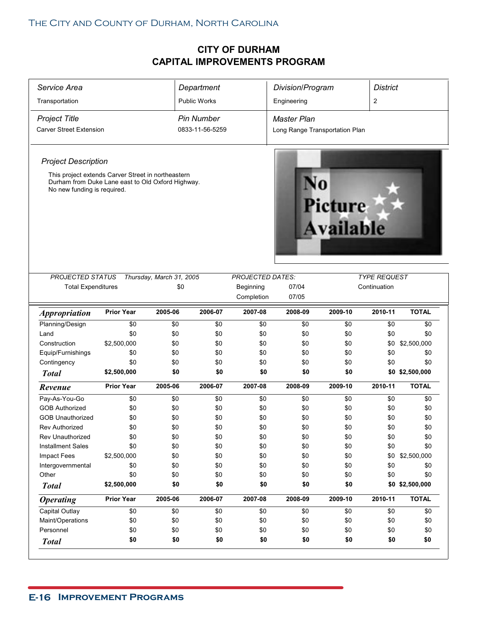| Service Area                                                                                                                           |                   |                          | Department          |                         | Division/Program               |                             | <b>District</b>     |                 |
|----------------------------------------------------------------------------------------------------------------------------------------|-------------------|--------------------------|---------------------|-------------------------|--------------------------------|-----------------------------|---------------------|-----------------|
| Transportation                                                                                                                         |                   |                          | <b>Public Works</b> |                         | Engineering                    |                             | 2                   |                 |
| <b>Project Title</b>                                                                                                                   |                   |                          | <b>Pin Number</b>   |                         | <b>Master Plan</b>             |                             |                     |                 |
| <b>Carver Street Extension</b>                                                                                                         |                   |                          | 0833-11-56-5259     |                         | Long Range Transportation Plan |                             |                     |                 |
|                                                                                                                                        |                   |                          |                     |                         |                                |                             |                     |                 |
| <b>Project Description</b>                                                                                                             |                   |                          |                     |                         |                                |                             |                     |                 |
| This project extends Carver Street in northeastern<br>Durham from Duke Lane east to Old Oxford Highway.<br>No new funding is required. |                   |                          |                     |                         |                                | <b>Picture</b><br>Available |                     |                 |
| <b>PROJECTED STATUS</b>                                                                                                                |                   | Thursday, March 31, 2005 |                     | <b>PROJECTED DATES:</b> |                                |                             | <b>TYPE REQUEST</b> |                 |
| <b>Total Expenditures</b>                                                                                                              |                   | \$0                      |                     | Beginning               | 07/04                          |                             | Continuation        |                 |
|                                                                                                                                        |                   |                          |                     | Completion              | 07/05                          |                             |                     |                 |
| <i><b>Appropriation</b></i>                                                                                                            | <b>Prior Year</b> | 2005-06                  | 2006-07             | 2007-08                 | 2008-09                        | 2009-10                     | 2010-11             | <b>TOTAL</b>    |
| Planning/Design                                                                                                                        | \$0               | \$0                      | \$0                 | \$0                     | \$0                            | \$0                         | \$0                 | \$0             |
| Land                                                                                                                                   | \$0               | \$0                      | \$0                 | \$0                     | \$0                            | \$0                         | \$0                 | \$0             |
| Construction                                                                                                                           | \$2,500,000       | \$0                      | \$0                 | \$0                     | \$0                            | \$0                         | \$0                 | \$2,500,000     |
| Equip/Furnishings                                                                                                                      | \$0               | \$0                      | \$0                 | \$0                     | \$0                            | \$0                         | \$0                 | \$0             |
|                                                                                                                                        |                   |                          |                     |                         |                                |                             |                     |                 |
| Contingency                                                                                                                            | \$0               | \$0                      | \$0                 | \$0                     | \$0                            | \$0                         | \$0                 | \$0             |
| <b>Total</b>                                                                                                                           | \$2,500,000       | \$0                      | \$0                 | \$0                     | \$0                            | \$0                         |                     | \$0 \$2,500,000 |
| Revenue                                                                                                                                | <b>Prior Year</b> | 2005-06                  | 2006-07             | 2007-08                 | 2008-09                        | 2009-10                     | 2010-11             | <b>TOTAL</b>    |
| Pay-As-You-Go                                                                                                                          | \$0               | \$0                      | \$0                 | \$0                     | \$0                            | \$0                         | \$0                 | \$0             |
| <b>GOB Authorized</b>                                                                                                                  | \$0               | \$0                      | \$0                 | \$0                     | \$0                            | \$0                         | \$0                 | \$0             |
| <b>GOB Unauthorized</b>                                                                                                                | \$0               | \$0                      | \$0                 | \$0                     | \$0                            | \$0                         | \$0                 | \$0             |
| <b>Rev Authorized</b>                                                                                                                  | \$0               | \$0                      | \$0                 | \$0                     | \$0                            | \$0                         | \$0                 | \$0             |
| Rev Unauthorized                                                                                                                       | \$0               | \$0                      | \$0                 | \$0                     | \$0                            | \$0                         | \$0                 | \$0             |
| <b>Installment Sales</b>                                                                                                               | \$0               | \$0                      | \$0                 | \$0                     | \$0                            | \$0                         | \$0                 | \$0             |
| <b>Impact Fees</b>                                                                                                                     | \$2,500,000       | \$0                      | \$0                 | \$0                     | \$0                            | \$0                         | \$0                 | \$2,500,000     |
| Intergovernmental                                                                                                                      | \$0               | \$0                      | \$0                 | \$0                     | \$0                            | \$0                         | \$0                 | \$0             |
| Other                                                                                                                                  | \$0               | \$0                      | \$0                 | \$0                     | \$0                            | \$0                         | \$0                 | \$0             |
| <b>Total</b>                                                                                                                           | \$2,500,000       | \$0                      | \$0                 | \$0                     | \$0                            | \$0                         |                     | \$0 \$2,500,000 |
| <b>Operating</b>                                                                                                                       | <b>Prior Year</b> | 2005-06                  | 2006-07             | 2007-08                 | 2008-09                        | 2009-10                     | 2010-11             | <b>TOTAL</b>    |
| Capital Outlay                                                                                                                         | \$0               | \$0                      | \$0                 | \$0                     | \$0                            | \$0                         | \$0                 | \$0             |
| Maint/Operations                                                                                                                       | \$0               | \$0                      | \$0                 | \$0                     | \$0                            | \$0                         | \$0                 | \$0             |
| Personnel                                                                                                                              | \$0               | \$0                      | \$0                 | \$0                     | \$0                            | \$0                         | \$0                 | \$0             |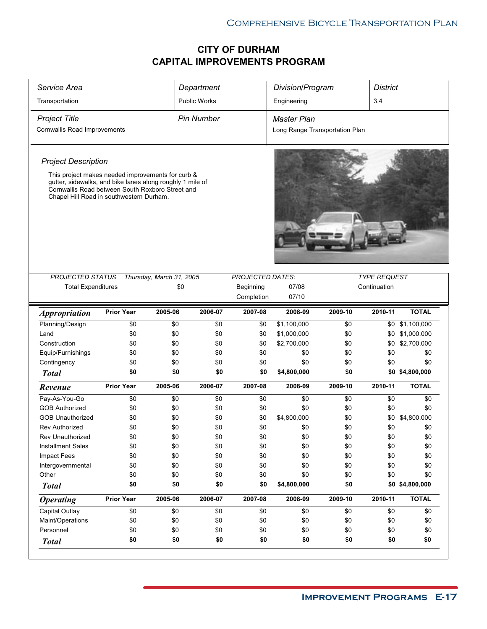| Service Area                                                                                                                                                                                                   |                   |                          | Department          |                         | Division/Program               |         | <b>District</b>     |                 |
|----------------------------------------------------------------------------------------------------------------------------------------------------------------------------------------------------------------|-------------------|--------------------------|---------------------|-------------------------|--------------------------------|---------|---------------------|-----------------|
| Transportation                                                                                                                                                                                                 |                   |                          | <b>Public Works</b> |                         | Engineering                    |         | 3,4                 |                 |
| <b>Project Title</b>                                                                                                                                                                                           |                   |                          | <b>Pin Number</b>   |                         | <b>Master Plan</b>             |         |                     |                 |
| Cornwallis Road Improvements                                                                                                                                                                                   |                   |                          |                     |                         | Long Range Transportation Plan |         |                     |                 |
| <b>Project Description</b>                                                                                                                                                                                     |                   |                          |                     |                         |                                |         |                     |                 |
| This project makes needed improvements for curb &<br>gutter, sidewalks, and bike lanes along roughly 1 mile of<br>Cornwallis Road between South Roxboro Street and<br>Chapel Hill Road in southwestern Durham. |                   |                          |                     |                         |                                |         |                     |                 |
|                                                                                                                                                                                                                |                   |                          |                     |                         |                                |         |                     |                 |
| <b>PROJECTED STATUS</b>                                                                                                                                                                                        |                   | Thursday, March 31, 2005 |                     | <b>PROJECTED DATES:</b> |                                |         | <b>TYPE REQUEST</b> |                 |
| <b>Total Expenditures</b>                                                                                                                                                                                      |                   | \$0                      |                     | Beginning               | 07/08                          |         | Continuation        |                 |
|                                                                                                                                                                                                                |                   |                          |                     | Completion              | 07/10                          |         |                     |                 |
| <i><b>Appropriation</b></i>                                                                                                                                                                                    | <b>Prior Year</b> | 2005-06                  | 2006-07             | 2007-08                 | 2008-09                        | 2009-10 | 2010-11             | <b>TOTAL</b>    |
| Planning/Design                                                                                                                                                                                                | \$0               | \$0                      | \$0                 | \$0                     | \$1,100,000                    | \$0     | \$0                 | \$1,100,000     |
| Land                                                                                                                                                                                                           | \$0               | \$0                      | \$0                 | \$0                     | \$1,000,000                    | \$0     | \$0                 | \$1,000,000     |
| Construction                                                                                                                                                                                                   | \$0               | \$0                      | \$0                 | \$0                     | \$2,700,000                    | \$0     | \$0                 | \$2,700,000     |
| Equip/Furnishings                                                                                                                                                                                              | \$0               | \$0                      | \$0                 | \$0                     | \$0                            | \$0     | \$0                 | \$0             |
| Contingency                                                                                                                                                                                                    | \$0               | \$0                      | \$0                 | \$0                     | \$0                            | \$0     | \$0                 | \$0             |
| <b>Total</b>                                                                                                                                                                                                   | \$0               | \$0                      | \$0                 | \$0                     | \$4,800,000                    | \$0     |                     | \$0 \$4,800,000 |
| Revenue                                                                                                                                                                                                        | <b>Prior Year</b> | 2005-06                  | 2006-07             | 2007-08                 | 2008-09                        | 2009-10 | 2010-11             | <b>TOTAL</b>    |
| Pay-As-You-Go                                                                                                                                                                                                  | \$0               | \$0                      | \$0                 | \$0                     | \$0                            | \$0     | \$0                 | \$0             |
| <b>GOB Authorized</b>                                                                                                                                                                                          | \$0               |                          |                     |                         |                                |         |                     |                 |
|                                                                                                                                                                                                                |                   | \$0                      | \$0                 | \$0                     | \$0                            | \$0     | \$0                 | \$0             |
| <b>GOB Unauthorized</b>                                                                                                                                                                                        | \$0               | \$0                      | \$0                 | \$0                     | \$4,800,000                    | \$0     | \$0                 | \$4,800,000     |
| <b>Rev Authorized</b>                                                                                                                                                                                          | \$0               | \$0                      | \$0                 | \$0                     | \$0                            | \$0     | \$0                 | \$0             |
| Rev Unauthorized                                                                                                                                                                                               | \$0               | \$0                      | \$0                 | \$0                     | \$0                            | \$0     | \$0                 | \$0             |
| <b>Installment Sales</b>                                                                                                                                                                                       | \$0               | \$0                      | \$0                 | \$0                     | \$0                            | \$0     | \$0                 | \$0             |
| Impact Fees                                                                                                                                                                                                    | \$0               | \$0                      | \$0                 | \$0                     | \$0                            | \$0     | \$0                 | \$0             |
| Intergovernmental                                                                                                                                                                                              | \$0               | \$0                      | \$0                 | \$0                     | \$0                            | \$0     | \$0                 | \$0             |
| Other                                                                                                                                                                                                          | \$0               | \$0                      | \$0                 | \$0                     | \$0                            | \$0     | \$0                 | \$0             |
| <b>Total</b>                                                                                                                                                                                                   | \$0               | \$0                      | \$0                 | \$0                     | \$4,800,000                    | \$0     |                     | \$0 \$4,800,000 |
| <b>Operating</b>                                                                                                                                                                                               | <b>Prior Year</b> | 2005-06                  | 2006-07             | 2007-08                 | 2008-09                        | 2009-10 | 2010-11             | <b>TOTAL</b>    |
| Capital Outlay                                                                                                                                                                                                 | \$0               | \$0                      | \$0                 | \$0                     | \$0                            | \$0     | \$0                 | \$0             |
| Maint/Operations                                                                                                                                                                                               | \$0               | \$0                      | \$0                 | \$0                     | \$0                            | \$0     | \$0                 | \$0             |
| Personnel                                                                                                                                                                                                      | \$0<br>\$0        | \$0<br>\$0               | \$0<br>\$0          | \$0<br>\$0              | \$0                            | \$0     | \$0                 | \$0             |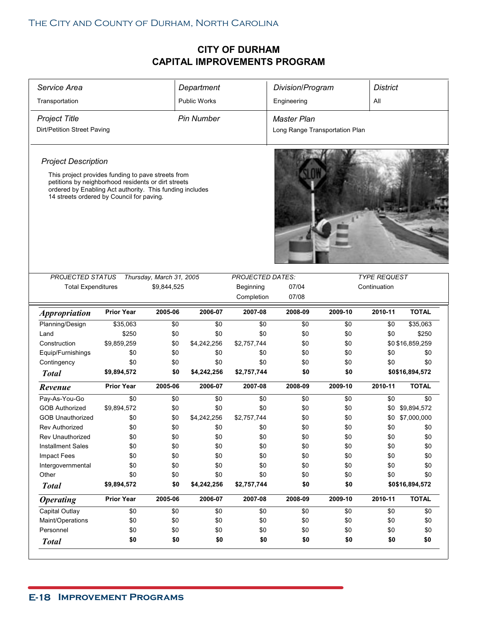| Service Area                                                                                                                                                                                                       |                   |                          | Department          |                         | Division/Program               |         | <b>District</b>     |                  |  |
|--------------------------------------------------------------------------------------------------------------------------------------------------------------------------------------------------------------------|-------------------|--------------------------|---------------------|-------------------------|--------------------------------|---------|---------------------|------------------|--|
| Transportation                                                                                                                                                                                                     |                   |                          | <b>Public Works</b> |                         | Engineering                    |         | All                 |                  |  |
| <b>Project Title</b>                                                                                                                                                                                               |                   |                          | <b>Pin Number</b>   |                         | <b>Master Plan</b>             |         |                     |                  |  |
| Dirt/Petition Street Paving                                                                                                                                                                                        |                   |                          |                     |                         | Long Range Transportation Plan |         |                     |                  |  |
|                                                                                                                                                                                                                    |                   |                          |                     |                         |                                |         |                     |                  |  |
| <b>Project Description</b>                                                                                                                                                                                         |                   |                          |                     |                         |                                |         |                     |                  |  |
| This project provides funding to pave streets from<br>petitions by neighborhood residents or dirt streets<br>ordered by Enabling Act authority. This funding includes<br>14 streets ordered by Council for paving. |                   |                          |                     |                         |                                |         |                     |                  |  |
| <b>PROJECTED STATUS</b>                                                                                                                                                                                            |                   | Thursday, March 31, 2005 |                     | <b>PROJECTED DATES:</b> |                                |         | <b>TYPE REQUEST</b> |                  |  |
| <b>Total Expenditures</b>                                                                                                                                                                                          |                   | \$9,844,525              |                     | Beginning               | 07/04                          |         | Continuation        |                  |  |
|                                                                                                                                                                                                                    |                   |                          |                     | Completion              | 07/08                          |         |                     |                  |  |
| <i><b>Appropriation</b></i>                                                                                                                                                                                        | <b>Prior Year</b> | 2005-06                  | 2006-07             | 2007-08                 | 2008-09                        | 2009-10 | 2010-11             | <b>TOTAL</b>     |  |
| Planning/Design                                                                                                                                                                                                    | \$35,063          | \$0                      | \$0                 | \$0                     | \$0                            | \$0     | \$0                 | \$35,063         |  |
| Land                                                                                                                                                                                                               | \$250             | \$0                      | \$0                 | \$0                     | \$0                            | \$0     | \$0                 | \$250            |  |
| Construction                                                                                                                                                                                                       | \$9,859,259       | \$0                      | \$4,242,256         | \$2,757,744             | \$0                            | \$0     |                     | \$0 \$16,859,259 |  |
| Equip/Furnishings                                                                                                                                                                                                  | \$0               | \$0                      | \$0                 | \$0                     | \$0                            | \$0     | \$0                 | \$0              |  |
| Contingency                                                                                                                                                                                                        | \$0               | \$0                      | \$0                 | \$0                     | \$0                            | \$0     | \$0                 | \$0              |  |
| <b>Total</b>                                                                                                                                                                                                       | \$9,894,572       | \$0                      | \$4,242,256         | \$2,757,744             | \$0                            | \$0     |                     | \$0\$16,894,572  |  |
| Revenue                                                                                                                                                                                                            | <b>Prior Year</b> | 2005-06                  | 2006-07             | 2007-08                 | 2008-09                        | 2009-10 | 2010-11             | <b>TOTAL</b>     |  |
| Pay-As-You-Go                                                                                                                                                                                                      | \$0               | \$0                      | \$0                 | \$0                     | \$0                            | \$0     | \$0                 | \$0              |  |
| <b>GOB Authorized</b>                                                                                                                                                                                              | \$9,894,572       | \$0                      | \$0                 | \$0                     | \$0                            | \$0     |                     | \$0 \$9,894,572  |  |
| <b>GOB Unauthorized</b>                                                                                                                                                                                            | \$0               | \$0                      | \$4,242,256         | \$2,757,744             | \$0                            | \$0     | \$0                 | \$7,000,000      |  |
| <b>Rev Authorized</b>                                                                                                                                                                                              | \$0               | \$0                      | \$0                 | \$0                     | \$0                            | \$0     | \$0                 | \$0              |  |
| Rev Unauthorized                                                                                                                                                                                                   | \$0               | \$0                      | \$0                 | \$0                     | \$0                            | \$0     | \$0                 | \$0              |  |
| <b>Installment Sales</b>                                                                                                                                                                                           | \$0               | \$0                      | \$0                 | \$0                     | \$0                            | \$0     | \$0                 | \$0              |  |
| <b>Impact Fees</b>                                                                                                                                                                                                 | \$0               | \$0                      | \$0                 | \$0                     | \$0                            | \$0     | \$0                 | \$0              |  |
| Intergovernmental                                                                                                                                                                                                  | \$0               | \$0                      | \$0                 | \$0                     | \$0                            | \$0     | \$0                 | \$0              |  |
| Other                                                                                                                                                                                                              | \$0               | \$0                      | \$0                 | \$0                     | \$0                            | \$0     | \$0                 | \$0              |  |
| <b>Total</b>                                                                                                                                                                                                       | \$9,894,572       | \$0                      | \$4,242,256         | \$2,757,744             | \$0                            | \$0     |                     | \$0\$16,894,572  |  |
| <b>Operating</b>                                                                                                                                                                                                   | <b>Prior Year</b> | 2005-06                  | 2006-07             | 2007-08                 | 2008-09                        | 2009-10 | 2010-11             | <b>TOTAL</b>     |  |
|                                                                                                                                                                                                                    | \$0               | \$0                      | \$0                 | \$0                     | \$0                            | \$0     | \$0                 | \$0              |  |
| Capital Outlay                                                                                                                                                                                                     |                   |                          |                     |                         |                                |         |                     |                  |  |
| Maint/Operations                                                                                                                                                                                                   | \$0               | \$0                      | \$0                 | \$0                     | \$0                            | \$0     | \$0                 | \$0              |  |
| Personnel                                                                                                                                                                                                          | \$0<br>\$0        | \$0                      | \$0                 | \$0                     | \$0                            | \$0     | \$0                 | \$0              |  |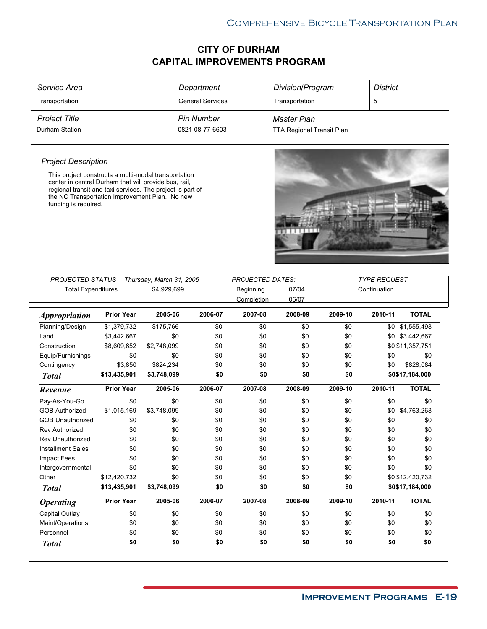| Service Area                                                                                                                                                                                                                                          |                   |                          | Department              |                         | Division/Program          |         | <b>District</b>     |                  |
|-------------------------------------------------------------------------------------------------------------------------------------------------------------------------------------------------------------------------------------------------------|-------------------|--------------------------|-------------------------|-------------------------|---------------------------|---------|---------------------|------------------|
| Transportation                                                                                                                                                                                                                                        |                   |                          | <b>General Services</b> |                         | Transportation            |         | 5                   |                  |
| <b>Project Title</b>                                                                                                                                                                                                                                  |                   |                          | <b>Pin Number</b>       |                         | Master Plan               |         |                     |                  |
| Durham Station                                                                                                                                                                                                                                        |                   |                          | 0821-08-77-6603         |                         | TTA Regional Transit Plan |         |                     |                  |
|                                                                                                                                                                                                                                                       |                   |                          |                         |                         |                           |         |                     |                  |
| <b>Project Description</b>                                                                                                                                                                                                                            |                   |                          |                         |                         |                           |         |                     |                  |
| This project constructs a multi-modal transportation<br>center in central Durham that will provide bus, rail,<br>regional transit and taxi services. The project is part of<br>the NC Transportation Improvement Plan. No new<br>funding is required. |                   |                          |                         |                         |                           |         |                     |                  |
| <b>PROJECTED STATUS</b>                                                                                                                                                                                                                               |                   | Thursday, March 31, 2005 |                         | <b>PROJECTED DATES:</b> |                           |         | <b>TYPE REQUEST</b> |                  |
| <b>Total Expenditures</b>                                                                                                                                                                                                                             |                   | \$4,929,699              |                         | Beginning               | 07/04                     |         | Continuation        |                  |
|                                                                                                                                                                                                                                                       |                   |                          |                         | Completion              | 06/07                     |         |                     |                  |
| <i><b>Appropriation</b></i>                                                                                                                                                                                                                           | <b>Prior Year</b> | 2005-06                  | 2006-07                 | 2007-08                 | 2008-09                   | 2009-10 | 2010-11             | <b>TOTAL</b>     |
| Planning/Design                                                                                                                                                                                                                                       | \$1,379,732       | \$175,766                | \$0                     | \$0                     | \$0                       | \$0     | \$0                 | \$1,555,498      |
| Land                                                                                                                                                                                                                                                  | \$3,442,667       | \$0                      | \$0                     | \$0                     | \$0                       | \$0     |                     | \$0 \$3,442,667  |
| Construction                                                                                                                                                                                                                                          | \$8,609,652       | \$2,748,099              | \$0                     | \$0                     | \$0                       | \$0     |                     | \$0 \$11,357,751 |
| Equip/Furnishings                                                                                                                                                                                                                                     | \$0               | \$0                      | \$0                     | \$0                     | \$0                       | \$0     | \$0                 | \$0              |
| Contingency                                                                                                                                                                                                                                           | \$3,850           | \$824,234                | \$0                     | \$0                     | \$0                       | \$0     | \$0                 | \$828,084        |
| <b>Total</b>                                                                                                                                                                                                                                          | \$13,435,901      | \$3,748,099              | \$0                     | \$0                     | \$0                       | \$0     |                     | \$0\$17,184,000  |
| Revenue                                                                                                                                                                                                                                               | <b>Prior Year</b> | 2005-06                  | 2006-07                 | 2007-08                 | 2008-09                   | 2009-10 | 2010-11             | <b>TOTAL</b>     |
| Pay-As-You-Go                                                                                                                                                                                                                                         | \$0               | \$0                      | \$0                     | \$0                     | \$0                       | \$0     | \$0                 | \$0              |
| <b>GOB Authorized</b>                                                                                                                                                                                                                                 | \$1,015,169       | \$3,748,099              | \$0                     | \$0                     | \$0                       | \$0     | \$0                 | \$4,763,268      |
| <b>GOB Unauthorized</b>                                                                                                                                                                                                                               | \$0               | \$0                      | \$0                     | \$0                     | \$0                       | \$0     | \$0                 | \$0              |
| <b>Rev Authorized</b>                                                                                                                                                                                                                                 | \$0               | \$0                      | \$0                     | \$0                     | \$0                       | \$0     | \$0                 | \$0              |
| Rev Unauthorized                                                                                                                                                                                                                                      | \$0               | \$0                      | \$0                     | \$0                     | \$0                       | \$0     | \$0                 | \$0              |
| <b>Installment Sales</b>                                                                                                                                                                                                                              | \$0               | \$0                      | \$0                     | \$0                     | \$0                       | \$0     | \$0                 | \$0              |
| Impact Fees                                                                                                                                                                                                                                           | \$0               | \$0                      | \$0                     | \$0                     | \$0                       | \$0     | \$0                 | \$0              |
| Intergovernmental                                                                                                                                                                                                                                     | \$0               | \$0                      | \$0                     | \$0                     | \$0                       | \$0     | \$0                 | \$0              |
| Other                                                                                                                                                                                                                                                 | \$12,420,732      | \$0                      | \$0                     | \$0                     | \$0                       | \$0     |                     | \$0 \$12,420,732 |
| <b>Total</b>                                                                                                                                                                                                                                          | \$13,435,901      | \$3,748,099              | \$0                     | \$0                     | \$0                       | \$0     |                     | \$0\$17,184,000  |
| <b>Operating</b>                                                                                                                                                                                                                                      | <b>Prior Year</b> | 2005-06                  | 2006-07                 | 2007-08                 | 2008-09                   | 2009-10 | 2010-11             | <b>TOTAL</b>     |
| Capital Outlay                                                                                                                                                                                                                                        | \$0               | \$0                      | \$0                     | \$0                     | \$0                       | \$0     | \$0                 | \$0              |
| Maint/Operations                                                                                                                                                                                                                                      | \$0               | \$0                      | \$0                     | \$0                     | \$0                       | \$0     | \$0                 | \$0              |
|                                                                                                                                                                                                                                                       |                   |                          |                         |                         |                           |         |                     |                  |
| Personnel                                                                                                                                                                                                                                             | \$0               | \$0                      | \$0                     | \$0                     | \$0                       | \$0     | \$0                 | \$0              |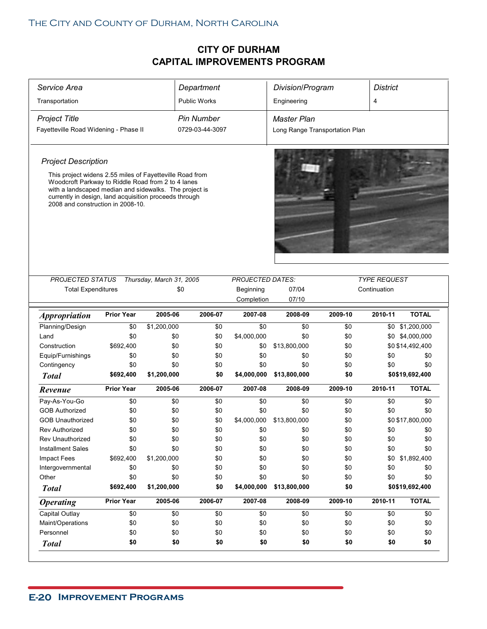| Service Area                                                                                                                                                                                                                                                            |                   |                                 | Department          |                                                    | Division/Program               |         | <b>District</b>                     |                  |
|-------------------------------------------------------------------------------------------------------------------------------------------------------------------------------------------------------------------------------------------------------------------------|-------------------|---------------------------------|---------------------|----------------------------------------------------|--------------------------------|---------|-------------------------------------|------------------|
| Transportation                                                                                                                                                                                                                                                          |                   |                                 | <b>Public Works</b> |                                                    | Engineering                    |         | 4                                   |                  |
| <b>Project Title</b>                                                                                                                                                                                                                                                    |                   |                                 | <b>Pin Number</b>   |                                                    | <b>Master Plan</b>             |         |                                     |                  |
| Fayetteville Road Widening - Phase II                                                                                                                                                                                                                                   |                   |                                 | 0729-03-44-3097     |                                                    | Long Range Transportation Plan |         |                                     |                  |
|                                                                                                                                                                                                                                                                         |                   |                                 |                     |                                                    |                                |         |                                     |                  |
| <b>Project Description</b>                                                                                                                                                                                                                                              |                   |                                 |                     |                                                    |                                |         |                                     |                  |
| This project widens 2.55 miles of Fayetteville Road from<br>Woodcroft Parkway to Riddle Road from 2 to 4 lanes<br>with a landscaped median and sidewalks. The project is<br>currently in design, land acquisition proceeds through<br>2008 and construction in 2008-10. |                   |                                 |                     |                                                    |                                |         |                                     |                  |
| <b>PROJECTED STATUS</b><br><b>Total Expenditures</b>                                                                                                                                                                                                                    |                   | Thursday, March 31, 2005<br>\$0 |                     | <b>PROJECTED DATES:</b><br>Beginning<br>Completion | 07/04<br>07/10                 |         | <b>TYPE REQUEST</b><br>Continuation |                  |
| <b>Appropriation</b>                                                                                                                                                                                                                                                    | <b>Prior Year</b> | 2005-06                         | 2006-07             | 2007-08                                            | 2008-09                        | 2009-10 | 2010-11                             | <b>TOTAL</b>     |
| Planning/Design                                                                                                                                                                                                                                                         | \$0               | \$1,200,000                     | \$0                 | \$0                                                | \$0                            | \$0     |                                     | \$0 \$1,200,000  |
| Land                                                                                                                                                                                                                                                                    | \$0               | \$0                             | \$0                 | \$4,000,000                                        | \$0                            | \$0     |                                     | \$0 \$4,000,000  |
| Construction                                                                                                                                                                                                                                                            | \$692,400         | \$0                             | \$0                 | \$0                                                | \$13,800,000                   | \$0     |                                     | \$0 \$14,492,400 |
| Equip/Furnishings                                                                                                                                                                                                                                                       | \$0               | \$0                             | \$0                 | \$0                                                | \$0                            | \$0     | \$0                                 | \$0              |
| Contingency                                                                                                                                                                                                                                                             | \$0               | \$0                             | \$0                 | \$0                                                | \$0                            | \$0     | \$0                                 | \$0              |
| <b>Total</b>                                                                                                                                                                                                                                                            | \$692,400         | \$1,200,000                     | \$0                 | \$4,000,000                                        | \$13,800,000                   | \$0     |                                     | \$0\$19,692,400  |
| Revenue                                                                                                                                                                                                                                                                 | <b>Prior Year</b> | 2005-06                         | 2006-07             | 2007-08                                            | 2008-09                        | 2009-10 | 2010-11                             | <b>TOTAL</b>     |
| Pay-As-You-Go                                                                                                                                                                                                                                                           | \$0               | \$0                             | \$0                 | \$0                                                | \$0                            | \$0     | \$0                                 | \$0              |
| <b>GOB Authorized</b>                                                                                                                                                                                                                                                   | \$0               | \$0                             | \$0                 | \$0                                                | \$0                            | \$0     | \$0                                 | \$0              |
| <b>GOB Unauthorized</b>                                                                                                                                                                                                                                                 | \$0               | \$0                             | \$0                 | \$4,000,000                                        | \$13,800,000                   | \$0     |                                     | \$0 \$17,800,000 |
|                                                                                                                                                                                                                                                                         | \$0               | \$0                             | \$0                 | \$0                                                | \$0                            | \$0     | \$0                                 | \$0              |
| Rev Authorized                                                                                                                                                                                                                                                          |                   |                                 |                     |                                                    |                                |         | \$0                                 | \$0              |
| <b>Rev Unauthorized</b>                                                                                                                                                                                                                                                 | \$0               | \$0                             | \$0                 | \$0                                                | \$0                            | \$0     |                                     |                  |
| <b>Installment Sales</b>                                                                                                                                                                                                                                                | \$0               | \$0                             | \$0                 | \$0                                                | \$0                            | \$0     | \$0                                 | \$0              |
| Impact Fees                                                                                                                                                                                                                                                             | \$692,400         | \$1,200,000                     | \$0                 | \$0                                                | \$0                            | \$0     |                                     | \$0 \$1,892,400  |
| Intergovernmental                                                                                                                                                                                                                                                       | \$0               | \$0                             | \$0                 | \$0                                                | \$0                            | \$0     | \$0                                 | \$0              |
| Other                                                                                                                                                                                                                                                                   | \$0               | \$0                             | \$0                 | \$0                                                | \$0                            | \$0     | \$0                                 | \$0              |
| <b>Total</b>                                                                                                                                                                                                                                                            | \$692,400         | \$1,200,000                     | \$0                 | \$4,000,000                                        | \$13,800,000                   | \$0     |                                     | \$0\$19,692,400  |
| <b>Operating</b>                                                                                                                                                                                                                                                        | <b>Prior Year</b> | 2005-06                         | 2006-07             | 2007-08                                            | 2008-09                        | 2009-10 | 2010-11                             | <b>TOTAL</b>     |
| Capital Outlay                                                                                                                                                                                                                                                          | \$0               | \$0                             | \$0                 | \$0                                                | \$0                            | \$0     | \$0                                 | \$0              |
| Maint/Operations                                                                                                                                                                                                                                                        | \$0               | \$0                             | \$0                 | \$0                                                | \$0                            | \$0     | \$0                                 | \$0              |
| Personnel                                                                                                                                                                                                                                                               | \$0               | \$0                             | \$0                 | \$0                                                | \$0                            | \$0     | \$0                                 | \$0              |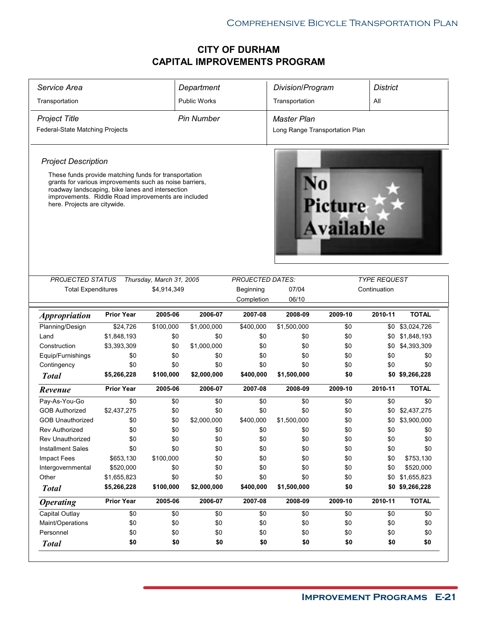|                                                                                                                                                                                                                                                                                           |                            |                                         | Department          |                                                    | Division/Program               |                      | <b>District</b>                     |                                |
|-------------------------------------------------------------------------------------------------------------------------------------------------------------------------------------------------------------------------------------------------------------------------------------------|----------------------------|-----------------------------------------|---------------------|----------------------------------------------------|--------------------------------|----------------------|-------------------------------------|--------------------------------|
| Transportation                                                                                                                                                                                                                                                                            |                            |                                         | <b>Public Works</b> |                                                    | Transportation                 |                      | All                                 |                                |
| <b>Project Title</b>                                                                                                                                                                                                                                                                      |                            |                                         | <b>Pin Number</b>   |                                                    | <b>Master Plan</b>             |                      |                                     |                                |
| Federal-State Matching Projects                                                                                                                                                                                                                                                           |                            |                                         |                     |                                                    | Long Range Transportation Plan |                      |                                     |                                |
|                                                                                                                                                                                                                                                                                           |                            |                                         |                     |                                                    |                                |                      |                                     |                                |
| <b>Project Description</b><br>These funds provide matching funds for transportation<br>grants for various improvements such as noise barriers,<br>roadway landscaping, bike lanes and intersection<br>improvements. Riddle Road improvements are included<br>here. Projects are citywide. |                            |                                         |                     |                                                    |                                | Picture<br>Available |                                     |                                |
| PROJECTED STATUS<br><b>Total Expenditures</b>                                                                                                                                                                                                                                             |                            | Thursday, March 31, 2005<br>\$4,914,349 |                     | <b>PROJECTED DATES:</b><br>Beginning<br>Completion | 07/04<br>06/10                 |                      | <b>TYPE REQUEST</b><br>Continuation |                                |
| <b>Appropriation</b>                                                                                                                                                                                                                                                                      | <b>Prior Year</b>          | 2005-06                                 | 2006-07             | 2007-08                                            | 2008-09                        | 2009-10              | 2010-11                             | <b>TOTAL</b>                   |
| Planning/Design                                                                                                                                                                                                                                                                           | \$24,726                   | \$100,000                               | \$1,000,000         | \$400,000                                          | \$1,500,000                    | \$0                  |                                     | \$0 \$3,024,726                |
| Land                                                                                                                                                                                                                                                                                      | \$1,848,193                | \$0                                     | \$0                 | \$0                                                | \$0                            | \$0                  |                                     | \$0 \$1,848,193                |
| Construction                                                                                                                                                                                                                                                                              | \$3,393,309                | \$0                                     | \$1,000,000         | \$0                                                | \$0                            | \$0                  | \$0                                 | \$4,393,309                    |
|                                                                                                                                                                                                                                                                                           |                            |                                         |                     |                                                    |                                |                      |                                     |                                |
| Equip/Furnishings                                                                                                                                                                                                                                                                         | \$0                        | \$0                                     | \$0                 | \$0                                                | \$0                            | \$0                  | \$0                                 | \$0                            |
| Contingency                                                                                                                                                                                                                                                                               | \$0                        | \$0                                     | \$0                 | \$0                                                | \$0                            | \$0                  | \$0                                 | \$0                            |
| <b>Total</b>                                                                                                                                                                                                                                                                              | \$5,266,228                | \$100,000                               | \$2,000,000         | \$400,000                                          | \$1,500,000                    | \$0                  |                                     | \$0 \$9,266,228                |
| Revenue                                                                                                                                                                                                                                                                                   | <b>Prior Year</b>          | 2005-06                                 | 2006-07             | 2007-08                                            | 2008-09                        | 2009-10              | 2010-11                             | <b>TOTAL</b>                   |
| Pay-As-You-Go                                                                                                                                                                                                                                                                             | \$0                        | \$0                                     | \$0                 | \$0                                                | \$0                            | \$0                  | \$0                                 | \$0                            |
| <b>GOB Authorized</b>                                                                                                                                                                                                                                                                     | \$2,437,275                | \$0                                     | \$0                 | \$0                                                | \$0                            | \$0                  | \$0                                 | \$2,437,275                    |
| <b>GOB Unauthorized</b>                                                                                                                                                                                                                                                                   | \$0                        | \$0                                     | \$2,000,000         | \$400,000                                          | \$1,500,000                    | \$0                  | \$0                                 | \$3,900,000                    |
| <b>Rev Authorized</b>                                                                                                                                                                                                                                                                     | \$0                        | \$0                                     | \$0                 | \$0                                                | \$0                            | \$0                  |                                     | \$0                            |
| Rev Unauthorized                                                                                                                                                                                                                                                                          |                            |                                         |                     |                                                    |                                |                      | \$0                                 |                                |
| <b>Installment Sales</b>                                                                                                                                                                                                                                                                  | \$0<br>\$0                 | \$0<br>\$0                              | \$0<br>\$0          | \$0<br>\$0                                         | \$0<br>\$0                     | \$0<br>\$0           | \$0<br>\$0                          | \$0<br>\$0                     |
| <b>Impact Fees</b>                                                                                                                                                                                                                                                                        |                            | \$100,000                               | \$0                 | \$0                                                | \$0                            | \$0                  | \$0                                 | \$753,130                      |
| Intergovernmental                                                                                                                                                                                                                                                                         | \$653,130<br>\$520,000     | \$0                                     | \$0                 | \$0                                                | \$0                            | \$0                  | \$0                                 | \$520,000                      |
| Other                                                                                                                                                                                                                                                                                     |                            | \$0                                     |                     |                                                    | \$0                            |                      | \$0                                 |                                |
| <b>Total</b>                                                                                                                                                                                                                                                                              | \$1,655,823<br>\$5,266,228 | \$100,000                               | \$0<br>\$2,000,000  | \$0<br>\$400,000                                   | \$1,500,000                    | \$0<br>\$0           |                                     | \$1,655,823<br>\$0 \$9,266,228 |
|                                                                                                                                                                                                                                                                                           | <b>Prior Year</b>          | 2005-06                                 | 2006-07             | 2007-08                                            | 2008-09                        | 2009-10              | 2010-11                             | <b>TOTAL</b>                   |
| <b>Operating</b><br>Capital Outlay                                                                                                                                                                                                                                                        | \$0                        | \$0                                     |                     |                                                    | \$0                            | \$0                  | \$0                                 | \$0                            |
|                                                                                                                                                                                                                                                                                           |                            |                                         | \$0                 | \$0                                                |                                |                      | \$0                                 | \$0                            |
| Maint/Operations<br>Personnel                                                                                                                                                                                                                                                             | \$0<br>\$0                 | \$0<br>\$0                              | \$0<br>\$0          | \$0<br>\$0                                         | \$0<br>\$0                     | \$0<br>\$0           | \$0                                 | \$0                            |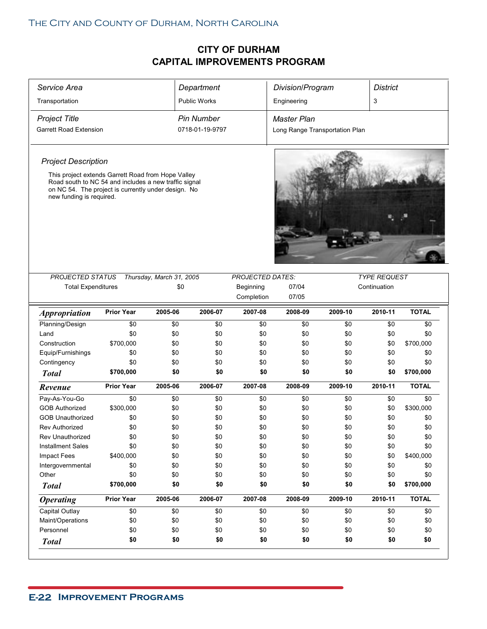| Service Area                                                                                                                                                                                   |                   |                          | Department          |                         | Division/Program               |         | <b>District</b>     |              |  |
|------------------------------------------------------------------------------------------------------------------------------------------------------------------------------------------------|-------------------|--------------------------|---------------------|-------------------------|--------------------------------|---------|---------------------|--------------|--|
| Transportation                                                                                                                                                                                 |                   |                          | <b>Public Works</b> |                         | Engineering                    |         | 3                   |              |  |
| <b>Project Title</b>                                                                                                                                                                           |                   |                          | <b>Pin Number</b>   |                         | Master Plan                    |         |                     |              |  |
| <b>Garrett Road Extension</b>                                                                                                                                                                  |                   |                          | 0718-01-19-9797     |                         | Long Range Transportation Plan |         |                     |              |  |
|                                                                                                                                                                                                |                   |                          |                     |                         |                                |         |                     |              |  |
| <b>Project Description</b>                                                                                                                                                                     |                   |                          |                     |                         |                                |         |                     |              |  |
| This project extends Garrett Road from Hope Valley<br>Road south to NC 54 and includes a new traffic signal<br>on NC 54. The project is currently under design. No<br>new funding is required. |                   |                          |                     |                         |                                |         |                     |              |  |
| <b>PROJECTED STATUS</b>                                                                                                                                                                        |                   | Thursday, March 31, 2005 |                     | <b>PROJECTED DATES:</b> |                                |         | <b>TYPE REQUEST</b> |              |  |
| <b>Total Expenditures</b>                                                                                                                                                                      |                   | \$0                      |                     | Beginning               | 07/04                          |         | Continuation        |              |  |
|                                                                                                                                                                                                |                   |                          |                     | Completion              | 07/05                          |         |                     |              |  |
| <i><b>Appropriation</b></i>                                                                                                                                                                    | <b>Prior Year</b> | 2005-06                  | 2006-07             | 2007-08                 | 2008-09                        | 2009-10 | 2010-11             | <b>TOTAL</b> |  |
| Planning/Design                                                                                                                                                                                | \$0               | \$0                      | \$0                 | \$0                     | \$0                            | \$0     | \$0                 | \$0          |  |
| Land                                                                                                                                                                                           | \$0               | \$0                      | \$0                 | \$0                     | \$0                            | \$0     | \$0                 | \$0          |  |
| Construction                                                                                                                                                                                   | \$700,000         | \$0                      | \$0                 | \$0                     | \$0                            | \$0     | \$0                 | \$700,000    |  |
| Equip/Furnishings                                                                                                                                                                              | \$0               | \$0                      | \$0                 | \$0                     | \$0                            | \$0     | \$0                 | \$0          |  |
| Contingency                                                                                                                                                                                    | \$0               | \$0                      | \$0                 | \$0                     | \$0                            | \$0     | \$0                 | \$0          |  |
| <b>Total</b>                                                                                                                                                                                   | \$700,000         | \$0                      | \$0                 | \$0                     | \$0                            | \$0     | \$0                 | \$700,000    |  |
| Revenue                                                                                                                                                                                        | <b>Prior Year</b> | 2005-06                  | 2006-07             | 2007-08                 | 2008-09                        | 2009-10 | 2010-11             | <b>TOTAL</b> |  |
| Pay-As-You-Go                                                                                                                                                                                  | \$0               | \$0                      | \$0                 | \$0                     | \$0                            | \$0     | \$0                 | \$0          |  |
| <b>GOB Authorized</b>                                                                                                                                                                          | \$300,000         | \$0                      | \$0                 | \$0                     | \$0                            | \$0     | \$0                 | \$300,000    |  |
| <b>GOB Unauthorized</b>                                                                                                                                                                        | \$0               | \$0                      | \$0                 | \$0                     | \$0                            | \$0     | \$0                 | \$0          |  |
| <b>Rev Authorized</b>                                                                                                                                                                          | \$0               | \$0                      | \$0                 | \$0                     | \$0                            | \$0     | \$0                 | \$0          |  |
| Rev Unauthorized                                                                                                                                                                               | \$0               | \$0                      | \$0                 | \$0                     | \$0                            | \$0     | \$0                 | \$0          |  |
| <b>Installment Sales</b>                                                                                                                                                                       | \$0               | \$0                      | \$0                 | \$0                     | \$0                            | \$0     | \$0                 | \$0          |  |
| Impact Fees                                                                                                                                                                                    | \$400,000         | \$0                      | \$0                 | \$0                     | \$0                            | \$0     | \$0                 | \$400,000    |  |
| Intergovernmental                                                                                                                                                                              | \$0               | \$0                      | \$0                 | \$0                     | \$0                            | \$0     | \$0                 | \$0          |  |
| Other                                                                                                                                                                                          | \$0               | \$0                      | \$0                 | \$0                     | \$0                            | \$0     | \$0                 | \$0          |  |
| <b>Total</b>                                                                                                                                                                                   | \$700,000         | \$0                      | \$0                 | \$0                     | \$0                            | \$0     | \$0                 | \$700,000    |  |
| <b>Operating</b>                                                                                                                                                                               | <b>Prior Year</b> | 2005-06                  | 2006-07             | 2007-08                 | 2008-09                        | 2009-10 | 2010-11             | <b>TOTAL</b> |  |
|                                                                                                                                                                                                |                   |                          |                     |                         |                                |         |                     | \$0          |  |
| Capital Outlay                                                                                                                                                                                 | \$0               | \$0                      | \$0                 | \$0                     | \$0                            | \$0     | \$0                 |              |  |
| Maint/Operations                                                                                                                                                                               | \$0               | \$0                      | \$0                 | \$0                     | \$0                            | \$0     | \$0                 | \$0          |  |
| Personnel                                                                                                                                                                                      | \$0               | \$0                      | \$0                 | \$0                     | \$0                            | \$0     | \$0                 | \$0          |  |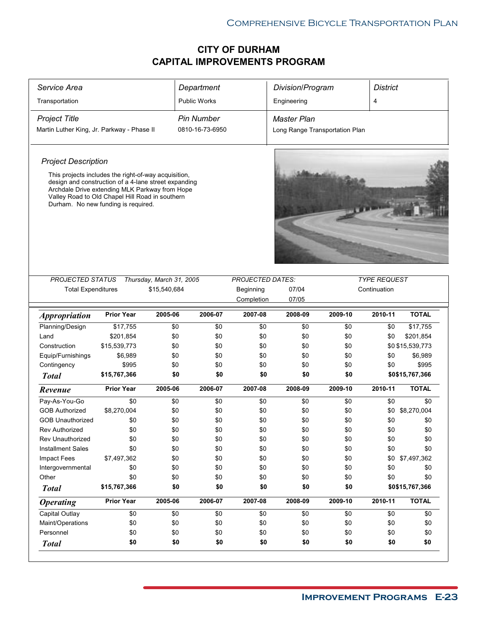| Service Area                                                                                                                                                                                     |                   |                                          | Department          |                                             | Division/Program               |         | <b>District</b>                     |                  |
|--------------------------------------------------------------------------------------------------------------------------------------------------------------------------------------------------|-------------------|------------------------------------------|---------------------|---------------------------------------------|--------------------------------|---------|-------------------------------------|------------------|
| Transportation                                                                                                                                                                                   |                   |                                          | <b>Public Works</b> |                                             | Engineering                    |         | $\overline{4}$                      |                  |
| <b>Project Title</b>                                                                                                                                                                             |                   |                                          | <b>Pin Number</b>   |                                             | <b>Master Plan</b>             |         |                                     |                  |
| Martin Luther King, Jr. Parkway - Phase II                                                                                                                                                       |                   |                                          | 0810-16-73-6950     |                                             | Long Range Transportation Plan |         |                                     |                  |
| <b>Project Description</b>                                                                                                                                                                       |                   |                                          |                     |                                             |                                |         |                                     |                  |
| This projects includes the right-of-way acquisition,                                                                                                                                             |                   |                                          |                     |                                             |                                |         |                                     |                  |
| design and construction of a 4-lane street expanding<br>Archdale Drive extending MLK Parkway from Hope<br>Valley Road to Old Chapel Hill Road in southern<br>Durham. No new funding is required. |                   |                                          |                     |                                             |                                |         |                                     |                  |
|                                                                                                                                                                                                  |                   |                                          |                     |                                             |                                |         |                                     |                  |
|                                                                                                                                                                                                  |                   |                                          |                     |                                             |                                |         |                                     |                  |
| PROJECTED STATUS<br><b>Total Expenditures</b>                                                                                                                                                    |                   | Thursday, March 31, 2005<br>\$15,540,684 |                     | <b>PROJECTED DATES:</b><br><b>Beginning</b> | 07/04                          |         | <b>TYPE REQUEST</b><br>Continuation |                  |
|                                                                                                                                                                                                  |                   |                                          |                     | Completion                                  | 07/05                          |         |                                     |                  |
| <b>Appropriation</b>                                                                                                                                                                             | <b>Prior Year</b> | 2005-06                                  | 2006-07             | 2007-08                                     | 2008-09                        | 2009-10 | 2010-11                             | <b>TOTAL</b>     |
| Planning/Design                                                                                                                                                                                  | \$17,755          | \$0                                      | \$0                 | \$0                                         | \$0                            | \$0     | \$0                                 | \$17,755         |
| Land                                                                                                                                                                                             | \$201,854         | \$0                                      | \$0                 | \$0                                         | \$0                            | \$0     | \$0                                 | \$201,854        |
| Construction                                                                                                                                                                                     | \$15,539,773      | \$0                                      | \$0                 | \$0                                         | \$0                            | \$0     |                                     | \$0 \$15,539,773 |
| Equip/Furnishings                                                                                                                                                                                | \$6,989           | \$0                                      | \$0                 | \$0                                         | \$0                            | \$0     | \$0                                 | \$6,989          |
| Contingency                                                                                                                                                                                      | \$995             | \$0                                      | \$0                 | \$0                                         | \$0                            | \$0     | \$0                                 | \$995            |
| <b>Total</b>                                                                                                                                                                                     | \$15,767,366      | \$0                                      | \$0                 | \$0                                         | \$0                            | \$0     |                                     | \$0\$15,767,366  |
| Revenue                                                                                                                                                                                          | <b>Prior Year</b> | 2005-06                                  | 2006-07             | 2007-08                                     | 2008-09                        | 2009-10 | 2010-11                             | <b>TOTAL</b>     |
| Pay-As-You-Go                                                                                                                                                                                    | \$0               | \$0                                      | \$0                 | \$0                                         | \$0                            | \$0     | \$0                                 | \$0              |
| <b>GOB Authorized</b>                                                                                                                                                                            | \$8,270,004       | \$0                                      | \$0                 | \$0                                         | \$0                            | \$0     | \$0                                 | \$8,270,004      |
| <b>GOB Unauthorized</b>                                                                                                                                                                          | \$0               | \$0                                      | \$0                 | \$0                                         | \$0                            | \$0     | \$0                                 | \$0              |
| <b>Rev Authorized</b>                                                                                                                                                                            | \$0               | \$0                                      | \$0                 | \$0                                         | \$0                            | \$0     | \$0                                 | \$0              |
| Rev Unauthorized                                                                                                                                                                                 | \$0               | \$0                                      | \$0                 | \$0                                         | \$0                            | \$0     | \$0                                 | \$0              |
|                                                                                                                                                                                                  |                   |                                          |                     |                                             |                                |         | \$0                                 | \$0              |
| <b>Installment Sales</b>                                                                                                                                                                         | \$0               | \$0                                      | \$0                 | \$0                                         | \$0                            | \$0     |                                     |                  |
| Impact Fees                                                                                                                                                                                      | \$7,497,362       | \$0                                      | \$0                 | \$0                                         | \$0                            | \$0     | \$0                                 | \$7,497,362      |
| Intergovernmental                                                                                                                                                                                | \$0               | \$0                                      | \$0                 | \$0                                         | \$0                            | \$0     | \$0                                 | \$0              |
| Other                                                                                                                                                                                            | \$0               | \$0                                      | \$0                 | \$0                                         | \$0                            | \$0     | \$0                                 | \$0              |
| <b>Total</b>                                                                                                                                                                                     | \$15,767,366      | \$0                                      | \$0                 | \$0                                         | \$0                            | \$0     |                                     | \$0\$15,767,366  |
| <b>Operating</b>                                                                                                                                                                                 | <b>Prior Year</b> | 2005-06                                  | 2006-07             | 2007-08                                     | 2008-09                        | 2009-10 | 2010-11                             | <b>TOTAL</b>     |
| Capital Outlay                                                                                                                                                                                   | \$0               | \$0                                      | \$0                 | \$0                                         | \$0                            | \$0     | \$0                                 | \$0              |
| Maint/Operations                                                                                                                                                                                 | \$0               | \$0                                      | \$0                 | \$0                                         | \$0                            | \$0     | \$0                                 | \$0              |
| Personnel                                                                                                                                                                                        | \$0               | \$0                                      | \$0                 | \$0                                         | \$0                            | \$0     | \$0                                 | \$0              |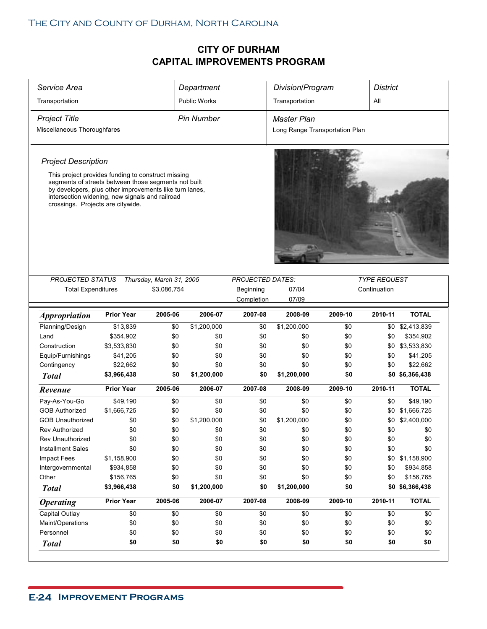| Service Area                                                                                                                                                                                                                                                                                |                   |                          | Department          |                         | Division/Program               |         | <b>District</b>     |                 |
|---------------------------------------------------------------------------------------------------------------------------------------------------------------------------------------------------------------------------------------------------------------------------------------------|-------------------|--------------------------|---------------------|-------------------------|--------------------------------|---------|---------------------|-----------------|
| Transportation                                                                                                                                                                                                                                                                              |                   |                          | <b>Public Works</b> |                         | Transportation                 |         | All                 |                 |
| <b>Project Title</b>                                                                                                                                                                                                                                                                        |                   |                          | <b>Pin Number</b>   |                         | Master Plan                    |         |                     |                 |
| Miscellaneous Thoroughfares                                                                                                                                                                                                                                                                 |                   |                          |                     |                         | Long Range Transportation Plan |         |                     |                 |
| <b>Project Description</b><br>This project provides funding to construct missing<br>segments of streets between those segments not built<br>by developers, plus other improvements like turn lanes,<br>intersection widening, new signals and railroad<br>crossings. Projects are citywide. |                   |                          |                     |                         |                                |         |                     |                 |
| <b>PROJECTED STATUS</b>                                                                                                                                                                                                                                                                     |                   | Thursday, March 31, 2005 |                     | <b>PROJECTED DATES:</b> |                                |         | <b>TYPE REQUEST</b> |                 |
| <b>Total Expenditures</b>                                                                                                                                                                                                                                                                   |                   | \$3,086,754              |                     | Beginning               | 07/04                          |         | Continuation        |                 |
|                                                                                                                                                                                                                                                                                             |                   |                          |                     | Completion              | 07/09                          |         |                     |                 |
| <b>Appropriation</b>                                                                                                                                                                                                                                                                        | <b>Prior Year</b> | 2005-06                  | 2006-07             | 2007-08                 | 2008-09                        | 2009-10 | 2010-11             | <b>TOTAL</b>    |
| Planning/Design                                                                                                                                                                                                                                                                             | \$13,839          | \$0                      | \$1,200,000         | \$0                     | \$1,200,000                    | \$0     |                     | \$0 \$2,413,839 |
| Land                                                                                                                                                                                                                                                                                        | \$354,902         | \$0                      | \$0                 | \$0                     | \$0                            | \$0     | \$0                 | \$354,902       |
| Construction                                                                                                                                                                                                                                                                                | \$3,533,830       | \$0                      | \$0                 | \$0                     | \$0                            | \$0     |                     | \$0 \$3,533,830 |
| Equip/Furnishings                                                                                                                                                                                                                                                                           | \$41,205          | \$0                      | \$0                 | \$0                     | \$0                            | \$0     | \$0                 | \$41,205        |
| Contingency                                                                                                                                                                                                                                                                                 | \$22,662          | \$0                      | \$0                 | \$0                     | \$0                            | \$0     | \$0                 | \$22,662        |
| <b>Total</b>                                                                                                                                                                                                                                                                                | \$3,966,438       | \$0                      | \$1,200,000         | \$0                     | \$1,200,000                    | \$0     |                     | \$0 \$6,366,438 |
| Revenue                                                                                                                                                                                                                                                                                     | <b>Prior Year</b> | 2005-06                  | 2006-07             | 2007-08                 | 2008-09                        | 2009-10 | 2010-11             | <b>TOTAL</b>    |
| Pay-As-You-Go                                                                                                                                                                                                                                                                               | \$49,190          | \$0                      | \$0                 | \$0                     | \$0                            | \$0     | \$0                 | \$49,190        |
| <b>GOB Authorized</b>                                                                                                                                                                                                                                                                       | \$1,666,725       | \$0                      | \$0                 | \$0                     | \$0                            | \$0     | \$0                 | \$1,666,725     |
| <b>GOB Unauthorized</b>                                                                                                                                                                                                                                                                     | \$0               | \$0                      | \$1,200,000         | \$0                     | \$1,200,000                    | \$0     | \$0                 | \$2,400,000     |
| Rev Authorized                                                                                                                                                                                                                                                                              | \$0               | \$0                      | \$0                 | \$0                     | \$0                            | \$0     | \$0                 | \$0             |
| Rev Unauthorized                                                                                                                                                                                                                                                                            | \$0               | \$0                      | \$0                 | \$0                     | \$0                            | \$0     | \$0                 | \$0             |
| <b>Installment Sales</b>                                                                                                                                                                                                                                                                    | \$0               | \$0                      | \$0                 | \$0                     | \$0                            | \$0     | \$0                 | \$0             |
| Impact Fees                                                                                                                                                                                                                                                                                 | \$1,158,900       | \$0                      | \$0                 | \$0                     | \$0                            | \$0     |                     | \$0 \$1,158,900 |
| Intergovernmental                                                                                                                                                                                                                                                                           | \$934,858         | \$0                      | \$0                 | \$0                     | \$0                            | \$0     | \$0                 | \$934,858       |
| Other                                                                                                                                                                                                                                                                                       | \$156,765         | \$0                      | \$0                 | \$0                     | \$0                            | \$0     | \$0                 | \$156,765       |
| <b>Total</b>                                                                                                                                                                                                                                                                                | \$3,966,438       | \$0                      | \$1,200,000         | \$0                     | \$1,200,000                    | \$0     |                     | \$0 \$6,366,438 |
| <b>Operating</b>                                                                                                                                                                                                                                                                            | <b>Prior Year</b> | 2005-06                  | 2006-07             | 2007-08                 | 2008-09                        | 2009-10 | 2010-11             | <b>TOTAL</b>    |
| Capital Outlay                                                                                                                                                                                                                                                                              | \$0               | \$0                      | \$0                 | \$0                     | \$0                            | \$0     | \$0                 | \$0             |
| Maint/Operations                                                                                                                                                                                                                                                                            | \$0               | \$0                      | \$0                 | \$0                     | \$0                            | \$0     | \$0                 | \$0             |
| Personnel                                                                                                                                                                                                                                                                                   | \$0               | \$0                      | \$0                 | \$0                     | \$0                            | \$0     | \$0                 | \$0             |
| <b>Total</b>                                                                                                                                                                                                                                                                                | \$0               | \$0                      | \$0                 | \$0                     | \$0                            | \$0     | \$0                 | \$0             |
|                                                                                                                                                                                                                                                                                             |                   |                          |                     |                         |                                |         |                     |                 |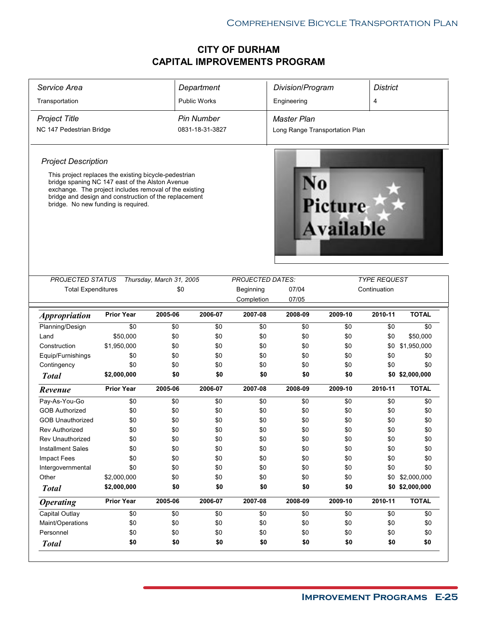|                                                                                                                                                                                                                                                                    |                            |                          | Department          |                         | Division/Program               |                              | <b>District</b>     |                                |
|--------------------------------------------------------------------------------------------------------------------------------------------------------------------------------------------------------------------------------------------------------------------|----------------------------|--------------------------|---------------------|-------------------------|--------------------------------|------------------------------|---------------------|--------------------------------|
| Transportation                                                                                                                                                                                                                                                     |                            |                          | <b>Public Works</b> |                         | Engineering                    |                              | 4                   |                                |
| <b>Project Title</b>                                                                                                                                                                                                                                               |                            |                          | <b>Pin Number</b>   |                         | Master Plan                    |                              |                     |                                |
| NC 147 Pedestrian Bridge                                                                                                                                                                                                                                           |                            |                          | 0831-18-31-3827     |                         | Long Range Transportation Plan |                              |                     |                                |
|                                                                                                                                                                                                                                                                    |                            |                          |                     |                         |                                |                              |                     |                                |
| <b>Project Description</b>                                                                                                                                                                                                                                         |                            |                          |                     |                         |                                |                              |                     |                                |
| This project replaces the existing bicycle-pedestrian<br>bridge spaning NC 147 east of the Alston Avenue<br>exchange. The project includes removal of the existing<br>bridge and design and construction of the replacement<br>bridge. No new funding is required. |                            |                          |                     |                         |                                | <b>Picture<br/>Available</b> |                     |                                |
| PROJECTED STATUS                                                                                                                                                                                                                                                   |                            | Thursday, March 31, 2005 |                     | <b>PROJECTED DATES:</b> |                                |                              | <b>TYPE REQUEST</b> |                                |
| <b>Total Expenditures</b>                                                                                                                                                                                                                                          |                            | \$0                      |                     | Beginning<br>Completion | 07/04<br>07/05                 |                              | Continuation        |                                |
| <b>Appropriation</b>                                                                                                                                                                                                                                               | <b>Prior Year</b>          | 2005-06                  | 2006-07             | 2007-08                 | 2008-09                        | 2009-10                      | 2010-11             | <b>TOTAL</b>                   |
| Planning/Design                                                                                                                                                                                                                                                    | \$0                        | \$0                      | \$0                 | \$0                     | \$0                            | \$0                          | \$0                 | \$0                            |
| Land                                                                                                                                                                                                                                                               | \$50,000                   | \$0                      | \$0                 | \$0                     | \$0                            | \$0                          | \$0                 | \$50,000                       |
| Construction                                                                                                                                                                                                                                                       | \$1,950,000                | \$0                      | \$0                 |                         |                                |                              |                     |                                |
|                                                                                                                                                                                                                                                                    |                            |                          |                     | \$0                     | \$0                            | \$0                          | \$0                 | \$1,950,000                    |
| Equip/Furnishings                                                                                                                                                                                                                                                  | \$0                        | \$0                      | \$0                 | \$0                     | \$0                            | \$0                          | \$0                 | \$0                            |
| Contingency                                                                                                                                                                                                                                                        | \$0                        | \$0                      | \$0                 | \$0                     | \$0                            | \$0                          | \$0                 | \$0                            |
| <b>Total</b>                                                                                                                                                                                                                                                       | \$2,000,000                | \$0                      | \$0                 | \$0                     | \$0                            | \$0                          |                     | \$0 \$2,000,000                |
| Revenue                                                                                                                                                                                                                                                            | <b>Prior Year</b>          | 2005-06                  | 2006-07             | 2007-08                 | 2008-09                        | 2009-10                      | 2010-11             | <b>TOTAL</b>                   |
|                                                                                                                                                                                                                                                                    | \$0                        | \$0                      | \$0                 | \$0                     | \$0                            | \$0                          | \$0                 | \$0                            |
| Pay-As-You-Go<br><b>GOB Authorized</b>                                                                                                                                                                                                                             | \$0                        | \$0                      | \$0                 | \$0                     | \$0                            | \$0                          | \$0                 | \$0                            |
| <b>GOB Unauthorized</b>                                                                                                                                                                                                                                            |                            | \$0                      | \$0                 | \$0                     | \$0                            | \$0                          | \$0                 | \$0                            |
| <b>Rev Authorized</b>                                                                                                                                                                                                                                              | \$0                        | \$0                      |                     |                         |                                | \$0                          |                     |                                |
|                                                                                                                                                                                                                                                                    | \$0                        |                          | \$0                 | \$0                     | \$0                            |                              | \$0                 | \$0                            |
| Rev Unauthorized                                                                                                                                                                                                                                                   | \$0                        | \$0                      | \$0                 | \$0                     | \$0                            | \$0                          | \$0<br>\$0          | \$0<br>\$0                     |
| <b>Installment Sales</b>                                                                                                                                                                                                                                           | \$0                        | \$0                      | \$0                 | \$0                     | \$0                            | \$0                          |                     |                                |
| <b>Impact Fees</b>                                                                                                                                                                                                                                                 | \$0                        | \$0                      | \$0                 | \$0                     | \$0                            | \$0                          | \$0                 | \$0                            |
| Intergovernmental                                                                                                                                                                                                                                                  | \$0                        | \$0                      | \$0                 | \$0                     | \$0                            | \$0                          | \$0                 | \$0                            |
| Other<br><b>Total</b>                                                                                                                                                                                                                                              | \$2,000,000<br>\$2,000,000 | \$0<br>\$0               | \$0<br>\$0          | \$0<br>\$0              | \$0<br>\$0                     | \$0<br>\$0                   | \$0                 | \$2,000,000<br>\$0 \$2,000,000 |
| <b>Operating</b>                                                                                                                                                                                                                                                   | <b>Prior Year</b>          | 2005-06                  | 2006-07             | 2007-08                 | 2008-09                        | 2009-10                      | 2010-11             | <b>TOTAL</b>                   |
| Capital Outlay                                                                                                                                                                                                                                                     | \$0                        | \$0                      | \$0                 | \$0                     | \$0                            | \$0                          | \$0                 | \$0                            |
| Maint/Operations                                                                                                                                                                                                                                                   | \$0                        | \$0                      | \$0                 | \$0                     | \$0                            | \$0                          | \$0                 | \$0                            |
| Personnel                                                                                                                                                                                                                                                          | \$0                        | \$0                      | \$0                 | \$0                     | \$0                            | \$0                          | \$0                 | \$0                            |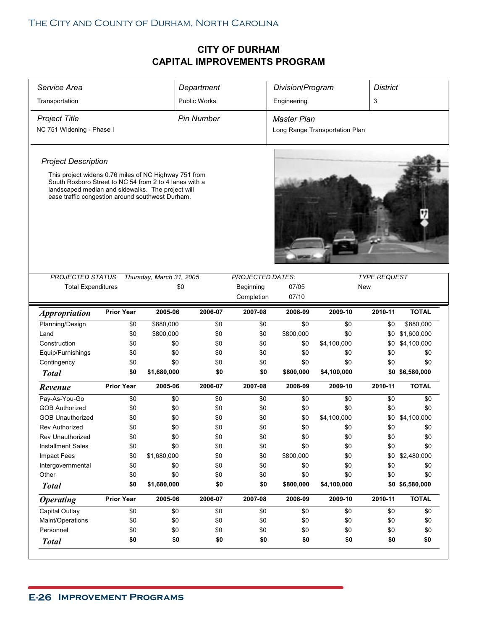|                                                                                                                                                                 |                   |                                 | Department          |                         | Division/Program               |             | <b>District</b>     |                 |
|-----------------------------------------------------------------------------------------------------------------------------------------------------------------|-------------------|---------------------------------|---------------------|-------------------------|--------------------------------|-------------|---------------------|-----------------|
| Transportation                                                                                                                                                  |                   |                                 | <b>Public Works</b> |                         | Engineering                    |             | 3                   |                 |
| <b>Project Title</b>                                                                                                                                            |                   |                                 | <b>Pin Number</b>   |                         | <b>Master Plan</b>             |             |                     |                 |
| NC 751 Widening - Phase I                                                                                                                                       |                   |                                 |                     |                         | Long Range Transportation Plan |             |                     |                 |
|                                                                                                                                                                 |                   |                                 |                     |                         |                                |             |                     |                 |
| <b>Project Description</b>                                                                                                                                      |                   |                                 |                     |                         |                                |             |                     |                 |
| This project widens 0.76 miles of NC Highway 751 from                                                                                                           |                   |                                 |                     |                         |                                |             |                     |                 |
| South Roxboro Street to NC 54 from 2 to 4 lanes with a<br>landscaped median and sidewalks. The project will<br>ease traffic congestion around southwest Durham. |                   |                                 |                     |                         |                                |             |                     |                 |
| <b>PROJECTED STATUS</b>                                                                                                                                         |                   | Thursday, March 31, 2005<br>\$0 |                     | <b>PROJECTED DATES:</b> | 07/05                          |             | <b>TYPE REQUEST</b> |                 |
| <b>Total Expenditures</b>                                                                                                                                       |                   |                                 |                     | Beginning<br>Completion | 07/10                          |             | New                 |                 |
|                                                                                                                                                                 |                   |                                 |                     |                         |                                |             |                     |                 |
| <i><b>Appropriation</b></i>                                                                                                                                     | <b>Prior Year</b> | 2005-06                         | 2006-07             | 2007-08                 | 2008-09                        | 2009-10     | 2010-11             | <b>TOTAL</b>    |
| Planning/Design                                                                                                                                                 | \$0               | \$880,000                       | \$0                 | \$0                     | \$0                            | \$0         | \$0                 | \$880,000       |
| Land                                                                                                                                                            | \$0               | \$800,000                       | \$0                 | \$0                     | \$800,000                      | \$0         | \$0                 | \$1,600,000     |
| Construction                                                                                                                                                    | \$0               | \$0                             | \$0                 | \$0                     | \$0                            | \$4,100,000 | \$0                 | \$4,100,000     |
| Equip/Furnishings                                                                                                                                               | \$0               | \$0                             | \$0                 | \$0                     | \$0                            | \$0         | \$0                 | \$0             |
| Contingency                                                                                                                                                     | \$0               | \$0                             | \$0                 | \$0                     | \$0                            | \$0         | \$0                 | \$0             |
| <b>Total</b>                                                                                                                                                    | \$0               | \$1,680,000                     | \$0                 | \$0                     | \$800,000                      | \$4,100,000 |                     | \$0 \$6,580,000 |
| Revenue                                                                                                                                                         | <b>Prior Year</b> | 2005-06                         | 2006-07             | 2007-08                 | 2008-09                        | 2009-10     | 2010-11             | <b>TOTAL</b>    |
|                                                                                                                                                                 |                   |                                 |                     |                         |                                |             |                     |                 |
| Pay-As-You-Go                                                                                                                                                   | \$0               | \$0                             | \$0                 | \$0                     | \$0                            | \$0         | \$0                 | \$0             |
| <b>GOB Authorized</b>                                                                                                                                           | \$0               | \$0                             | \$0                 | \$0                     | \$0                            | \$0         | \$0                 | \$0             |
| <b>GOB Unauthorized</b>                                                                                                                                         | \$0               | \$0                             | \$0                 | \$0                     | \$0                            | \$4,100,000 | \$0                 | \$4,100,000     |
| <b>Rev Authorized</b>                                                                                                                                           | \$0               | \$0                             | \$0                 | \$0                     | \$0                            | \$0         | \$0                 | \$0             |
| Rev Unauthorized                                                                                                                                                | \$0               | \$0                             | \$0                 | \$0                     | \$0                            | \$0         | \$0                 | \$0             |
| <b>Installment Sales</b>                                                                                                                                        | \$0               | \$0                             | \$0                 | \$0                     | \$0                            | \$0         | \$0                 | \$0             |
| <b>Impact Fees</b>                                                                                                                                              | \$0               | \$1,680,000                     | \$0                 | \$0                     | \$800,000                      | \$0         | \$0                 | \$2,480,000     |
| Intergovernmental                                                                                                                                               | \$0               | \$0                             | \$0                 | \$0                     | \$0                            | \$0         | \$0                 | \$0             |
| Other                                                                                                                                                           | \$0               | \$0                             | \$0                 | \$0                     | \$0                            | \$0         | \$0                 | \$0             |
| <b>Total</b>                                                                                                                                                    | \$0               | \$1,680,000                     | \$0                 | \$0                     | \$800,000                      | \$4,100,000 |                     | \$0 \$6,580,000 |
| <b>Operating</b>                                                                                                                                                | <b>Prior Year</b> | 2005-06                         | 2006-07             | 2007-08                 | 2008-09                        | 2009-10     | 2010-11             | <b>TOTAL</b>    |
| <b>Capital Outlay</b>                                                                                                                                           | \$0               | \$0                             | \$0                 | \$0                     | \$0                            | \$0         | \$0                 | \$0             |
| Maint/Operations                                                                                                                                                | \$0               | \$0                             | \$0                 | \$0                     | \$0                            | \$0         | \$0                 | \$0             |
| Personnel                                                                                                                                                       | \$0               | \$0                             | \$0                 | \$0                     | \$0                            | \$0         | \$0                 | \$0             |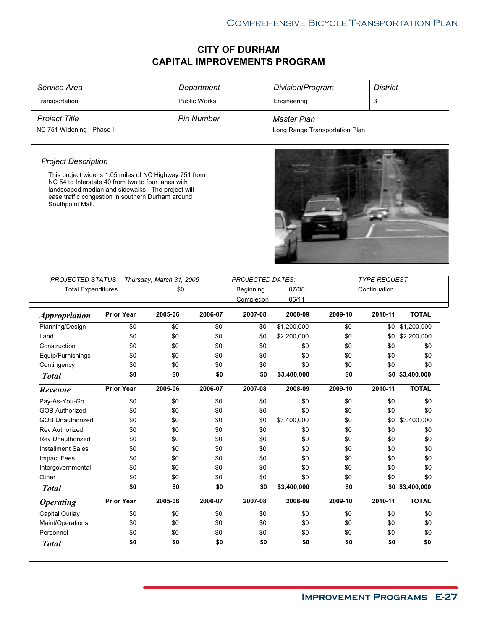| Service Area                                                                                                                                                                                                                              |                   |                          | Department          |                         | Division/Program               |            | <b>District</b>     |                 |
|-------------------------------------------------------------------------------------------------------------------------------------------------------------------------------------------------------------------------------------------|-------------------|--------------------------|---------------------|-------------------------|--------------------------------|------------|---------------------|-----------------|
| Transportation                                                                                                                                                                                                                            |                   |                          | <b>Public Works</b> |                         | Engineering                    |            | 3                   |                 |
| <b>Project Title</b>                                                                                                                                                                                                                      |                   |                          | <b>Pin Number</b>   |                         | <b>Master Plan</b>             |            |                     |                 |
| NC 751 Widening - Phase II                                                                                                                                                                                                                |                   |                          |                     |                         | Long Range Transportation Plan |            |                     |                 |
| <b>Project Description</b>                                                                                                                                                                                                                |                   |                          |                     |                         |                                |            |                     |                 |
| This project widens 1.05 miles of NC Highway 751 from<br>NC 54 to Interstate 40 from two to four lanes with<br>landscaped median and sidewalks. The project will<br>ease traffic congestion in southern Durham around<br>Southpoint Mall. |                   |                          |                     |                         |                                |            |                     |                 |
|                                                                                                                                                                                                                                           |                   |                          |                     |                         |                                |            |                     |                 |
| <b>PROJECTED STATUS</b>                                                                                                                                                                                                                   |                   | Thursday, March 31, 2005 |                     | <b>PROJECTED DATES:</b> |                                |            | <b>TYPE REQUEST</b> |                 |
| <b>Total Expenditures</b>                                                                                                                                                                                                                 |                   | \$0                      |                     | Beginning               | 07/08                          |            | Continuation        |                 |
|                                                                                                                                                                                                                                           |                   |                          |                     | Completion              | 06/11                          |            |                     |                 |
| <i><b>Appropriation</b></i>                                                                                                                                                                                                               | <b>Prior Year</b> | 2005-06                  | 2006-07             | 2007-08                 | 2008-09                        | 2009-10    | 2010-11             | <b>TOTAL</b>    |
| Planning/Design                                                                                                                                                                                                                           | \$0               | \$0                      | \$0                 | \$0                     | \$1,200,000                    | \$0        |                     | \$0 \$1,200,000 |
| Land                                                                                                                                                                                                                                      | \$0               | \$0                      | \$0                 | \$0                     | \$2,200,000                    | \$0        | \$0                 | \$2,200,000     |
| Construction                                                                                                                                                                                                                              | \$0               | \$0                      | \$0                 | \$0                     | \$0                            | \$0        | \$0                 | \$0             |
| Equip/Furnishings                                                                                                                                                                                                                         | \$0               | \$0                      | \$0                 | \$0                     | \$0                            | \$0        | \$0                 | \$0             |
| Contingency                                                                                                                                                                                                                               | \$0               | \$0                      | \$0                 | \$0                     | \$0                            | \$0        | \$0                 | \$0             |
| <b>Total</b>                                                                                                                                                                                                                              | \$0               | \$0                      | \$0                 | \$0                     | \$3,400,000                    | \$0        |                     | \$0 \$3,400,000 |
| Revenue                                                                                                                                                                                                                                   | <b>Prior Year</b> | 2005-06                  | 2006-07             | 2007-08                 | 2008-09                        | 2009-10    | 2010-11             | <b>TOTAL</b>    |
| Pay-As-You-Go                                                                                                                                                                                                                             | \$0               | \$0                      | \$0                 | \$0                     | \$0                            | \$0        | \$0                 | \$0             |
| <b>GOB Authorized</b>                                                                                                                                                                                                                     | \$0               | \$0                      | \$0                 | \$0                     | \$0                            | \$0        | \$0                 | \$0             |
| <b>GOB Unauthorized</b>                                                                                                                                                                                                                   | \$0               | \$0                      | \$0                 | \$0                     | \$3,400,000                    | \$0        | \$0                 | \$3,400,000     |
| <b>Rev Authorized</b>                                                                                                                                                                                                                     | \$0               | \$0                      | \$0                 | \$0                     | \$0                            | \$0        | \$0                 | \$0             |
| Rev Unauthorized                                                                                                                                                                                                                          | \$0               | \$0                      | \$0                 | \$0                     | \$0                            | \$0        | \$0                 | \$0             |
| <b>Installment Sales</b>                                                                                                                                                                                                                  | \$0               | \$0                      | \$0                 | \$0                     | \$0                            | \$0        | \$0                 | \$0             |
|                                                                                                                                                                                                                                           | \$0               | \$0                      | \$0                 | \$0                     | \$0                            | \$0        | \$0                 | \$0             |
| Impact Fees                                                                                                                                                                                                                               |                   |                          |                     |                         |                                |            |                     |                 |
| Intergovernmental                                                                                                                                                                                                                         | \$0               | \$0                      | \$0                 | \$0                     | \$0                            | \$0        | \$0                 | \$0             |
| Other                                                                                                                                                                                                                                     | \$0               | \$0                      | \$0                 | \$0                     | \$0                            | \$0        | \$0                 | \$0             |
| <b>Total</b>                                                                                                                                                                                                                              | \$0               | \$0                      | \$0                 | \$0                     | \$3,400,000                    | \$0        |                     | \$0 \$3,400,000 |
| <b>Operating</b>                                                                                                                                                                                                                          | <b>Prior Year</b> | 2005-06                  | 2006-07             | 2007-08                 | 2008-09                        | 2009-10    | 2010-11             | <b>TOTAL</b>    |
| Capital Outlay                                                                                                                                                                                                                            | \$0               | \$0                      | \$0                 | \$0                     | \$0                            | \$0        | \$0                 | \$0             |
| Maint/Operations                                                                                                                                                                                                                          | \$0               | \$0                      | \$0                 | \$0                     | \$0                            | \$0        | \$0                 | \$0             |
| Personnel                                                                                                                                                                                                                                 | \$0<br>\$0        | \$0<br>\$0               | \$0<br>\$0          | \$0<br>\$0              | \$0<br>\$0                     | \$0<br>\$0 | \$0<br>\$0          | \$0<br>\$0      |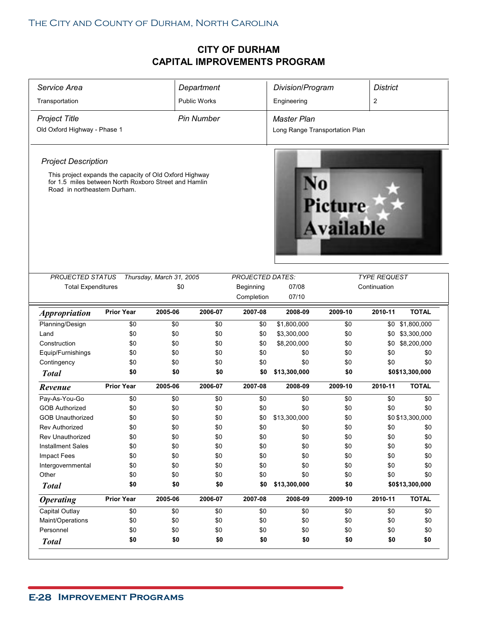| Service Area                                                                                                                                     |                   |                                 | Department          |                                      | Division/Program               |                             | <b>District</b>                     |                  |
|--------------------------------------------------------------------------------------------------------------------------------------------------|-------------------|---------------------------------|---------------------|--------------------------------------|--------------------------------|-----------------------------|-------------------------------------|------------------|
| Transportation                                                                                                                                   |                   |                                 | <b>Public Works</b> |                                      | Engineering                    |                             | 2                                   |                  |
| <b>Project Title</b>                                                                                                                             |                   |                                 | <b>Pin Number</b>   |                                      | Master Plan                    |                             |                                     |                  |
| Old Oxford Highway - Phase 1                                                                                                                     |                   |                                 |                     |                                      | Long Range Transportation Plan |                             |                                     |                  |
|                                                                                                                                                  |                   |                                 |                     |                                      |                                |                             |                                     |                  |
| <b>Project Description</b>                                                                                                                       |                   |                                 |                     |                                      |                                |                             |                                     |                  |
| This project expands the capacity of Old Oxford Highway<br>for 1.5 miles between North Roxboro Street and Hamlin<br>Road in northeastern Durham. |                   |                                 |                     |                                      |                                | <b>Picture</b><br>Available |                                     |                  |
|                                                                                                                                                  |                   |                                 |                     |                                      |                                |                             |                                     |                  |
| <b>PROJECTED STATUS</b><br><b>Total Expenditures</b>                                                                                             |                   | Thursday, March 31, 2005<br>\$0 |                     | <b>PROJECTED DATES:</b><br>Beginning | 07/08                          |                             | <b>TYPE REQUEST</b><br>Continuation |                  |
|                                                                                                                                                  |                   |                                 |                     | Completion                           | 07/10                          |                             |                                     |                  |
| <i><b>Appropriation</b></i>                                                                                                                      | <b>Prior Year</b> | 2005-06                         | 2006-07             | 2007-08                              | 2008-09                        | 2009-10                     | 2010-11                             | <b>TOTAL</b>     |
| Planning/Design                                                                                                                                  | \$0               | \$0                             | \$0                 | \$0                                  | \$1,800,000                    | \$0                         |                                     | \$0 \$1,800,000  |
| Land                                                                                                                                             | \$0               | \$0                             | \$0                 | \$0                                  | \$3,300,000                    | \$0                         | \$0                                 | \$3,300,000      |
| Construction                                                                                                                                     | \$0               | \$0                             | \$0                 | \$0                                  | \$8,200,000                    | \$0                         | \$0                                 | \$8,200,000      |
| Equip/Furnishings                                                                                                                                | \$0               | \$0                             | \$0                 | \$0                                  | \$0                            | \$0                         | \$0                                 | \$0              |
| Contingency                                                                                                                                      | \$0               | \$0                             | \$0                 | \$0                                  | \$0                            | \$0                         | \$0                                 | \$0              |
| <b>Total</b>                                                                                                                                     | \$0               | \$0                             | \$0                 | \$0                                  | \$13,300,000                   | \$0                         |                                     | \$0\$13,300,000  |
| Revenue                                                                                                                                          | <b>Prior Year</b> | 2005-06                         | 2006-07             | 2007-08                              | 2008-09                        | 2009-10                     | 2010-11                             | <b>TOTAL</b>     |
| Pay-As-You-Go                                                                                                                                    | \$0               | \$0                             | \$0                 | \$0                                  | \$0                            | \$0                         | \$0                                 | \$0              |
| <b>GOB Authorized</b>                                                                                                                            | \$0               | \$0                             | \$0                 | \$0                                  | \$0                            | \$0                         | \$0                                 | \$0              |
| <b>GOB Unauthorized</b>                                                                                                                          | \$0               | \$0                             | \$0                 | \$0                                  | \$13,300,000                   | \$0                         |                                     | \$0 \$13,300,000 |
| <b>Rev Authorized</b>                                                                                                                            | \$0               | \$0                             | \$0                 | \$0                                  | \$0                            | \$0                         | \$0                                 | \$0              |
| Rev Unauthorized                                                                                                                                 | \$0               | \$0                             | $\$0$               | \$0                                  | $\$0$                          | \$0                         | \$0                                 | \$0              |
| <b>Installment Sales</b>                                                                                                                         | \$0               | \$0                             | \$0                 | \$0                                  | \$0                            | \$0                         | \$0                                 | \$0              |
| Impact Fees                                                                                                                                      | \$0               | \$0                             | \$0                 | \$0                                  | \$0                            | \$0                         | \$0                                 | \$0              |
| Intergovernmental                                                                                                                                | \$0               | \$0                             | \$0                 | \$0                                  | \$0                            | \$0                         | \$0                                 | \$0              |
| Other                                                                                                                                            | \$0               | \$0                             | \$0                 | \$0                                  | \$0                            | \$0                         | \$0                                 | \$0              |
| <b>Total</b>                                                                                                                                     | \$0               | \$0                             | \$0                 | \$0                                  | \$13,300,000                   | \$0                         |                                     | \$0\$13,300,000  |
| <b>Operating</b>                                                                                                                                 | <b>Prior Year</b> | 2005-06                         | 2006-07             | 2007-08                              | 2008-09                        | 2009-10                     | 2010-11                             | <b>TOTAL</b>     |
|                                                                                                                                                  | \$0               | \$0                             | \$0                 | \$0                                  | \$0                            | \$0                         | \$0                                 | \$0              |
| Capital Outlay                                                                                                                                   |                   |                                 |                     |                                      |                                | \$0                         | \$0                                 | \$0              |
| Maint/Operations                                                                                                                                 | \$0               | \$0                             | \$0                 | \$0                                  | \$0                            |                             |                                     |                  |
| Personnel                                                                                                                                        | \$0<br>\$0        | \$0<br>\$0                      | \$0<br>\$0          | \$0<br>\$0                           | \$0<br>\$0                     | \$0<br>\$0                  | \$0<br>\$0                          | \$0<br>\$0       |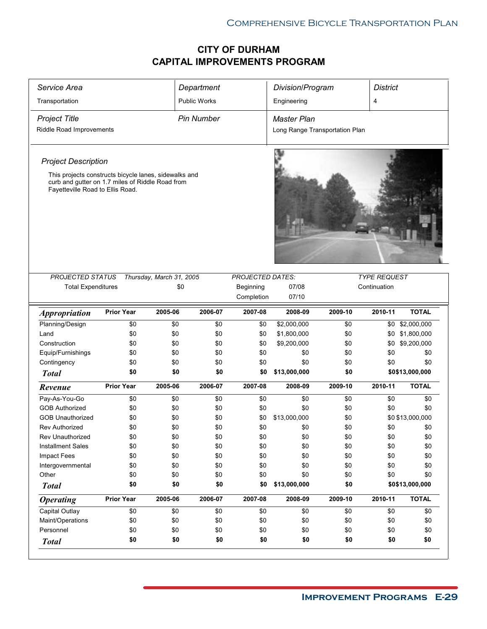| Service Area                                                                                                                                  |                   |                          | Department          |                         | Division/Program               |            | <b>District</b>     |                  |
|-----------------------------------------------------------------------------------------------------------------------------------------------|-------------------|--------------------------|---------------------|-------------------------|--------------------------------|------------|---------------------|------------------|
| Transportation                                                                                                                                |                   |                          | <b>Public Works</b> |                         | Engineering                    |            | 4                   |                  |
| <b>Project Title</b>                                                                                                                          |                   |                          | <b>Pin Number</b>   |                         | <b>Master Plan</b>             |            |                     |                  |
| Riddle Road Improvements                                                                                                                      |                   |                          |                     |                         | Long Range Transportation Plan |            |                     |                  |
| <b>Project Description</b>                                                                                                                    |                   |                          |                     |                         |                                |            |                     |                  |
| This projects constructs bicycle lanes, sidewalks and<br>curb and gutter on 1.7 miles of Riddle Road from<br>Fayetteville Road to Ellis Road. |                   |                          |                     |                         |                                |            |                     |                  |
| <b>PROJECTED STATUS</b>                                                                                                                       |                   | Thursday, March 31, 2005 |                     | <b>PROJECTED DATES:</b> |                                |            | <b>TYPE REQUEST</b> |                  |
| <b>Total Expenditures</b>                                                                                                                     |                   | \$0                      |                     | Beginning<br>Completion | 07/08<br>07/10                 |            | Continuation        |                  |
| <i><b>Appropriation</b></i>                                                                                                                   | <b>Prior Year</b> | 2005-06                  | 2006-07             | 2007-08                 | 2008-09                        | 2009-10    | 2010-11             | <b>TOTAL</b>     |
| Planning/Design                                                                                                                               | \$0               | \$0                      | \$0                 | \$0                     | \$2,000,000                    | \$0        | \$0                 | \$2,000,000      |
| Land                                                                                                                                          | \$0               | \$0                      | \$0                 | \$0                     | \$1,800,000                    | \$0        | \$0                 | \$1,800,000      |
| Construction                                                                                                                                  | \$0               | \$0                      | \$0                 | \$0                     | \$9,200,000                    | \$0        | \$0                 | \$9,200,000      |
| Equip/Furnishings                                                                                                                             | \$0               | \$0                      | \$0                 | \$0                     | \$0                            | \$0        | \$0                 | \$0              |
| Contingency                                                                                                                                   | \$0               | \$0                      | \$0                 | \$0                     | \$0                            | \$0        | \$0                 | \$0              |
| <b>Total</b>                                                                                                                                  | \$0               | \$0                      | \$0                 | \$0                     | \$13,000,000                   | \$0        |                     | \$0\$13,000,000  |
| Revenue                                                                                                                                       | <b>Prior Year</b> | 2005-06                  | 2006-07             | 2007-08                 | 2008-09                        | 2009-10    | 2010-11             | <b>TOTAL</b>     |
| Pay-As-You-Go                                                                                                                                 | \$0               | \$0                      | \$0                 | \$0                     | \$0                            | \$0        | \$0                 | \$0              |
| <b>GOB Authorized</b>                                                                                                                         | \$0               | \$0                      | \$0                 | \$0                     | \$0                            | \$0        | \$0                 | \$0              |
| <b>GOB Unauthorized</b>                                                                                                                       | \$0               | \$0                      | \$0                 | \$0                     | \$13,000,000                   | \$0        |                     | \$0 \$13,000,000 |
| <b>Rev Authorized</b>                                                                                                                         | \$0               | \$0                      | \$0                 | \$0                     | \$0                            | \$0        | \$0                 | \$0              |
| Rev Unauthorized                                                                                                                              | \$0               | \$0                      | \$0                 | \$0                     | \$0                            | \$0        | \$0                 | \$0              |
| <b>Installment Sales</b>                                                                                                                      | \$0               | \$0                      | \$0                 | \$0                     | \$0                            | \$0        | \$0                 | \$0              |
| Impact Fees                                                                                                                                   | \$0               | \$0                      | \$0                 | \$0                     | \$0                            | \$0        | \$0                 | \$0              |
| Intergovernmental                                                                                                                             | \$0               | \$0                      | \$0                 | \$0                     | \$0                            | \$0        | \$0                 | \$0              |
| Other                                                                                                                                         | \$0               | \$0                      | \$0                 | \$0<br>\$0              | \$0                            | \$0        | \$0                 | \$0              |
| <b>Total</b>                                                                                                                                  | \$0               | \$0                      | \$0                 |                         | \$13,000,000                   | \$0        |                     | \$0\$13,000,000  |
| <b>Operating</b>                                                                                                                              | <b>Prior Year</b> | 2005-06                  | 2006-07             | 2007-08                 | 2008-09                        | 2009-10    | 2010-11             | <b>TOTAL</b>     |
| Capital Outlay                                                                                                                                | \$0               | \$0                      | \$0                 | \$0                     | \$0                            | \$0        | \$0                 | \$0              |
| Maint/Operations                                                                                                                              | \$0               | \$0                      | \$0                 | \$0                     | \$0                            | \$0        | \$0                 | \$0              |
| Personnel<br><b>Total</b>                                                                                                                     | \$0<br>\$0        | \$0<br>\$0               | \$0<br>\$0          | \$0<br>\$0              | \$0<br>\$0                     | \$0<br>\$0 | \$0<br>\$0          | \$0<br>\$0       |
|                                                                                                                                               |                   |                          |                     |                         |                                |            |                     |                  |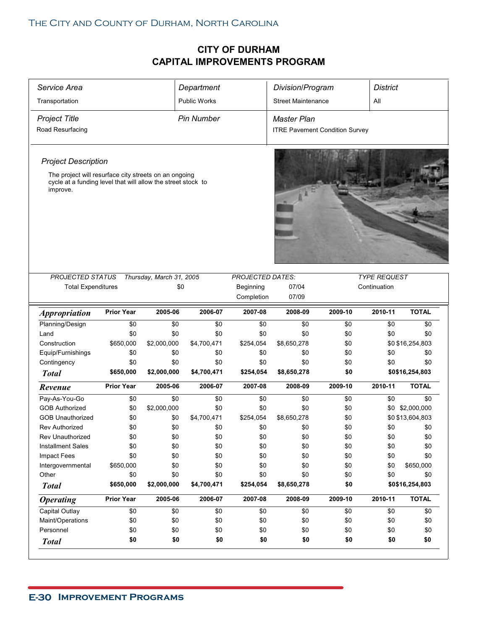| Service Area                                                                                                                      |                   |                          | Department          |                         | Division/Program                      |         | <b>District</b>     |                  |  |
|-----------------------------------------------------------------------------------------------------------------------------------|-------------------|--------------------------|---------------------|-------------------------|---------------------------------------|---------|---------------------|------------------|--|
| Transportation                                                                                                                    |                   |                          | <b>Public Works</b> |                         | <b>Street Maintenance</b>             |         | All                 |                  |  |
| <b>Project Title</b>                                                                                                              |                   |                          | <b>Pin Number</b>   |                         | Master Plan                           |         |                     |                  |  |
| Road Resurfacing                                                                                                                  |                   |                          |                     |                         | <b>ITRE Pavement Condition Survey</b> |         |                     |                  |  |
|                                                                                                                                   |                   |                          |                     |                         |                                       |         |                     |                  |  |
|                                                                                                                                   |                   |                          |                     |                         |                                       |         |                     |                  |  |
| <b>Project Description</b>                                                                                                        |                   |                          |                     |                         |                                       |         |                     |                  |  |
| The project will resurface city streets on an ongoing<br>cycle at a funding level that will allow the street stock to<br>improve. |                   |                          |                     |                         |                                       |         |                     |                  |  |
|                                                                                                                                   |                   |                          |                     |                         |                                       |         |                     |                  |  |
|                                                                                                                                   |                   |                          |                     |                         |                                       |         |                     |                  |  |
|                                                                                                                                   |                   |                          |                     |                         |                                       |         |                     |                  |  |
|                                                                                                                                   |                   |                          |                     |                         |                                       |         |                     |                  |  |
|                                                                                                                                   |                   |                          |                     |                         |                                       |         |                     |                  |  |
|                                                                                                                                   |                   |                          |                     |                         |                                       |         |                     |                  |  |
| PROJECTED STATUS                                                                                                                  |                   | Thursday, March 31, 2005 |                     | <b>PROJECTED DATES:</b> |                                       |         | <b>TYPE REQUEST</b> |                  |  |
| <b>Total Expenditures</b>                                                                                                         |                   | \$0                      |                     | Beginning               | 07/04                                 |         | Continuation        |                  |  |
|                                                                                                                                   |                   |                          |                     | Completion              | 07/09                                 |         |                     |                  |  |
| <i><b>Appropriation</b></i>                                                                                                       | <b>Prior Year</b> | 2005-06                  | 2006-07             | 2007-08                 | 2008-09                               | 2009-10 | 2010-11             | <b>TOTAL</b>     |  |
| Planning/Design                                                                                                                   | \$0               | \$0                      | \$0                 | \$0                     | \$0                                   | \$0     | \$0                 | \$0              |  |
| Land                                                                                                                              | \$0               | \$0                      | \$0                 | \$0                     | \$0                                   | \$0     | \$0                 | \$0              |  |
| Construction                                                                                                                      | \$650,000         | \$2,000,000              | \$4,700,471         | \$254,054               | \$8,650,278                           | \$0     |                     | \$0 \$16,254,803 |  |
| Equip/Furnishings                                                                                                                 | \$0               | \$0                      | \$0                 | \$0                     | \$0                                   | \$0     | \$0                 | \$0              |  |
| Contingency                                                                                                                       | \$0               | \$0                      | \$0                 | \$0                     | \$0                                   | \$0     | \$0                 | \$0              |  |
| <b>Total</b>                                                                                                                      | \$650,000         | \$2,000,000              | \$4,700,471         | \$254,054               | \$8,650,278                           | \$0     |                     | \$0\$16,254,803  |  |
| Revenue                                                                                                                           | <b>Prior Year</b> | 2005-06                  | 2006-07             | 2007-08                 | 2008-09                               | 2009-10 | 2010-11             | <b>TOTAL</b>     |  |
| Pay-As-You-Go                                                                                                                     | \$0               | \$0                      | \$0                 | \$0                     | \$0                                   | \$0     | \$0                 | \$0              |  |
| <b>GOB Authorized</b>                                                                                                             | \$0               | \$2,000,000              | \$0                 | \$0                     | \$0                                   | \$0     |                     | \$0 \$2,000,000  |  |
| <b>GOB Unauthorized</b>                                                                                                           | \$0               | \$0                      | \$4,700,471         | \$254,054               | \$8,650,278                           | \$0     |                     | \$0 \$13,604,803 |  |
| <b>Rev Authorized</b>                                                                                                             | \$0               | \$0                      | \$0                 | \$0                     | \$0                                   | \$0     | \$0                 | \$0              |  |
| Rev Unauthorized                                                                                                                  | \$0               | \$0                      | \$0                 | \$0                     | \$0                                   | \$0     | $\$0$               | \$0              |  |
| <b>Installment Sales</b>                                                                                                          | \$0               | \$0                      | \$0                 | \$0                     | \$0                                   | \$0     | \$0                 | \$0              |  |
| <b>Impact Fees</b>                                                                                                                | \$0               | \$0                      | \$0                 | \$0                     | \$0                                   | \$0     | \$0                 | \$0              |  |
| Intergovernmental                                                                                                                 | \$650,000         | \$0                      | \$0                 | \$0                     | \$0                                   | \$0     | \$0                 | \$650,000        |  |
| Other                                                                                                                             | \$0               | \$0                      | \$0                 | \$0                     | \$0                                   | \$0     | \$0                 | \$0              |  |
| <b>Total</b>                                                                                                                      | \$650,000         | \$2,000,000              | \$4,700,471         | \$254,054               | \$8,650,278                           | \$0     |                     | \$0\$16,254,803  |  |
| <b>Operating</b>                                                                                                                  | <b>Prior Year</b> | 2005-06                  | 2006-07             | 2007-08                 | 2008-09                               | 2009-10 | 2010-11             | <b>TOTAL</b>     |  |
| Capital Outlay                                                                                                                    | \$0               | \$0                      | \$0                 | \$0                     | \$0                                   | \$0     | \$0                 | \$0              |  |
| Maint/Operations                                                                                                                  | \$0               | \$0                      | \$0                 | \$0                     | \$0                                   | \$0     | \$0                 | \$0              |  |
|                                                                                                                                   |                   |                          |                     |                         |                                       | \$0     | \$0                 | \$0              |  |
| Personnel<br><b>Total</b>                                                                                                         | \$0<br>\$0        | \$0<br>\$0               | \$0<br>\$0          | \$0<br>\$0              | \$0<br>\$0                            | \$0     | \$0                 | \$0              |  |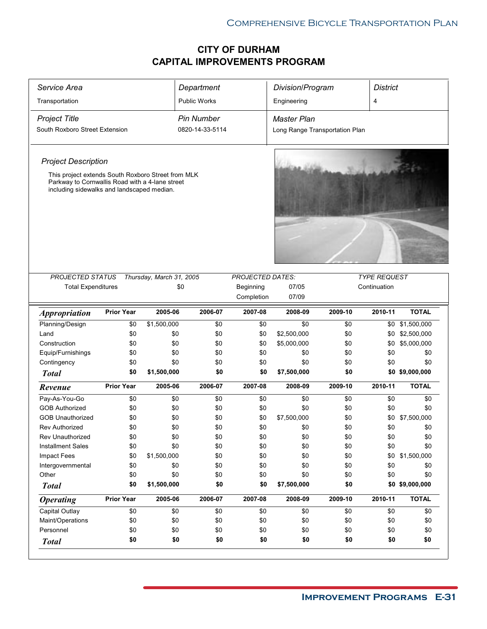| Service Area                                                                                                                                        |                   |                          | Department          |                         | Division/Program               |         | <b>District</b>     |                 |
|-----------------------------------------------------------------------------------------------------------------------------------------------------|-------------------|--------------------------|---------------------|-------------------------|--------------------------------|---------|---------------------|-----------------|
| Transportation                                                                                                                                      |                   |                          | <b>Public Works</b> |                         | Engineering                    |         | 4                   |                 |
| <b>Project Title</b>                                                                                                                                |                   |                          | <b>Pin Number</b>   |                         | <b>Master Plan</b>             |         |                     |                 |
| South Roxboro Street Extension                                                                                                                      |                   |                          | 0820-14-33-5114     |                         | Long Range Transportation Plan |         |                     |                 |
| <b>Project Description</b>                                                                                                                          |                   |                          |                     |                         |                                |         |                     |                 |
| This project extends South Roxboro Street from MLK<br>Parkway to Cornwallis Road with a 4-lane street<br>including sidewalks and landscaped median. |                   |                          |                     |                         |                                |         |                     |                 |
|                                                                                                                                                     |                   |                          |                     |                         |                                |         |                     |                 |
| <b>PROJECTED STATUS</b>                                                                                                                             |                   | Thursday, March 31, 2005 |                     | <b>PROJECTED DATES:</b> |                                |         | <b>TYPE REQUEST</b> |                 |
| <b>Total Expenditures</b>                                                                                                                           |                   | \$0                      |                     | Beginning<br>Completion | 07/05<br>07/09                 |         | Continuation        |                 |
| <i><b>Appropriation</b></i>                                                                                                                         | <b>Prior Year</b> | 2005-06                  | 2006-07             | 2007-08                 | 2008-09                        | 2009-10 | 2010-11             | <b>TOTAL</b>    |
| Planning/Design                                                                                                                                     | \$0               | \$1,500,000              | \$0                 | \$0                     | \$0                            | \$0     | \$0                 | \$1,500,000     |
| Land                                                                                                                                                | \$0               | \$0                      | \$0                 | \$0                     | \$2,500,000                    | \$0     |                     | \$0 \$2,500,000 |
| Construction                                                                                                                                        | \$0               | \$0                      | \$0                 | \$0                     | \$5,000,000                    | \$0     | \$0                 | \$5,000,000     |
| Equip/Furnishings                                                                                                                                   | \$0               | \$0                      | \$0                 | \$0                     | \$0                            | \$0     | \$0                 | \$0             |
| Contingency                                                                                                                                         | \$0               | \$0                      | \$0                 | \$0                     | \$0                            | \$0     | \$0                 | \$0             |
| <b>Total</b>                                                                                                                                        | \$0               | \$1,500,000              | \$0                 | \$0                     | \$7,500,000                    | \$0     |                     | \$0 \$9,000,000 |
|                                                                                                                                                     |                   |                          |                     |                         |                                |         |                     |                 |
| Revenue                                                                                                                                             | <b>Prior Year</b> | 2005-06                  | 2006-07             | 2007-08                 | 2008-09                        | 2009-10 | 2010-11             | <b>TOTAL</b>    |
| Pay-As-You-Go                                                                                                                                       | \$0               | \$0                      | \$0                 | \$0                     | \$0                            | \$0     | \$0                 | \$0             |
| <b>GOB Authorized</b>                                                                                                                               | \$0               | \$0                      | \$0                 | \$0                     | \$0                            | \$0     | \$0                 | \$0             |
| <b>GOB Unauthorized</b>                                                                                                                             | \$0               | \$0                      | \$0                 | \$0                     | \$7,500,000                    | \$0     | \$0                 | \$7,500,000     |
| <b>Rev Authorized</b>                                                                                                                               | \$0               | \$0                      | \$0                 | \$0                     | \$0                            | \$0     | \$0                 | \$0             |
| Rev Unauthorized                                                                                                                                    | \$0               | \$0                      | \$0                 | \$0                     | \$0                            | \$0     | \$0                 | \$0             |
| <b>Installment Sales</b>                                                                                                                            | \$0               | \$0                      | \$0                 | \$0                     | \$0                            | \$0     | \$0                 | \$0             |
| Impact Fees                                                                                                                                         | \$0               | \$1,500,000              | \$0                 | \$0                     | \$0                            | \$0     |                     | \$0 \$1,500,000 |
| Intergovernmental                                                                                                                                   | \$0               | \$0                      | \$0                 | \$0                     | \$0                            | \$0     | \$0                 | \$0             |
| Other                                                                                                                                               | \$0               | \$0                      | \$0                 | \$0                     | \$0                            | \$0     | \$0                 | \$0             |
| <b>Total</b>                                                                                                                                        | \$0               | \$1,500,000              | \$0                 | \$0                     | \$7,500,000                    | \$0     |                     | \$0 \$9,000,000 |
| <b>Operating</b>                                                                                                                                    | <b>Prior Year</b> | 2005-06                  | 2006-07             | 2007-08                 | 2008-09                        | 2009-10 | 2010-11             | <b>TOTAL</b>    |
| Capital Outlay                                                                                                                                      | \$0               | \$0                      | \$0                 | \$0                     | \$0                            | \$0     | \$0                 | \$0             |
| Maint/Operations                                                                                                                                    | \$0               | \$0                      | \$0                 | \$0                     | \$0                            | \$0     | \$0                 | \$0             |
| Personnel                                                                                                                                           | \$0               | \$0                      | \$0                 | \$0                     | \$0                            | \$0     | \$0                 | \$0             |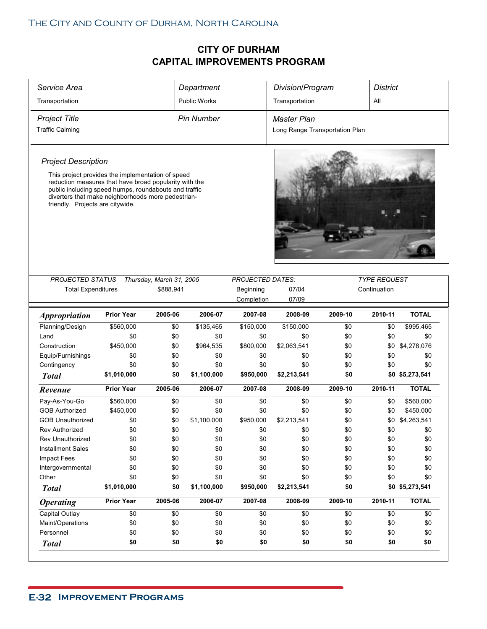| Service Area                                                                                                                                                                                              |                   |                          | Department          |                         | Division/Program               |         | <b>District</b>     |                 |
|-----------------------------------------------------------------------------------------------------------------------------------------------------------------------------------------------------------|-------------------|--------------------------|---------------------|-------------------------|--------------------------------|---------|---------------------|-----------------|
| Transportation                                                                                                                                                                                            |                   |                          | <b>Public Works</b> |                         | Transportation                 |         | All                 |                 |
| <b>Project Title</b>                                                                                                                                                                                      |                   |                          | <b>Pin Number</b>   |                         | <b>Master Plan</b>             |         |                     |                 |
| <b>Traffic Calming</b>                                                                                                                                                                                    |                   |                          |                     |                         | Long Range Transportation Plan |         |                     |                 |
| <b>Project Description</b>                                                                                                                                                                                |                   |                          |                     |                         |                                |         |                     |                 |
| This project provides the implementation of speed                                                                                                                                                         |                   |                          |                     |                         |                                |         |                     |                 |
| reduction measures that have broad popularity with the<br>public including speed humps, roundabouts and traffic<br>diverters that make neighborhoods more pedestrian-<br>friendly. Projects are citywide. |                   |                          |                     |                         |                                |         |                     |                 |
| PROJECTED STATUS                                                                                                                                                                                          |                   | Thursday, March 31, 2005 |                     | <b>PROJECTED DATES:</b> |                                |         | <b>TYPE REQUEST</b> |                 |
| <b>Total Expenditures</b>                                                                                                                                                                                 |                   | \$888,941                |                     | Beginning               | 07/04                          |         | Continuation        |                 |
|                                                                                                                                                                                                           |                   |                          |                     | Completion              | 07/09                          |         |                     |                 |
| <b>Appropriation</b>                                                                                                                                                                                      | <b>Prior Year</b> | 2005-06                  | 2006-07             | 2007-08                 | 2008-09                        | 2009-10 | 2010-11             | <b>TOTAL</b>    |
| Planning/Design                                                                                                                                                                                           | \$560,000         | \$0                      | \$135,465           | \$150,000               | \$150,000                      | \$0     | \$0                 | \$995,465       |
| Land                                                                                                                                                                                                      | \$0               | \$0                      | \$0                 | \$0                     | \$0                            | \$0     | \$0                 | \$0             |
| Construction                                                                                                                                                                                              | \$450,000         | \$0                      | \$964,535           | \$800,000               | \$2,063,541                    | \$0     | \$0                 | \$4,278,076     |
| Equip/Furnishings                                                                                                                                                                                         | \$0               | \$0                      | \$0                 | \$0                     | \$0                            | \$0     | \$0                 | \$0             |
| Contingency                                                                                                                                                                                               | \$0               | \$0                      | \$0                 | \$0                     | \$0                            | \$0     | \$0                 | \$0             |
| <b>Total</b>                                                                                                                                                                                              | \$1,010,000       | \$0                      | \$1,100,000         | \$950,000               | \$2,213,541                    | \$0     |                     | \$0 \$5,273,541 |
| Revenue                                                                                                                                                                                                   | <b>Prior Year</b> | 2005-06                  | 2006-07             |                         |                                |         |                     |                 |
|                                                                                                                                                                                                           |                   |                          |                     | 2007-08                 | 2008-09                        | 2009-10 | 2010-11             | <b>TOTAL</b>    |
| Pay-As-You-Go                                                                                                                                                                                             | \$560,000         | \$0                      | \$0                 | \$0                     | \$0                            | \$0     | \$0                 | \$560,000       |
| <b>GOB Authorized</b>                                                                                                                                                                                     | \$450,000         | \$0                      | \$0                 | \$0                     | \$0                            | \$0     | \$0                 | \$450,000       |
| <b>GOB Unauthorized</b>                                                                                                                                                                                   | \$0               | \$0                      | \$1,100,000         | \$950,000               | \$2,213,541                    | \$0     | \$0                 | \$4,263,541     |
| <b>Rev Authorized</b>                                                                                                                                                                                     | \$0               | \$0                      | \$0                 | \$0                     | \$0                            | \$0     | \$0                 | \$0             |
| Rev Unauthorized                                                                                                                                                                                          | \$0               | \$0                      | \$0                 | \$0                     | \$0                            | \$0     | \$0                 | \$0             |
| <b>Installment Sales</b>                                                                                                                                                                                  | \$0               | \$0                      | \$0                 | \$0                     | \$0                            | \$0     | \$0                 | \$0             |
| Impact Fees                                                                                                                                                                                               | \$0               | \$0                      | \$0                 | \$0                     | \$0                            | \$0     | \$0                 | \$0             |
| Intergovernmental                                                                                                                                                                                         | \$0               | \$0                      | \$0                 | \$0                     | \$0                            | \$0     | \$0                 | \$0             |
| Other                                                                                                                                                                                                     | \$0               | \$0                      | \$0                 | \$0                     | \$0                            | \$0     | \$0                 | \$0             |
| <b>Total</b>                                                                                                                                                                                              | \$1,010,000       | \$0                      | \$1,100,000         | \$950,000               | \$2,213,541                    | \$0     |                     | \$0 \$5,273,541 |
| <b>Operating</b>                                                                                                                                                                                          | <b>Prior Year</b> | 2005-06                  | 2006-07             | 2007-08                 | 2008-09                        | 2009-10 | 2010-11             | <b>TOTAL</b>    |
| Capital Outlay                                                                                                                                                                                            | \$0               | \$0                      | \$0                 | \$0                     | \$0                            | \$0     | \$0                 | \$0             |
| Maint/Operations                                                                                                                                                                                          | \$0               | \$0                      | \$0                 | \$0                     | \$0                            | \$0     | \$0                 | \$0             |
| Personnel                                                                                                                                                                                                 | \$0               | \$0                      | \$0                 | \$0                     | \$0                            | \$0     | \$0                 | \$0             |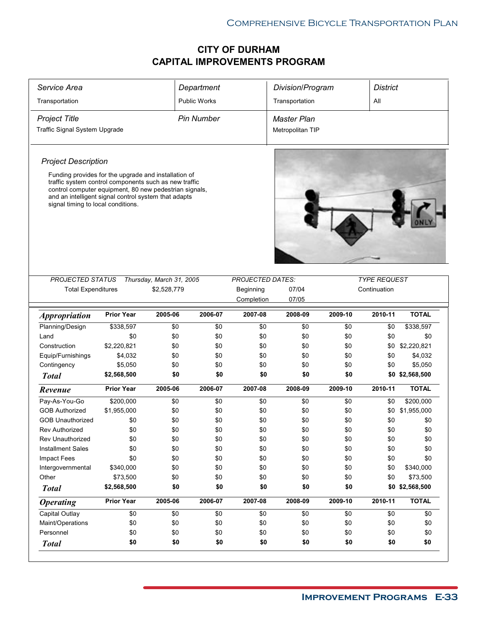| Service Area                                                                                                                                                                                                                                                          |                   |                          | Department          |                         | Division/Program   |         | <b>District</b>     |                 |
|-----------------------------------------------------------------------------------------------------------------------------------------------------------------------------------------------------------------------------------------------------------------------|-------------------|--------------------------|---------------------|-------------------------|--------------------|---------|---------------------|-----------------|
| Transportation                                                                                                                                                                                                                                                        |                   |                          | <b>Public Works</b> |                         | Transportation     |         | All                 |                 |
| <b>Project Title</b>                                                                                                                                                                                                                                                  |                   |                          | <b>Pin Number</b>   |                         | <b>Master Plan</b> |         |                     |                 |
| Traffic Signal System Upgrade                                                                                                                                                                                                                                         |                   |                          |                     |                         | Metropolitan TIP   |         |                     |                 |
|                                                                                                                                                                                                                                                                       |                   |                          |                     |                         |                    |         |                     |                 |
| <b>Project Description</b>                                                                                                                                                                                                                                            |                   |                          |                     |                         |                    |         |                     |                 |
| Funding provides for the upgrade and installation of<br>traffic system control components such as new traffic<br>control computer equipment, 80 new pedestrian signals,<br>and an intelligent signal control system that adapts<br>signal timing to local conditions. |                   |                          |                     |                         |                    |         |                     |                 |
|                                                                                                                                                                                                                                                                       |                   |                          |                     |                         |                    |         |                     |                 |
| <b>PROJECTED STATUS</b>                                                                                                                                                                                                                                               |                   | Thursday, March 31, 2005 |                     | <b>PROJECTED DATES:</b> |                    |         | <b>TYPE REQUEST</b> |                 |
| <b>Total Expenditures</b>                                                                                                                                                                                                                                             |                   | \$2,528,779              |                     | Beginning               | 07/04              |         | Continuation        |                 |
|                                                                                                                                                                                                                                                                       |                   |                          |                     | Completion              | 07/05              |         |                     |                 |
| <i><b>Appropriation</b></i>                                                                                                                                                                                                                                           | <b>Prior Year</b> | 2005-06                  | 2006-07             | 2007-08                 | 2008-09            | 2009-10 | 2010-11             | <b>TOTAL</b>    |
| Planning/Design                                                                                                                                                                                                                                                       | \$338,597         | \$0                      | \$0                 | \$0                     | \$0                | \$0     | \$0                 | \$338,597       |
| Land                                                                                                                                                                                                                                                                  | \$0               | \$0                      | \$0                 | \$0                     | \$0                | \$0     | \$0                 | \$0             |
| Construction                                                                                                                                                                                                                                                          | \$2,220,821       | \$0                      | \$0                 | \$0                     | \$0                | \$0     | \$0                 | \$2,220,821     |
| Equip/Furnishings                                                                                                                                                                                                                                                     | \$4,032           | \$0                      | \$0                 | \$0                     | \$0                | \$0     | \$0                 | \$4,032         |
| Contingency                                                                                                                                                                                                                                                           | \$5,050           | \$0                      | \$0                 | \$0                     | \$0                | \$0     | \$0                 | \$5,050         |
| <b>Total</b>                                                                                                                                                                                                                                                          | \$2,568,500       | \$0                      | \$0                 | \$0                     | \$0                | \$0     |                     | \$0 \$2,568,500 |
| Revenue                                                                                                                                                                                                                                                               | <b>Prior Year</b> | 2005-06                  | 2006-07             | 2007-08                 | 2008-09            | 2009-10 | 2010-11             | <b>TOTAL</b>    |
| Pay-As-You-Go                                                                                                                                                                                                                                                         | \$200,000         | \$0                      | \$0                 | \$0                     | \$0                | \$0     | \$0                 | \$200,000       |
| <b>GOB Authorized</b>                                                                                                                                                                                                                                                 | \$1,955,000       | \$0                      | \$0                 | \$0                     | \$0                | \$0     | \$0                 | \$1,955,000     |
| <b>GOB Unauthorized</b>                                                                                                                                                                                                                                               | \$0               | \$0                      | \$0                 | \$0                     | \$0                | \$0     | \$0                 | \$0             |
| <b>Rev Authorized</b>                                                                                                                                                                                                                                                 | \$0               | \$0                      | \$0                 | \$0                     | \$0                | \$0     | \$0                 | \$0             |
| <b>Rev Unauthorized</b>                                                                                                                                                                                                                                               | \$0               | \$0                      | \$0                 | \$0                     | \$0                | \$0     | \$0                 | \$0             |
| <b>Installment Sales</b>                                                                                                                                                                                                                                              | \$0               | \$0                      | \$0                 | \$0                     | \$0                | \$0     | \$0                 | \$0             |
| Impact Fees                                                                                                                                                                                                                                                           | \$0               | \$0                      | \$0                 | \$0                     | \$0                | \$0     | \$0                 | \$0             |
| Intergovernmental                                                                                                                                                                                                                                                     | \$340,000         | \$0                      | \$0                 | \$0                     | \$0                | \$0     | \$0                 | \$340,000       |
| Other                                                                                                                                                                                                                                                                 | \$73,500          | \$0                      | \$0                 | \$0                     | \$0                | \$0     | \$0                 | \$73,500        |
| <b>Total</b>                                                                                                                                                                                                                                                          | \$2,568,500       | \$0                      | \$0                 | \$0                     | \$0                | \$0     |                     | \$0 \$2,568,500 |
| <b>Operating</b>                                                                                                                                                                                                                                                      | <b>Prior Year</b> | 2005-06                  | 2006-07             | 2007-08                 | 2008-09            | 2009-10 | 2010-11             | <b>TOTAL</b>    |
| Capital Outlay                                                                                                                                                                                                                                                        | \$0               | \$0                      | \$0                 | \$0                     | \$0                | \$0     | \$0                 | \$0             |
| Maint/Operations                                                                                                                                                                                                                                                      | \$0               | \$0                      | \$0                 | \$0                     | \$0                | \$0     | \$0                 | \$0             |
| Personnel                                                                                                                                                                                                                                                             | \$0               | \$0                      | \$0                 | \$0                     | \$0                | \$0     | \$0                 | \$0             |
| <b>Total</b>                                                                                                                                                                                                                                                          | \$0               | \$0                      | \$0                 | \$0                     | \$0                | \$0     | \$0                 | \$0             |
|                                                                                                                                                                                                                                                                       |                   |                          |                     |                         |                    |         |                     |                 |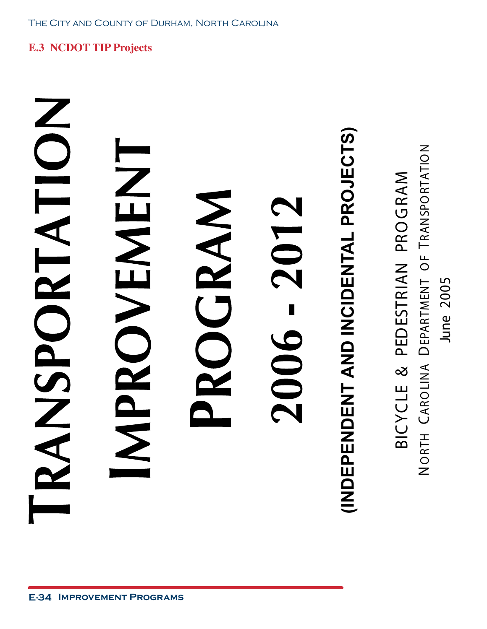NODORTATION MENENENT

### ROGRAM - 2012 2006

# **(INDEPENDENT AND INCIDENTAL PROJECTS) INDEPENDENT AND INCIDENTAL PROJECTS)**

Z TRANSPORTATIO  $\boldsymbol{\Sigma}$ BICYCLE & PEDESTRIAN PRO GRA ட DEPARTMENT O June 2005 June 2005 A CARO LIN NO RTH

**E.3 NCDOT TIP Projects**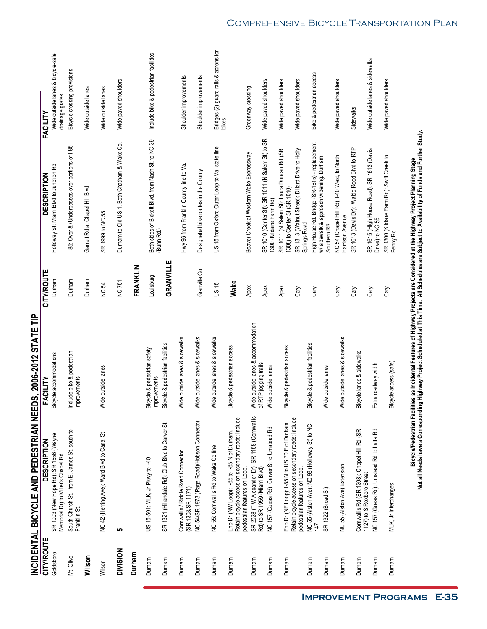|                   | INCIDENTAL BICYCLE AND PEDESTRIAN NEE                                                            | DS, 2006-2012 STATE TIP                     |               |                                                                            |                                                      |
|-------------------|--------------------------------------------------------------------------------------------------|---------------------------------------------|---------------|----------------------------------------------------------------------------|------------------------------------------------------|
| <b>CITY/ROUTE</b> | DESCRIPTION                                                                                      | FACILITY                                    | CITY/ROUTE    | <b>DESCRIPTION</b>                                                         | FACILITY                                             |
| Goldsboro         | SR 1003 (New Hope Rd): SR 1556 (Wayne<br>Memorial Dr) to Miller's Chapel Rd                      | Bicycle accommodations                      | Durham        | Holloway St: Miami Blvd to Junction Rd                                     | Wide outside lanes & bicycle-safe<br>drainage grates |
| Mt. Olive         | South Church St.- from E. James St. south to<br>Franklin St.                                     | Include bike & pedestrian<br>improvements   | Durham        | I-85: Over & /Underpasses over portions of I-85                            | Bicycle crossing provisions                          |
| Wilson            |                                                                                                  |                                             | Durham        | Garrett Rd at Chapel Hill Blvd                                             | Wide outside lanes                                   |
| Wilson            | NC 42 (Herring Ave): Ward Blvd to Canal St                                                       | Wide outside lanes                          | <b>NC 54</b>  | SR 1999 to NC 55                                                           | Wide outside lanes                                   |
| <b>DIVISION</b>   | 5                                                                                                |                                             | <b>NC751</b>  | Durham to Old US 1. Both Chatham & Wake Co.                                | Wide paved shoulders                                 |
| Durham            |                                                                                                  |                                             | FRANKLIN      |                                                                            |                                                      |
| Durham            | US 15-501: MLK, Jr Pkwy to 140                                                                   | Bicycle & pedestrian safety<br>improvements | Louisburg     | Both sides of Bickett Blvd. from Nash St. to NC-39<br>(Bunn Rd.)           | Include bike & pedestrian facilities                 |
| Durham            | SR 1321 (Hillandale Rd): Club Blvd to Carver St                                                  | Bicycle & pedestrian facilities             | GRANVILLE     |                                                                            |                                                      |
| Durham            | Cornwallis / Riddle Road Connector<br>(SR 1308/SR 1171)                                          | Wide outside lanes & sidewalks              |               | Hwy 96 from Franklin County line to Va.                                    | Shoulder improvements                                |
| Durham            | NC 54/SR 1973 (Page Road)/Hobson Connector                                                       | Wide outside lanes & sidewalks              | Granville Co. | Designated bike routes in the County                                       | Shoulder improvements                                |
| Durham            | NC 55: Cornwallis Rd to Wake Co line                                                             | Wide outside lanes & sidewalks              | US-15         | US 15 from Oxford Outer Loop to Va. state line                             | Bridges (2) guard rails & aprons for<br>bikes        |
| Durham            | Eno Dr (NW Loop): I-85 to I-85 N of Durham.<br>Retain bicycle access on secondary roads; include | Bicycle & pedestrian access                 | Wake          |                                                                            |                                                      |
| Durham            | SR 2028 (T W Alexander Dr): SR 1158 (Cornwallis<br>pedestrian features on Loop.                  | Wide outside lanes & accommodation          | Apex          | Beaver Creek at Western Wake Expressway                                    | Greenway crossing                                    |
| Durham            | NC 157 (Guess Rd): Carver St to Umstead Rd<br>Rd) to SR 1959 (Miami Blvd)                        | of RTP jogging trails<br>Wide outside lanes | Apex          | SR 1010 (Center St): SR 1011 (N Salem St) to SR<br>1300 (Kildaire Farm Rd) | Wide paved shoulders                                 |
| Durham            | Eno Dr (NE Loop): I-85 N to US 70 E of Durham.                                                   | Bicycle & pedestrian access                 | Apex          | SR 1011 (N Salem St): Laura Duncan Rd (SR<br>1308) to Center St (SR 1010)  | Wide paved shoulders                                 |
|                   | Retain bicycle access on secondary roads; include<br>pedestrian features on Loop.                |                                             | Cary          | SR 1313 (Walnut Street): Dillard Drive to Holly<br>Springs Road            | Wide paved shoulders                                 |
| Durham            | NC 55 (Alston Ave): NC 98 (Holloway St) to NC<br>147                                             | Bicycle & pedestrian facilities             | Cary          | High House Rd. Bridge (SR-1615) - replacement                              | Bike & pedestrian access                             |
| Durham            | SR 1322 (Broad St)                                                                               | Wide outside lanes                          |               | w/ sidewalk & approach widening. Durham<br>Southern RR.                    |                                                      |
| Durham            | NC 55 (Alston Ave) Extension                                                                     | Wide outside lanes & sidewalks              | Cary          | NC 54 (Chapel Hill Rd): 1-40 West, to North<br>Harrison Avenue.            | Wide paved shoulders                                 |
| Durham            | Cornwallis Rd (SR 1308): Chapel Hill Rd (SR<br>1127) to S Roxboro Street                         | Bicycle lanes & sidewalks                   | Cary          | SR 1613 (Davis Dr): Waldo Rood Blvd to RTP                                 | Sidewalks                                            |
| Durham            | NC 157 (Guess Rd): Umstead Rd to Latta Rd                                                        | Extra roadway width                         | Cary          | SR 1615 (High House Road): SR 1613 (Davis<br>Drive) to NC 55               | Wide outside lanes & sidewalks                       |
| Durham            | MLK, Jr Interchanges                                                                             | Bicycle access (safe)                       | Cary          | SR 1300 (Kildaire Farm Rd): Swift Creek to<br>Penny Rd.                    | Wide paved shoulders                                 |

Bicycle/Pedestrian Facilities as Incidental Features of Highway Projects are Considered at the Highway Project Planning Stage<br>Not all Needs have a Corresponding Highway Project Scheduled at This Time. All Schedules are Sub **Not all Needs have a Corresponding Highway Project Scheduled at This Time. All Schedules are Subject to Availability of Funds and Further Study.Bicycle/Pedestrian Facilities as Incidental Features of Highway Projects are Considered at the Highway Project Planning Stage**

Comprehensive Bicycle Transportation Plan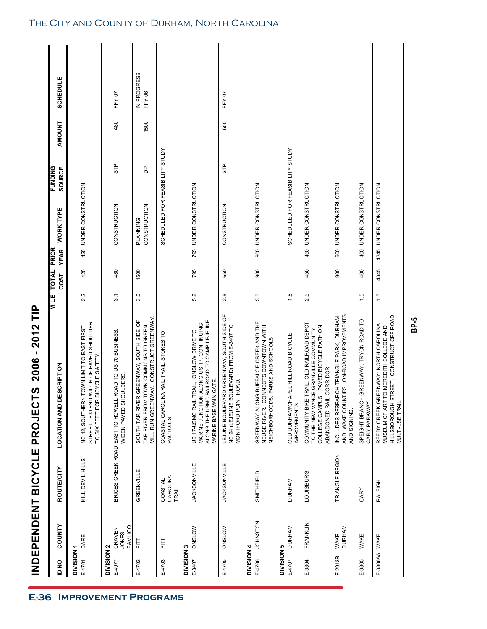| $\frac{8}{4}$                   | COUNTY                     | <b>ROUTE/CITY</b>            | <b>LOCATION AND DESCRIPTION</b>                                                                                                                                                | <b>MILE</b> | <b>TOTAL</b> | <b>WORK TYPE</b><br><b>PRIOR</b> | <b>FUNDING</b>                  | AMOUNT | <b>SCHEDULE</b>      |
|---------------------------------|----------------------------|------------------------------|--------------------------------------------------------------------------------------------------------------------------------------------------------------------------------|-------------|--------------|----------------------------------|---------------------------------|--------|----------------------|
|                                 |                            |                              |                                                                                                                                                                                |             | COST         | <b>YEAR</b>                      | SOURCE                          |        |                      |
| DIVISION <sub>1</sub><br>E-4701 | DARE                       | KILL DEVIL HILLS             | STREET. EXTEND WIDTH OF PAVED SHOULDER<br>TO SIX FEET FOR BICYCLE SAFETY.<br>TOWN LIMIT TO EAST FIRST<br>NC 12, SOUTHERN                                                       | 2.2         | 425          | 425 UNDER CONSTRUCTION           |                                 |        |                      |
| DIVISION 2                      |                            |                              |                                                                                                                                                                                |             |              |                                  |                                 |        |                      |
| E-4977                          | JONES<br>PAMLICO<br>CRAVEN |                              | BRICES CREEK ROAD EAST TO HOWELL ROAD TO US 70 BUSINESS.<br>WIDEN PAVED SHOULDERS.                                                                                             | 3.1         | 480          | CONSTRUCTION                     | STP                             | 480    | FFY 07               |
| E-4702                          | 듩                          | GREENVILLE                   | MILL RUN GREENWAY. CONSTRUCT GREENWAY<br>GREENWAY, SOUTH SIDE OF<br>TOWN COMMONS TO GREEN<br>SOUTH TAR RIVER<br>TAR RIVER FROM T                                               | 3.0         | 1500         | CONSTRUCTION<br>PLANNING         | Β                               | 1500   | IN PROGRESS<br>FFY06 |
| E-4703                          | 듩                          | CAROLINA<br>COASTAL<br>TRAIL | COASTAL CAROLINA RAIL TRAIL, STOKES TO<br>PACTOLUS.                                                                                                                            |             |              |                                  | SCHEDULED FOR FEASIBILITY STUDY |        |                      |
| DIVISION 3                      |                            |                              |                                                                                                                                                                                |             |              |                                  |                                 |        |                      |
| E-3407                          | ONSLOW                     | <b>JACKSONVILLE</b>          | ALONG THE USMC RAILROAD TO CAMP LEJEUNE<br>ALONG US 17, CONTINUING<br><b>RAIL, ONSLOW DRIVE TO</b><br><b>GATE.</b><br>MARINE JUNCTION<br>MARINE BASE MAIN<br>US 17-USMC RAIL T | 5.2         | 795          | 795 UNDER CONSTRUCTION           |                                 |        |                      |
| E-4705                          | <b>ONSLOW</b>              | <b>JACKSONVILLE</b>          | LEJUNE BOULEVARD GREENWAY, SOUTH SIDE OF<br>OULEVARD) FROM E-3407 TO<br>ROAD.<br>NC 24 (LEJEUNE BC<br>MONTFORD POINT                                                           | 2.8         | 650          | CONSTRUCTION                     | STP                             | 650    | FFY07                |
| DIVISION 4                      |                            |                              |                                                                                                                                                                                |             |              |                                  |                                 |        |                      |
| E-4706                          | <b>NOLSNHOL</b>            | SMITHFIELD                   | GREENWAY ALONG BUFFALOE CREEK AND THE<br>NEUSE RIVER. CONNECTS DOWNTOWN WITH<br>NEIGHBORHOODS, PARKS AND SCHOOLS                                                               | 3.0         | 900          | 900 UNDER CONSTRUCTION           |                                 |        |                      |
| DIVISION 5                      |                            |                              |                                                                                                                                                                                |             |              |                                  |                                 |        |                      |
| E-4707                          | <b>DURHAM</b>              | <b>DURHAM</b>                | OLD DURHAM/CHAPEL HILL ROAD BICYCLE<br>IMPROVEMENTS.                                                                                                                           | 1.5         |              |                                  | SCHEDULED FOR FEASIBILITY STUDY |        |                      |
| E-3804                          | FRANKLIN                   | <b>LOUISBURG</b>             | <b>FRAIL: OLD RAILROAD DEPOT</b><br>. PAVED BICYCLE PATH ON<br>E-GRANVILLE COMMUNITY<br>CORRIDOR.<br>COMMUNITY BIKE T<br>TO THE NEW VANC<br>COLLEGE CAMPUS<br>ABANDONED RAIL   | 2.5         | 450          | 450 UNDER CONSTRUCTION           |                                 |        |                      |
| E-2913B                         | <b>DURHAM</b><br>WAKE      | TRIANGLE REGION              | INCLUDES RESEARCH TRIANGLE PARK, DURHAM<br>AND WAKE COUNTIES. ON-ROAD IMPROVEMENTS<br>AND SIGNING.                                                                             |             | 900          | 900 UNDER CONSTRUCTION           |                                 |        |                      |
| E-3805                          | WAKE                       | CARY                         | GREENWAY: TRYON ROAD TO<br>SPEIGHT BRANCH<br>CARY PARKWAY.                                                                                                                     | 1.5         | 400          | 400 UNDER CONSTRUCTION           |                                 |        |                      |
| E-3806AA WAKE                   |                            | <b>RALEIGH</b>               | <b>REET. CONSTRUCT OFF-ROAD</b><br>REEDY CREEK GREENWAY: NORTH CAROLINA<br>MUSEUM OF ART TO MEREDITH COLLEGE AND<br>HILLSBOROUGH ST<br>MULTI-USE TRAIL.                        | 1.5         | 4345         | 4345 UNDER CONSTRUCTION          |                                 |        |                      |
|                                 |                            |                              |                                                                                                                                                                                |             |              |                                  |                                 |        |                      |

### The City and County of Durham, North Carolina

**INDEPENDENT BICYCLE PROJECTS 2006 - 2012 TIP**

INDEPENDENT BICYCLE PROJECTS 2006 - 2012 TIP

**BP-5**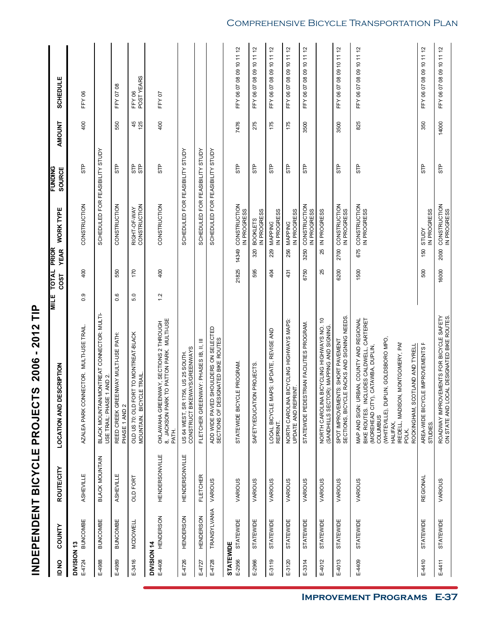| D NO                       | <b>COUNTY</b>    | ROUTE/CITY            | ESCRIPTION<br>LOCATION AND DI                                                                                                                                                                                                                                                 | TOTAL<br>COST<br><b>MILE</b> | <b>WORK TYPE</b><br><b>PRIOR</b><br><b>YEAR</b> | <b>FUNDING</b><br>SOURCE                  | <b>AMOUNT</b> | <b>SCHEDULE</b>                                   |
|----------------------------|------------------|-----------------------|-------------------------------------------------------------------------------------------------------------------------------------------------------------------------------------------------------------------------------------------------------------------------------|------------------------------|-------------------------------------------------|-------------------------------------------|---------------|---------------------------------------------------|
| DIVISION 13<br>E-4724      | <b>BUNCOMBE</b>  | ASHEVILLE             | AZALEA PARK CONNECTOR. MULTI-USE TRAIL.                                                                                                                                                                                                                                       | 400<br>0.9                   | CONSTRUCTION                                    | STP                                       | 400           | <b>FFY06</b>                                      |
| E-4988                     | <b>BUNCOMBE</b>  | <b>BLACK MOUNTAIN</b> | BLACK MOUNTAINMONTREAT CONNECTOR: MULT<br>USE TRAIL: PHASE 1 AND 2.                                                                                                                                                                                                           |                              |                                                 | SCHEDULED FOR FEASIBILITY STUDY           |               |                                                   |
| E-4989                     | <b>BUNCOMBE</b>  | ASHEVILLE             | REED CREEK GREENWAY MULTI-USE PATH:<br>PHASE 1 AND 2                                                                                                                                                                                                                          | 550<br>0.6                   | CONSTRUCTION                                    | STP                                       | 550           | FFY 07 08                                         |
| E-3416                     | <b>MCDOWELL</b>  | <b>OLD FORT</b>       | OLD US 70: OLD FORT TO MONTREAT-BLACK<br>MOUNTAIN. BICYCLE TRAIL.                                                                                                                                                                                                             | 170<br>5.0                   | CONSTRUCTION<br>RIGHT-OF-WAY                    | 유 업                                       | 45<br>125     | POSTYEARS<br>FFY 06                               |
| DIVISION 14<br>E-4408      | <b>HENDERSON</b> | <b>HENDERSONVILLE</b> | OKLAWAHA GREENWAY, SECTIONS 2 THROUGH<br>8. JACKSON PARK TO PATTON PARK. MULTI-USE<br>PATH.                                                                                                                                                                                   | 400<br>1.2                   | CONSTRUCTION                                    | STP                                       | 400           | FFY07                                             |
| E-4726                     | <b>HENDERSON</b> | <b>HENDERSONVILLE</b> | CONSTRUCT BIKEWAYS/GREENWAYS<br>56, US 25 SOUTH.<br>US 64 WEST, SR 17                                                                                                                                                                                                         |                              |                                                 | SCHEDULED FOR FEASIBILITY STUDY           |               |                                                   |
| E-4727                     | <b>HENDERSON</b> | <b>FLETCHER</b>       | FLETCHER GREENWAY: PHASES IB, II, III                                                                                                                                                                                                                                         |                              |                                                 | <b>AdnLS</b><br>SCHEDULED FOR FEASIBILITY |               |                                                   |
| E-4728                     | TRANSYLVANIA     | VARIOUS               | ADD WIDE PAVED SHOULDERS ON SELECTED<br>SECTIONS OF DESIGNATED BIKE ROUTES                                                                                                                                                                                                    |                              |                                                 | SCHEDULED FOR FEASIBILITY STUDY           |               |                                                   |
| <b>STATEWIDE</b><br>E-2956 | STATEWIDE        | VARIOUS               | STATEWIDE BICYCLE PROGRAM.                                                                                                                                                                                                                                                    | 21825                        | 14349 CONSTRUCTION<br>IN PROGRESS               | STP                                       | 7476          | FFY 06 07 08 09 10 11 12                          |
| E-2966                     | <b>STATEWIDE</b> | VARIOUS               | SAFETY/EDUCATION PROJECTS                                                                                                                                                                                                                                                     | 595                          | IN PROGRESS<br><b>BOOKLETS</b><br>320           | STP                                       | 275           | 5,<br>$\overline{1}$<br>FFY 06 07 08 09 10        |
| E-3119                     | STATEWIDE        | VARIOUS               | LOCAL BICYCLE MAPS: UPDATE, REVISE AND<br>REPRINT.                                                                                                                                                                                                                            | 404                          | IN PROGRESS<br>MAPPING<br>229                   | 유<br>5                                    | 175           | $\approx$<br>$\overline{a}$<br>FFY 06 07 08 09 10 |
| E-3120                     | <b>STATEWIDE</b> | VARIOUS               | BICYCLING HIGHWAYS MAPS:<br>NORTH CAROLINA BIC<br>UPDATE AND REPRINT.                                                                                                                                                                                                         | 431                          | IN PROGRESS<br>MAPPING<br>256                   | ႕ေ                                        | 175           | $\tilde{c}$<br>FFY 06 07 08 09 10 11              |
| E-3314                     | <b>STATEWIDE</b> | VARIOUS               | STATEWIDE PEDESTRIAN FACILITIES PROGRAM.                                                                                                                                                                                                                                      | 6750                         | CONSTRUCTION<br>IN PROGRESS<br>3250             | ႕ေ                                        | 3500          | 57<br>FFY 06 07 08 09 10 11                       |
| E-4012                     | <b>STATEWIDE</b> | VARIOUS               | S)<br>BICYCLING HIGHWAYS NO.<br>(SANDHILLS SECTOR): MAPPING AND SIGNING.<br>NORTH CAROLINA                                                                                                                                                                                    | 25                           | IN PROGRESS<br>25                               |                                           |               |                                                   |
| E-4013                     | <b>STATEWIDE</b> | VARIOUS               | SPOT IMPROVEMENTS: SHORT PAVEMENT<br>SECTIONS, BICYCLE RACKS AND SIGNING NEEDS.                                                                                                                                                                                               | 6200                         | CONSTRUCTION<br>IN PROGRESS<br>2700             | STP                                       | 3500          | FFY 06 07 08 09 10 11 12                          |
| E-4409                     | <b>STATEWIDE</b> | VARIOUS               | BIKE ROUTES. INCLUDES CALDWELL, CARTERET<br>MAP AND SIGN: URBAN, COUNTY AND REGIONAL<br>(WHITEVILLE), DUPLIN, GOLDSBORO MPO,<br>IREDELL, MADISON, MONTGOMERY, PAP<br>ROCKINGHAM, SCOTLAND AND TYRELL<br>CATAWBA, DUPLIN,<br>(MOREHEAD CITY),<br>COLUMBUS<br>HALIFAX,<br>POLK, | 1500                         | CONSTRUCTION<br>IN PROGRESS<br>675              | 0H                                        | 825           | FFY 06 07 08 09 10 11 12                          |
| E-4410                     | <b>STATEWIDE</b> | REGIONAL              | .E IMPROVEMENTS F<br>AREA-WIDE BICYCI<br>STUDIES.                                                                                                                                                                                                                             | 500                          | IN PROGRESS<br>STUDY<br>150                     | STP                                       | 350           | FFY 06 07 08 09 10 11 12                          |
| E-4411                     | <b>STATEWIDE</b> | VARIOUS               | ROADWAY IMPROVEMENTS FOR BICYCLE SAFETY<br>ON STATE AND LOCAL DESIGNATED BIKE ROUTES.                                                                                                                                                                                         | 16000                        | CONSTRUCTION<br>IN PROGRESS<br>2000             | STP                                       | 14000         | FFY 06 07 08 09 10 11 12                          |

**INDEPENDENT BICYCLE PROJECTS 2006 - 2012 TIP**

INDEPENDENT BICYCLE PROJECTS 2006 - 2012 TIP

### Comprehensive Bicycle Transportation Plan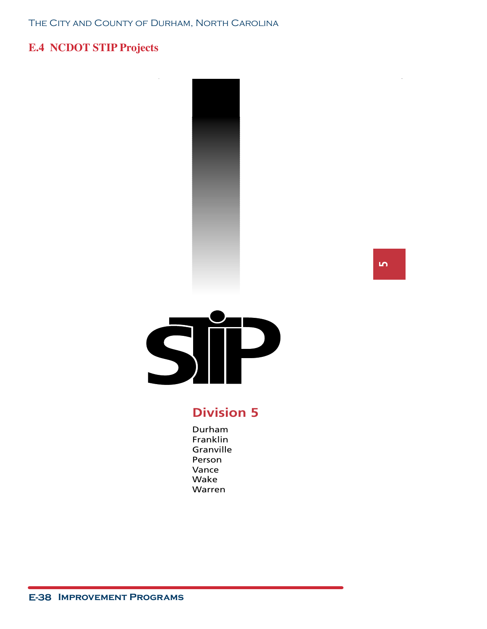### **E.4 NCDOT STIP Projects**





### **Division 5**

Durham Franklin Granville Person Vance Wake Warren

**5**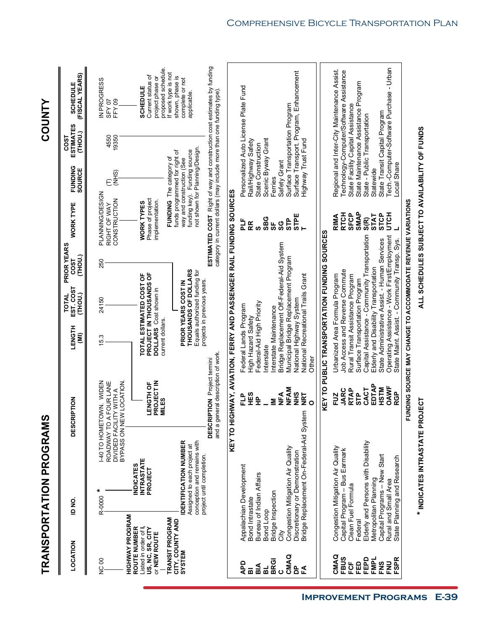|                                                                           |                              |                                                                                                                        | TRANSPORTATION PROGRAMS                  |                                                                                                        |                                                                                                                                                                                       |                                                                                                             |                                       |                                                                                   |                                                                                                                              |                                                                       | <b>COUNTY</b>                                                                                         |
|---------------------------------------------------------------------------|------------------------------|------------------------------------------------------------------------------------------------------------------------|------------------------------------------|--------------------------------------------------------------------------------------------------------|---------------------------------------------------------------------------------------------------------------------------------------------------------------------------------------|-------------------------------------------------------------------------------------------------------------|---------------------------------------|-----------------------------------------------------------------------------------|------------------------------------------------------------------------------------------------------------------------------|-----------------------------------------------------------------------|-------------------------------------------------------------------------------------------------------|
| LOCATION                                                                  |                              | ID NO.                                                                                                                 |                                          | <b>DESCRIPTION</b>                                                                                     | LENGTH<br>(IMI                                                                                                                                                                        | EST. COST<br>(THOU.)<br><b>TOTAL</b>                                                                        | PRIOR YEARS<br>(THOU.)<br><b>COST</b> | <b>WORK TYPE</b>                                                                  | <b>FUNDING</b><br>SOURCE                                                                                                     | <b>ESTIMATES</b><br>(THOU.)<br><b>COST</b>                            | (FISCAL YEARS)<br><b>SCHEDULE</b>                                                                     |
| NC 00                                                                     | HIGHWAY PROGRAM              | ×<br>R-0000                                                                                                            |                                          | 140 TO HOMETOWN. WIDEN<br>DIVIDED FACILITY WITH A<br>BYPASS ON NEW LOCATION.<br>ROADWAY TO A FOUR LANE | 15.3                                                                                                                                                                                  | 24150                                                                                                       | 250                                   | PLANNING/DESIGN<br>CONSTRUCTION<br>RIGHT OF WAY                                   | (NHS)<br>Ê                                                                                                                   | 19350<br>4550                                                         | IN PROGRESS<br>FFY09<br>SFY 07                                                                        |
| ROUTE NUMBER<br>Listed in order of I,<br>US, NC, SR, CITY<br>or NEW ROUTE | <b>TRANSIT PROGRAM</b>       | <b>INTRASTATE</b><br><b>INDICATES</b><br>PROJECT                                                                       |                                          | <b>LENGTH OF<br/>PROJECT IN<br/>MILES</b>                                                              | current dollars.                                                                                                                                                                      | PROJECT IN THOUSANDS OF<br>TOTAL ESTIMATED COST OF<br><b>DOLLARS</b> Cost shown in                          |                                       | Phase of project<br>implementation.<br><b>WORK TYPES</b>                          | FUNDING The category of                                                                                                      |                                                                       | proposed schedule.<br>If work type is not<br>Current status of<br>project phase or<br><b>SCHEDULE</b> |
| SYSTEM                                                                    | CITY, COUNTY AND             | <b>DENTIFICATION NUMBER</b><br>conception and remains with<br>Assigned to each project at<br>project until completion. |                                          |                                                                                                        |                                                                                                                                                                                       | THOUSANDS OF DOLLARS<br>Equals authorized funding for<br>projects in previous years.<br>PRIOR YEARS COST IN |                                       |                                                                                   | not shown for Planning/Design.<br>funding key). Funding source<br>funds programmed for right of<br>way and construction (See |                                                                       | shown, phase is<br>complete or not<br>applicable.                                                     |
|                                                                           |                              |                                                                                                                        |                                          | and a general description of work.<br><b>DESCRIPTION</b> Project termini                               | KEY TO HIGHWAY, AVIATION, FERRY AND PASSENGER RAIL FUNDING SOURCES                                                                                                                    |                                                                                                             |                                       | category in current dollars (may include more than one funding type).             |                                                                                                                              |                                                                       | ESTIMATED COST Right of way and construction cost estimates by funding                                |
| QdV<br>ВIА<br>вL<br>$\overline{a}$                                        | Bond Intrastate<br>Bond Loop | Appalachian Development<br>Bureau of Indian Affairs                                                                    |                                          | НËS<br>읍<br>읖                                                                                          | Federal-Aid High Priority<br>Federal Lands Program<br>High Hazard Safety<br>Interstate                                                                                                |                                                                                                             |                                       | <b>SBG</b><br>늘<br>5F<br>RR<br>ဖာ                                                 | Scenic Byway Grant<br>Rail/Highway Safety<br>State Construction                                                              | Personalized Auto License Plate Fund                                  |                                                                                                       |
| CMAQ<br><b>BRGI</b><br>å<br>氐<br>$\mathbf{o}$                             | Bridge Inspection<br>City    | Congestion Mitigation Air Quality<br>Discretionary or Demonstration                                                    | Bridge Replacement On-Federal-Aid System | <b>NFAM</b><br>SHR<br>$n \n\in \mathbb{Z}$<br><b>NRT</b><br>≦<br>$\circ$                               | Bridge Replacement Off-Federal-Aid System<br>Municipal Bridge Replacement Program<br>National Recreational Trails Grant<br>National Highway System<br>Interstate Maintenance<br>Other |                                                                                                             |                                       | <b>STPE</b><br><b>STP</b><br>SG                                                   | Highway Trust Fund<br>Safety Grant<br>Ferries                                                                                | Surface Transportation Program                                        | Surface Transport. Program, Enhancement                                                               |
|                                                                           |                              |                                                                                                                        |                                          |                                                                                                        | KEY TO PUBLIC TRANSPORTATION FUNDING SOURCES                                                                                                                                          |                                                                                                             |                                       |                                                                                   |                                                                                                                              |                                                                       |                                                                                                       |
| CMAQ<br><b>FBUS</b><br>FCF                                                |                              | Congestion Mitigation Air Quality<br>Capital Program - Bus Earmark<br>Clean Fuel Formula                               |                                          | <b>RTAP</b><br>JARC<br>FUZ                                                                             | Job Access and Reverse Commute<br>Urbanized Area Formula Program<br>Rural Transit Assistance Program                                                                                  |                                                                                                             |                                       | <b>RTCH</b><br><b>SFCP</b><br><b>RIMA</b>                                         |                                                                                                                              | State Facility Capital Assistance                                     | Regional and Inter-City Maintenance Assist.<br>Technology-Computer/Software Assistance                |
| FEPD<br><b>FMPL</b><br>EED                                                | Federal                      | Elderly and Persons with Disability<br>Metropolitan Planning                                                           |                                          | EDTAP<br><b>MISH</b><br>CACT<br><b>STP</b>                                                             | Capital Assistance - Community Transportation<br>Elderly and Disability Transportation<br>Surface Transportation Program                                                              |                                                                                                             |                                       | <b>SMAP</b><br><b>STCP</b><br><b>STAT</b><br>$\widetilde{\mathsf{s}}(\mathsf{R})$ | Statewide                                                                                                                    | State Maintenance Assistance Program<br>State - Public Transportation |                                                                                                       |
| <b>FSPR</b><br><b>FNS</b><br>FNU                                          |                              | Capital Programs - New Start<br>State Planning and Research<br>Rural and Small Area                                    |                                          | OAWF<br><b>RGP</b>                                                                                     | Operating Assistance - Work First/Employment<br>State Administrative Assist. - Human Services<br>State Maint. Assist. - Community Transp. Sys.                                        |                                                                                                             |                                       | <b>UTCH</b>                                                                       | ocal Share                                                                                                                   | State Transit Capital Program                                         | Tech.-Computer-Software Purchase - Urban                                                              |
|                                                                           |                              |                                                                                                                        |                                          | 효                                                                                                      | IDING SOURCE MAY CHANGE TO ACCOMMODATE REVENUE VARIATIONS                                                                                                                             |                                                                                                             |                                       |                                                                                   |                                                                                                                              |                                                                       |                                                                                                       |
|                                                                           |                              |                                                                                                                        | * INDICATES INTRASTATE PROJ              | IECT                                                                                                   |                                                                                                                                                                                       |                                                                                                             |                                       | ALL SCHEDULES SUBJECT TO AVAILABILITY OF FUNDS                                    |                                                                                                                              |                                                                       |                                                                                                       |

Comprehensive Bicycle Transportation Plan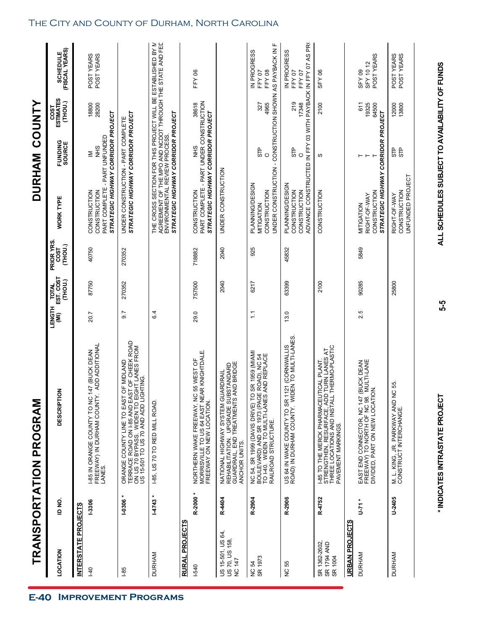| TRANSPORTATION                               |               | PROGRAM                                                                                                                                                                    |                                  |                                    |                               | <b>DURHAM</b>                                                                                                                                                                                  |                       | <b>COUNTY</b>                     |                                                                          |
|----------------------------------------------|---------------|----------------------------------------------------------------------------------------------------------------------------------------------------------------------------|----------------------------------|------------------------------------|-------------------------------|------------------------------------------------------------------------------------------------------------------------------------------------------------------------------------------------|-----------------------|-----------------------------------|--------------------------------------------------------------------------|
| LOCATION                                     | o<br>Q        | <b>DESCRIPTION</b>                                                                                                                                                         | LENGTH<br>$\widehat{\mathbf{z}}$ | EST. COST<br>(THOU.)<br><b>NOL</b> | PRIOR YRS.<br>(THOU.)<br>COST | <b>WORK TYPE</b>                                                                                                                                                                               | FUNDING<br>SOURCE     | <b>ESTIMATES</b><br>(THOU.)<br>ဒေ | SCHEDULE<br>(FISCAL YEARS)                                               |
| <b>INTERSTATE PROJECTS</b>                   |               |                                                                                                                                                                            |                                  |                                    |                               |                                                                                                                                                                                                |                       |                                   |                                                                          |
| $\frac{40}{5}$                               | -3306         | FREEWAY) IN DURHAM COUNTY. ADD ADDITIONAL<br>LANES.<br>1-85 IN ORANGE COUNTY TO NC 147 (BUCK DEAN                                                                          | 20.7                             | 87750                              | 40750                         | STRATEGIC HIGHWAY CORRIDOR PROJECT<br>PART COMPLETE - PART UNFUNDED<br>CONSTRUCTION<br>CONSTRUCTION                                                                                            | SHR<br>≧              | 18800<br>28200                    | POST YEARS<br>POST YEARS                                                 |
| $-85$                                        | $-0306*$      | TERRACE ROAD ON I-85 AND EAST OF CHEEK ROAD<br>ON US 70 BYPASS. WIDEN TO EIGHT LANES FROM<br>US 15-501 TO US 70 AND ADD LIGHTING.<br>ORANGE COUNTY LINE TO EAST OF MIDLAND | 9.7                              | 270352                             | 270352                        | STRATEGIC HIGHWAY CORRIDOR PROJECT<br>UNDER CONSTRUCTION - PART COMPLETE                                                                                                                       |                       |                                   |                                                                          |
| <b>DURHAM</b>                                | <b>14743</b>  | I-85, US 70 TO RED MILL ROAD                                                                                                                                               | 6.4                              |                                    |                               | THE CROSS SECTION FOR THIS PROJECT WILL BE ESTABLISHED BY M<br>AGREEMENT OF THE MPO AND NCDOT THROUGH THE STATE AND FED<br>ENVIRONMENTAL REVIEW PROCESS.<br>STRATEGIC HIGHWAY CORRIDOR PROJECT |                       |                                   |                                                                          |
| RURAL PROJECTS                               |               |                                                                                                                                                                            |                                  |                                    |                               |                                                                                                                                                                                                |                       |                                   |                                                                          |
| <b>1-540</b>                                 | R-2000 *      | NORTHERN WAKE FREEWAY, NC 55 WEST OF<br>MORRISVILLE TO US 64 EAST NEAR KNIGHTDALE<br>FREEWAY ON NEW LOCATION.                                                              | 29.0                             | 757500                             | 718882                        | PART COMPLETE - PART UNDER CONSTRUCTION<br>STRATEGIC HIGHWAY CORRIDOR PROJECT<br>CONSTRUCTION                                                                                                  | SHR                   | 38618                             | FFY 06                                                                   |
| US 15-501, US 64,<br>US 70, US 158<br>NC 147 | R-4404        | NATIONAL HIGHWAY SYSTEM GUARDRAIL<br>REHABILITATION. UPGRADE SUBSTANDARD<br>GUARDRAIL, END TREATMENTS AND BRIDGE<br>ANCHOR UNITS.                                          |                                  | 2040                               | 2040                          | UNDER CONSTRUCTION                                                                                                                                                                             |                       |                                   |                                                                          |
| SR 1973<br>54<br>g                           | R-2904        | (MIAMI<br>NC 54, SR 1999 (DAVIS DRIVE) TO SR 1959 (MIAM<br>BOULEVARD) AND SR 1973 (PAGE ROAD), NC 54<br>TO I-40. WIDEN TO MULTI-LANES AND REPLACE<br>RAILROAD STRUCTURE    | $\frac{1}{1}$                    | 6217                               | 925                           | UNDER CONSTRUCTION<br>PLANNING/DESIGN<br>CONSTRUCTION<br>MITIGATION                                                                                                                            | <b>STP</b><br>$\circ$ | 4965<br>327                       | - CONSTRUCTION SHOWN AS PAYBACK IN FI<br>IN PROGRESS<br>FFY 08<br>FFY 07 |
| 55<br>$\frac{0}{2}$                          | R-2906        | US 64 IN WAKE COUNTY TO SR 1121 (CORNWALLIS<br>ROAD) IN DURHAM COUNTY. WIDEN TO MULTI-LANES.                                                                               | 13.0                             | 63399                              | 45832                         | ADVANCE CONSTRUCTED IN FFY 03 WITH PAYBACK IN FFY 07 AS PRO<br>PLANNING/DESIGN<br>CONSTRUCTION<br>CONSTRUCTION                                                                                 | 유<br>57<br>$\circ$    | 219<br>17348                      | IN PROGRESS<br>FFY 07<br>FFY 07                                          |
| SR 1362-2602,<br>SR 1794 AND<br>SR 1004      | R-4752        | I-85 TO THE MERCK PHARMACEUTICAL PLANT.<br>STRENGTHEN, RESURFACE, ADD TURN LANES AT<br>THREE LOCATIONS AND INSTALL THERMO-PLASTIC<br>PAVEMENT MARKINGS                     |                                  | 2100                               |                               | CONSTRUCTION                                                                                                                                                                                   | w                     | 2100                              | SFY 06                                                                   |
| <b>URBAN PROJECTS</b>                        |               |                                                                                                                                                                            |                                  |                                    |                               |                                                                                                                                                                                                |                       |                                   |                                                                          |
| DURHAM                                       | <b>+71</b>    | 좋은<br>EAST END CONNECTOR, NC 147 (BUCK DE<br>FREEWAY) TO NORTH OF NC 98. MULTI-LA<br>DIVIDED, PART ON NEW LOCATION.                                                        | 2.5                              | 90285                              | 5849                          | STRATEGIC HIGHWAY CORRIDOR PROJECT<br>CONSTRUCTION<br>RIGHT-OF-WAY<br>MITIGATION                                                                                                               | $\vdash$<br>⊢         | 19325<br>64500<br>611             | POST YEARS<br>SFY 10 12<br>SFY09                                         |
| <b>DURHAM</b>                                | <b>U-2405</b> | M. L. KING, JR. PARKWAY AND NC 55.<br>CONSTRUCT INTERCHANGE.                                                                                                               |                                  | 25800                              |                               | UNFUNDED PROJECT<br>CONSTRUCTION<br>RIGHT-OF-WAY                                                                                                                                               | STP<br>STP            | 12000<br>13800                    | POST YEARS<br>POST YEARS                                                 |
|                                              |               |                                                                                                                                                                            |                                  |                                    |                               |                                                                                                                                                                                                |                       |                                   |                                                                          |

**\* INDICATES INTRASTATE PROJECT ALL SCHEDULES SUBJECT TO AVAILABILITY OF FUNDS 5-5**

5-5

\* INDICATES INTRASTATE PROJECT

ALL SCHEDULES SUBJECT TO AVAILABILITY OF FUNDS

### The City and County of Durham, North Carolina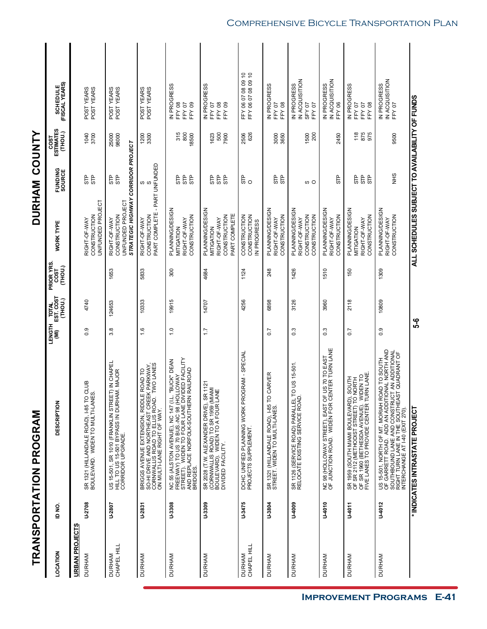|                                        |               | TRANSPORTATION PROGRAM                                                                                                                                                                                                        |                  |                                      |                               | <b>DURHAM</b>                                                                          |                       | <b>COUNTY</b>                |                                                          |
|----------------------------------------|---------------|-------------------------------------------------------------------------------------------------------------------------------------------------------------------------------------------------------------------------------|------------------|--------------------------------------|-------------------------------|----------------------------------------------------------------------------------------|-----------------------|------------------------------|----------------------------------------------------------|
| LOCATION                               | ID NO.        | <b>DESCRIPTION</b>                                                                                                                                                                                                            | LENGTH           | <b>TOTAL</b><br>EST. COST<br>(THOU.) | PRIOR YRS.<br>COST<br>(THOU.) | WORK TYPE                                                                              | FUNDING<br>SOURCE     | COST<br>ESTIMATES<br>(THOU.) | (FISCAL YEARS)<br>(FISCAL YEARS)                         |
| <b>URBAN PROJECTS</b><br><b>DURHAM</b> | U-2708        | SR 1321 (HILLANDALE ROAD), I-85 TO CLUB<br>BOULEVARD. WIDEN TO MULTI-LANES.                                                                                                                                                   | 0.9              | 4740                                 |                               | UNFUNDED PROJECT<br>CONSTRUCTION<br>RIGHT-OF-WAY                                       | STP<br>STP            | 1040<br>3700                 | POST YEARS<br>POST YEARS                                 |
| CHAPEL HILL<br><b>DURHAM</b>           | U-2807        | US 15-501, SR 1010 (FRANKLIN STREET) IN CHAPEL<br>HILL TO US 15-501 BYPASS IN DURHAM. MAJOR<br>CORRIDOR UPGRADE.                                                                                                              | $3.\overline{8}$ | 124653                               | 1653                          | STRATEGIC HIGHWAY CORRIDOR PROJECT<br>UNFUNDED PROJECT<br>CONSTRUCTION<br>RIGHT-OF-WAY | STP<br>STP            | 25000<br>98000               | POST YEARS<br>POST YEARS                                 |
| <b>DURHAM</b>                          | U-2831        | EEK PARKWAY,<br>0. TWO LANES<br>E ROAD TO<br>BRIGGS AVENUE EXTENSION, RIDDLE<br>SO-HI DRIVE AND NORTHEAST CREEK<br>CON MULTI-LANE RIGHT OF US ROAD.<br>CON MULTI-LANE RIGHT OF US ROAD.                                       | 1.6              | 10333                                | 5833                          | PART COMPLETE - PART UNFUNDED<br>CONSTRUCTION<br>RIGHT-OF-WAY                          | S<br>w                | 1200<br>3300                 | POST YEARS<br>POST YEARS                                 |
| <b>DURHAM</b>                          | <b>U-3308</b> | NC 55 (ALSTON AVENUE), NC 147 (I.L. "BUCK" DEAN<br>STREET). WIDEN TO FOUR LANE DIVIDED FACILITY<br>STREET). WIDEN TO FOUR LANE DIVIDED FACILITY<br>BRIDGES.<br>BRIDGES                                                        | $\frac{0}{1}$    | 19915                                | 300                           | PLANNING/DESIGN<br>CONSTRUCTION<br>RIGHT-OF-WAY<br>MITIGATION                          | STP<br>STP<br>STP     | 315<br>800<br>18500          | IN PROGRESS<br><b>FFY 08</b><br>FFY09<br>FFY 07          |
| <b>DURHAM</b>                          | U-3309        | R 1121<br>(CORNWALLIS ROAD) TO SR 1959 (MIAMI<br>BOULEVARD). WIDEN TO A FOUR LANE<br>SR 2028 (T.W. ALEXANDER DRIVE), S<br>DIVIDED FACILITY.                                                                                   | $\overline{1}$ : | 14707                                | 4684                          | PLANNING/DESIGN<br>PART COMPLETE<br>CONSTRUCTION<br>RIGHT-OF-WAY<br>MITIGATION         | STP<br>유<br>57<br>STP | 500<br>7900<br>1623          | IN PROGRESS<br><b>FFY08</b><br>FFY09<br>FFY 07           |
| CHAPEL HILL<br><b>DURHAM</b>           | U-3475        | OGRAM - SPECIAL<br>DCHC UNIFIED PLANNING WORK PR<br>PROJECTS SUPPLEMENT.                                                                                                                                                      |                  | 4256                                 | 1124                          | CONSTRUCTION<br>CONSTRUCTION<br>IN PROGRESS                                            | ္က ၀                  | 626<br>2506                  | FFY 06 07 08 09 10<br>FFY 06 07 08 09 10                 |
| <b>DURHAM</b>                          | U-3804        | SR 1321 (HILLANDALE ROAD), I-85 TO CARVER<br>STREET. WIDEN TO MULTI-LANES.                                                                                                                                                    | 0.7              | 6898                                 | 248                           | PLANNING/DESIGN<br>CONSTRUCTION<br>RIGHT-OF-WAY                                        | 유 없                   | 3000<br>3650                 | IN PROGRESS<br>FFY 08<br>FFY07                           |
| DURHAM                                 | <b>000FIN</b> | TO US 15-501.<br>SR 1126 (SERVICE ROAD) PARALLEL T<br>RELOCATE EXISTING SERVICE ROAD.                                                                                                                                         | $0.\overline{3}$ | 3126                                 | 1426                          | PLANNING/DESIGN<br>CONSTRUCTION<br>CONSTRUCTION<br>RIGHT-OF-WAY                        | ωO                    | 200<br>1500                  | IN ACQUISITION<br>IN PROGRESS<br><b>SFY 07</b><br>FFY 07 |
| <b>DURHAM</b>                          | <b>U-4010</b> | NC 98 (HOLLOWAY STREET), EAST OF US 70 TO EAST<br>OF JUNCTION ROAD. WIDEN FOR CENTER TURN LANE                                                                                                                                | $0.\overline{3}$ | 3960                                 | 1510                          | PLANNING/DESIGN<br><b>CONSTRUCTION</b><br>RIGHT-OF-WAY                                 | ᡛ                     | 2450                         | IN ACQUISITION<br>IN PROGRESS<br>FFY 06                  |
| <b>DURHAM</b>                          | <b>J-4011</b> | SR 1959 (SOUTH MIAMI BOULEVARD), SOUTH<br>OF SR 2112 (METHODIST STREET) TO NORTH<br>FIVE LANES TO PROVIDE CENTER TURN LANE.                                                                                                   | 0.7              | 2118                                 | 150                           | PLANNING/DESIGN<br><b>CONSTRUCTION</b><br>RIGHT-OF-WAY<br>MITIGATION                   | 모<br>19<br>STP<br>STP | 118<br>875<br>975            | IN PROGRESS<br>FFY07<br><b>FFY08</b><br>FFY07            |
| <b>DURHAM</b>                          | U-4012        | US 15-501, NORTH OF MT. MORIAH ROAD TO SOUTH<br>OF GARRETT ROAD. ADD AN ADDITIONAL NORTH AND<br>SOUTHBOUND LANE AND CONSTRUCT AN ADDITIONAL<br>SOUTHBOUND LANE AND CONSTRUCT AN ADDITIONAL<br>INTERCHANGE AT I-40 (EXIT 270). | 0.9              | 10809                                | 1309                          | PLANNING/DESIGN<br>CONSTRUCTION<br>RIGHT-OF-WAY                                        | SHR                   | 9500                         | IN ACQUISITION<br>IN PROGRESS<br>FFY07                   |
|                                        |               | * INDICATES INTRASTATE PROJECT                                                                                                                                                                                                | ე.<br>ნ-მ        |                                      |                               | ALL SCHEDULES SUBJECT TO AVAILABILITY OF FUNDS                                         |                       |                              |                                                          |

### Comprehensive Bicycle Transportation Plan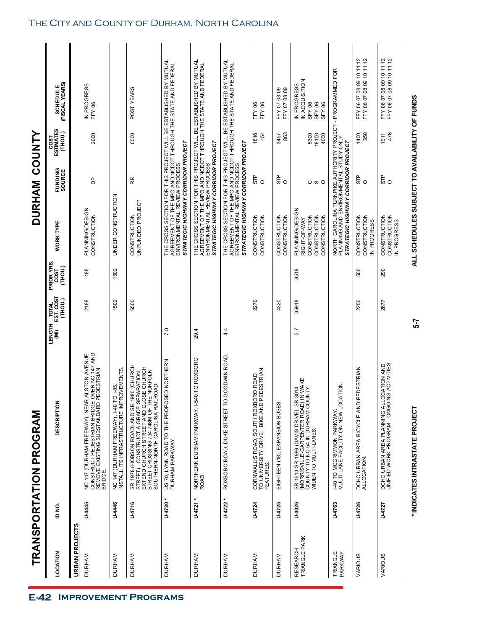|                           |                         | TRANSPORTATION PROGRAM                                                                                                                                                                                                   |                 |                                      |                              | <b>DURHAM</b>                                                                   |                   | <b>COUNTY</b>                       |                                                                                                                                                                   |  |
|---------------------------|-------------------------|--------------------------------------------------------------------------------------------------------------------------------------------------------------------------------------------------------------------------|-----------------|--------------------------------------|------------------------------|---------------------------------------------------------------------------------|-------------------|-------------------------------------|-------------------------------------------------------------------------------------------------------------------------------------------------------------------|--|
| LOCATION                  | id No                   | <b>DESCRIPTION</b>                                                                                                                                                                                                       | LENGTH          | <b>TOTAL</b><br>EST. COST<br>(THOU.) | PRIOR YRS<br>(THOU.)<br>COST | WORK TYPE                                                                       | FUNDING<br>SOURCE | <b>ESTIMATES</b><br>(ТНОИ.)<br>cost | <b>SCHEDULE</b><br>(FISCAL YEARS)                                                                                                                                 |  |
| <b>URBAN PROJECTS</b>     |                         |                                                                                                                                                                                                                          |                 |                                      |                              |                                                                                 |                   |                                     |                                                                                                                                                                   |  |
| <b>DURHAM</b>             | <b>U-445</b>            | R ALSTON AVENUE.<br>E OVER NC 147 AND<br>) PEDESTRIAN<br>NC 147 (DURHAM FREEWAY), NEAR<br>CONSTRUCT PEDESTRIAN BRIDGE<br>REMOVE EXISTING SUBSTANDARD<br>BRIDGE.                                                          |                 | 2188                                 | 188                          | PLANNING/DESIGN<br>CONSTRUCTION                                                 | Β                 | 2000                                | IN PROGRESS<br>FFY 06                                                                                                                                             |  |
| DURHAM                    | <b>U-4446</b>           | <b>ROVEMENTS</b><br>NC 147 (DURHAM FREEWAY), I-40 TO I-85.<br>INSTALL ITS INFRASTRUCTURE IMPROVEM                                                                                                                        |                 | 1502                                 | 1502                         | UNDER CONSTRUCTION                                                              |                   |                                     |                                                                                                                                                                   |  |
| <b>DURHAM</b>             | <b>U-4716</b>           | 980 (CHURCH<br>STREET), CONSTRUCT Á GRADE SEPARATION,<br>EXTEND CHURCH STREET AND CLOSE CHURCH<br>STREET CROSSING 734 748M OF THE NORFOLK<br><b>ROAD</b><br>SOUTHERN-NORTH CAROLINA RAIL<br>SR 1978 (HOBSON ROAD) AND SR |                 | 6500                                 |                              | UNFUNDED PROJECT<br>CONSTRUCTION                                                | RR                | 6500                                | POST YEARS                                                                                                                                                        |  |
| <b>DURHAM</b>             | U-4720                  | US 70, LYNN ROAD TO THE PROPOSED NORTHERN<br>DURHAM PARKWAY.                                                                                                                                                             | 7.8             |                                      |                              | STRATEGIC HIGHWAY CORRIDOR PROJECT                                              |                   |                                     | THE CROSS SECTION FOR THIS PROJECT WILL BE ESTABLISHED BY MUTUAL<br>AGREEMENT OF THE MPO AND NCDOT THROUGH THE STATE AND FEDERAL<br>ENVIRONMENTAL REVIEW PROCESS. |  |
| DURHAM                    | $\ast$<br><b>U-4721</b> | NORTHERN DURHAM PARKWAY, I-540 TO ROXBORO<br>ROAD.                                                                                                                                                                       | 29.4            |                                      |                              | STRATEGIC HIGHWAY CORRIDOR PROJECT                                              |                   |                                     | THE CROSS SECTION FOR THIS PROJECT WILL BE ESTABLISHED BY MUTUAL<br>AGREEMENT OF THE MPO AND NCDOT THROUGH THE STATE AND FEDERAL<br>ENVIRONMENTAL REVIEW PROCESS. |  |
| <b>DURHAM</b>             | $\ast$<br>U-4722        | GOODWIN ROAD<br>ROXBORO ROAD, DUKE STREET TO                                                                                                                                                                             | $4\overline{4}$ |                                      |                              | STRATEGIC HIGHWAY CORRIDOR PROJECT                                              |                   |                                     | THE CROSS SECTION FOR THIS PROJECT WILL BE ESTABLISHED BY MUTUAL<br>AGREEMENT OF THE MPO AND NCDOT THROUGH THE STATE AND FEDERAL<br>ENVIRONMENTAL REVIEW PROCESS. |  |
| <b>DURHAM</b>             | U-4724                  | PEDESTRIAN<br>CORNWALLIS ROAD, SOUTH ROXBORO ROAD<br>TO UNIVERSITY DRIVE. BIKE AND<br>FEATURES.                                                                                                                          |                 | 2270                                 |                              | CONSTRUCTION<br><b>CONSTRUCTION</b>                                             | STP<br>$\circ$    | 1816<br>454                         | FFY 06<br>FFY 06                                                                                                                                                  |  |
| <b>DURHAM</b>             | U-4725                  | EIGHTEEN (18), EXPANSION BUSES.                                                                                                                                                                                          |                 | 4320                                 |                              | CONSTRUCTION<br>CONSTRUCTION                                                    | $\frac{1}{5}$ o   | 863<br>3457                         | FFY 07 08 09<br>FFY 07 08 09                                                                                                                                      |  |
| TRIANGLE PARK<br>RESEARCH | U-4026                  | SR 1613-SR 1999 (DAVIS DRIVE), SR 3014<br>(MORRISVILLE-CARPENTER ROAD) IN WAKE<br>COUNTY TO NC 54 IN DURHAM COUNTY.<br>WIDEN TO MULTI-LANES                                                                              | 5.7             | 35918                                | 8518                         | PLANNING/DESIGN<br>CONSTRUCTION<br>CONSTRUCTION<br>CONSTRUCTION<br>RIGHT-OF-WAY | ωO<br>O           | 5300<br>18100<br>4000               | IN ACQUISITION<br>IN PROGRESS<br>SFY 06<br>SFY 06<br>SFY 06                                                                                                       |  |
| TRIANGLE<br>PARKWAY       | <b>U-4763</b>           | 1-40 TO MCCRIMMON PARKWAY.<br>MULTI-LANE FACILITY ON NEW LOCATION.                                                                                                                                                       |                 |                                      |                              | STRATEGIC HIGHWAY CORRIDOR PROJECT                                              |                   |                                     | NORTH CAROLINA TURNPIKE AUTHORITY PROJECT - PROGRAMMED FOR<br>PLANNING AND ENVIRONMENTAL STUDY ONLY                                                               |  |
| VARIOUS                   | U-4726                  | PEDESTRIAN<br>DCHC URBAN AREA BICYCLE AND<br>ALLOCATION.                                                                                                                                                                 |                 | 2250                                 | 500                          | <b>CONSTRUCTION</b><br><b>CONSTRUCTION</b><br>IN PROGRESS                       | ္ကြဲ ၀            | 350<br>1400                         | $\frac{2}{5}$<br>FFY 06 07 08 09 10 11<br>FFY 06 07 08 09 10 11                                                                                                   |  |
| VARIOUS                   | U-4727                  | OCATION AND<br>NG ACTIVITIES<br>DCHC URBAN AREA PLANNING ALL<br>UNIFIED WORK PROGRAM - ONGOI                                                                                                                             |                 | 2677                                 | 290                          | CONSTRUCTION<br>CONSTRUCTION<br>N PROGRESS                                      | ္ကြဲ ၀            | 476<br>1911                         | FFY 06 07 08 09 10 11 12<br>FFY 06 07 08 09 10 11 12                                                                                                              |  |
|                           |                         | * INDICATES INTRASTATE PROJECT                                                                                                                                                                                           | 5-7             |                                      |                              | ALL SCHEDULES SUBJECT TO AVAILABILITY OF FUNDS                                  |                   |                                     |                                                                                                                                                                   |  |

### The City and County of Durham, North Carolina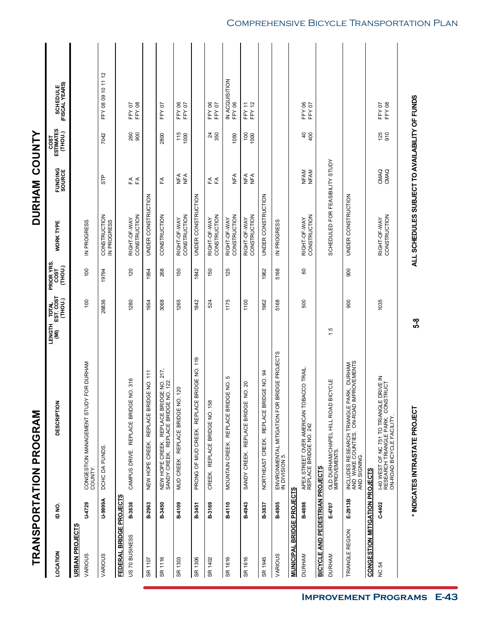|                                       |         | <b>TRANSPORTATION PROGRAM</b>                                                                                         |                                           |                               |                                                | DURHAM COUNTY          |                              |                                   |
|---------------------------------------|---------|-----------------------------------------------------------------------------------------------------------------------|-------------------------------------------|-------------------------------|------------------------------------------------|------------------------|------------------------------|-----------------------------------|
| LOCATION                              | io<br>G | DESCRIPTION                                                                                                           | I TOTAL<br>EST. COST<br>(THOU.)<br>LENGTH | PRIOR YRS.<br>COST<br>(THOU.) | <b>WORK TYPE</b>                               | FUNDING<br>SOURCE      | COST<br>ESTIMATES<br>(THOU.) | SCHEDULE<br>(FISCAL YEARS)        |
| URBAN PROJECTS                        |         |                                                                                                                       |                                           |                               |                                                |                        |                              |                                   |
| VARIOUS                               | U-4729  | FOR DURHAM<br>CONGESTION MANAGEMENT STUDY<br>COUNTY.                                                                  | $\overline{0}$                            | 100                           | IN PROGRESS                                    |                        |                              |                                   |
| VARIOUS                               | A6666-N | DCHC DA FUNDS                                                                                                         | 26836                                     | 19794                         | <b>CONSTRUCTION</b><br>IN PROGRESS             | 유<br>5                 | 7042                         | FFY 08 09 10 11 12                |
| FEDERAL BRIDGE PROJECTS               |         |                                                                                                                       |                                           |                               |                                                |                        |                              |                                   |
| US 70 BUSINESS                        | B-3638  | NO. 316<br>REPLACE BRIDGE<br>CAMPUS DRIVE.                                                                            | 1280                                      | 120                           | CONSTRUCTION<br>RIGHT-OF-WAY                   | $R \nleftrightarrow E$ | 8<br>8<br>900                | FFY <sub>08</sub><br>FFY 07       |
| SR 1107                               | B-2963  | ENO.111<br>REPLACE BRIDG<br>NEW HOPE CREEK.                                                                           | 1954                                      | 1954                          | UNDER CONSTRUCTION                             |                        |                              |                                   |
| SR 1116                               | B-3450  | NEW HOPE CREEK. REPLACE BRIDGE NO. 217,<br>SANDY CREEK. REPLACE BRIDGE NO. 122.                                       | 3068                                      | 268                           | CONSTRUCTION                                   | £                      | 2800                         | FFY 07                            |
| SR 1303                               | B-4109  | 120<br>MUD CREEK. REPLACE BRIDGE NO.                                                                                  | 1265                                      | 150                           | CONSTRUCTION<br>RIGHT-OF-WAY                   | ∩F<br>Z<br>$\Sigma$    | $\frac{115}{1000}$           | FFY06<br>FFY07                    |
| SR 1306                               | B-3451  | PRONG OF MUD CREEK. REPLACE BRIDGE NO. 119                                                                            | 1842                                      | 1842                          | UNDER CONSTRUCTION                             |                        |                              |                                   |
| SR 1402                               | B-3169  | CREEK. REPLACE BRIDGE NO. 158                                                                                         | 524                                       | 150                           | CONSTRUCTION<br>RIGHT-OF-WAY                   | E ∡<br>E               | $\frac{24}{350}$             | FFY06<br><b>FFY07</b>             |
| SR 1616                               | B-4110  | MOUNTAIN CREEK. REPLACE BRIDGE NO. 5                                                                                  | 1175                                      | 125                           | RIGHT-OF-WAY<br>CONSTRUCTION                   | NE<br>N                | 1050                         | IN ACQUISITION<br>FFY 06          |
| SR 1616                               | B-4943  | <b>JO. 20</b><br>۷<br>SANDY CREEK. REPLACE BRIDGE                                                                     | 1100                                      |                               | <b>CONSTRUCTION</b><br>RIGHT-OF-WAY            | NFA<br><b>NEA</b>      | $\overline{00}$<br>1000      | <b>FFY12</b><br>FFY <sub>11</sub> |
| SR 1945                               | B-3837  | REPLACE BRIDGE NO. 94<br>NORTHEAST CREEK.                                                                             | 1962                                      | 1962                          | UNDER CONSTRUCTION                             |                        |                              |                                   |
| VARIOUS                               | B-4905  | ENVIRONMENTAL MITIGATION FOR BRIDGE PROJECTS<br>IN DIVISION 5.                                                        | 5168                                      | 5168                          | IN PROGRESS                                    |                        |                              |                                   |
| <b>MUNICIPAL BRIDGE PROJECTS</b>      |         |                                                                                                                       |                                           |                               |                                                |                        |                              |                                   |
| <b>DURHAM</b>                         | B-4698  | APEX STREET OVER AMERICAN TOBACCO TRAIL<br>REPLACE BRIDGE NO. 242                                                     | 500                                       | 8                             | <b>CONSTRUCTION</b><br>RIGHT-OF-WAY            | NFAM<br>NFAM           | $400$                        | FFY06<br>FFY07                    |
| BICYCLE AND PEDESTRIAN PROJECTS       |         |                                                                                                                       |                                           |                               |                                                |                        |                              |                                   |
| <b>DURHAM</b>                         | E-4707  | CYCLE<br>old Durham/Chapel Hill Road Bi<br>Improvements.                                                              | 1.5                                       |                               | SCHEDULED FOR FEASIBILITY STUDY                |                        |                              |                                   |
| TRIANGLE REGION                       | E-2913B | <b>KRK, DURHAM<br/>MPROVEMENTS</b><br>INCLUDES RESEARCH TRIANGLE PAI<br>AND WAKE COUNTIES. ON-ROAD IM<br>AND SIGNING. | 900                                       | 900                           | UNDER CONSTRUCTION                             |                        |                              |                                   |
| <b>CONGESTION MITIGATION PROJECTS</b> |         |                                                                                                                       |                                           |                               |                                                |                        |                              |                                   |
| <b>NC 54</b>                          | C-4402  | JRIVE IN<br>TRUCT<br>I-40 WEST OF NC 751 TO TRIANGLE D<br>RESEARCH TRIANGLE PARK. CONST<br>ON-ROAD BICYCLE FACILITY.  | 1035                                      |                               | CONSTRUCTION<br>RIGHT-OF-WAY                   | CMAQ<br>CMAQ           | $\frac{125}{910}$            | <b>FFY 08</b><br>FFY 07           |
|                                       |         | * INDICATES INTRASTATE PROJECT                                                                                        | 5-8                                       |                               | ALL SCHEDULES SUBJECT TO AVAILABILITY OF FUNDS |                        |                              |                                   |

### Comprehensive Bicycle Transportation Plan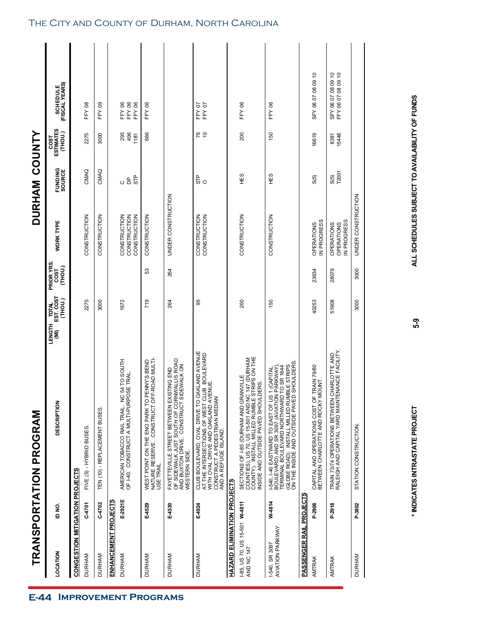|                                             |               | TRANSPORTATION PROGRAM                                                                                                                                                                                                                           |                                                     |                              |                                              | DURHAM COUNTY            |                              |                                          |  |
|---------------------------------------------|---------------|--------------------------------------------------------------------------------------------------------------------------------------------------------------------------------------------------------------------------------------------------|-----------------------------------------------------|------------------------------|----------------------------------------------|--------------------------|------------------------------|------------------------------------------|--|
| LOCATION                                    | io<br>No      | <b>DESCRIPTION</b>                                                                                                                                                                                                                               | TOTAL<br>EST. COST<br>(THOU.)<br><b>LENGTH</b><br>Ĵ | PRIOR YRS<br>(THOU.)<br>COST | <b>WORK TYPE</b>                             | FUNDING<br>SOURCE        | COST<br>ESTIMATES<br>(THOU.) | SCHEDULE<br>(FISCAL YEARS)               |  |
| CONGESTION MITIGATION PROJECTS              |               |                                                                                                                                                                                                                                                  |                                                     |                              |                                              |                          |                              |                                          |  |
| <b>DURHAM</b>                               | C-4701        | FIVE (5) - HYBRID BUSES                                                                                                                                                                                                                          | 2275                                                |                              | <b>CONSTRUCTION</b>                          | CMAQ                     | 2275                         | <b>FFY08</b>                             |  |
| <b>DURHAM</b>                               | C-4702        | TEN (10) - REPLACEMENT BUSES                                                                                                                                                                                                                     | 3000                                                |                              | CONSTRUCTION                                 | CMAQ                     | 3000                         | FFY09                                    |  |
| ENHANCEMENT PROJECTS                        |               |                                                                                                                                                                                                                                                  |                                                     |                              |                                              |                          |                              |                                          |  |
| <b>DURHAM</b>                               | E-2921E       | 54 TO SOUTH<br>OF 140. CONSTRUCT A MULTI-PURPOSE TRAL.<br>AMERICAN TOBACCO RAIL TRAIL. NC                                                                                                                                                        | 1972                                                |                              | CONSTRUCTION<br>CONSTRUCTION<br>CONSTRUCTION | STP<br>$\mathsf{b}$<br>O | 295<br>496<br>1181           | <b>FFY06</b><br>FFY 06<br>FFY 06         |  |
| <b>DURHAM</b>                               | E-4529        | WEST POINT ON THE ENO PARK TO PENNY'S BEND<br>NATURE RESERVE. CONSTRUCT OFF-ROAD MULTI-<br>USE TRAIL.                                                                                                                                            | 719                                                 | S3                           | <b>CONSTRUCTION</b>                          |                          | 666                          | FFY 06                                   |  |
| <b>DURHAM</b>                               | E-4530        | OF SIDEWALK JUST SOUTH OF CORNWALLIS ROAD<br>AND BUXTON DRIVE. CONSTRUCT SIDEWALK ON<br>FAYETTEVILLE STREET BETWEEN EXISTING END<br>WESTERN SIDE.                                                                                                | 264                                                 | 264                          | UNDER CONSTRUCTION                           |                          |                              |                                          |  |
| <b>DURHAM</b>                               | E-4924        | CLUB BOULEVARD, OVAL DRIVE TO OAKLAND AVENUE<br>AT THE INTERSECTIONS OF WEST CLUB BOULEVARD<br>WITH OVAL DRIVE AND OAKLAND AVENUE.<br>CONSTRUCT A PEDESTRIAN MEDIAN<br>AND A REFUGE ISLAND.                                                      | 95                                                  |                              | <b>CONSTRUCTION</b><br>CONSTRUCTION          | ် ဝ                      | <b>92</b>                    | FFY07<br>FFY 07                          |  |
| HAZARD ELIMINATION PROJECTS                 |               |                                                                                                                                                                                                                                                  |                                                     |                              |                                              |                          |                              |                                          |  |
| 1-85, US 70, US 15-501 W-4811<br>AND NC 147 |               | COUNTIES), US 70, US 15-501 AND NC 147 (DURHAM<br>COUNTY). INSTALL MILLED RUMBLE STRIPS ON THE<br>INSIDE AND OUTSIDE PAVED SHOULDERS.<br>SECTIONS OF I-85 (DURHAM AND GRANVILLE                                                                  | 200                                                 |                              | <b>CONSTRUCTION</b>                          | HE <sub>S</sub>          | 200                          | FFY06                                    |  |
| <b>AVIATION PARKWAY</b><br>I-540, SR 3097   | W-4814        | <b>IBLE STRIPS</b><br>SHOULDERS<br>I-540, I-40 EASTWARD TO EAST OF US 1 (CAPITAL<br>BOULEVARD) AND SR 3097 (AVIATION PARKWAY),<br>TERMINAL BOULEVARD NORTHWARD TO SR 1644<br>(GLOBE ROAD). INSTALL MILLED RUM<br>ON THE INSIDE AND OUTSIDE PAVED | 150                                                 |                              | CONSTRUCTION                                 | 9出                       | 150                          | FFY 06                                   |  |
| <b>PASSENGER RAIL PROJECTS</b>              |               |                                                                                                                                                                                                                                                  |                                                     |                              |                                              |                          |                              |                                          |  |
| AMTRAK                                      | <b>P-2908</b> | CAPITAL AND OPERATIONS COST OF TRAIN 79/80<br>BETWEEN CHARLOTTE AND ROCKY MOUNT.                                                                                                                                                                 | 40253                                               | 23634                        | IN PROGRESS<br>OPERATIONS                    | S(5)                     | 16619                        | SFY 06 07 08 09 10                       |  |
| AMTRAK                                      | P-2918        | CHARLOTTE AND<br>ENANCE FACILITY.<br>TRAIN 73/74 OPERATIONS BETWEEN<br>RALEIGH AND CAPITAL YARD MAINT                                                                                                                                            | 51908                                               | 28079                        | OPERATIONS<br>IN PROGRESS<br>OPERATIONS      | T2001<br>S(5)            | 8381<br>15448                | SFY 06 07 08 09 10<br>FFY 06 07 08 09 10 |  |
| <b>DURHAM</b>                               | P-3802        | STATION CONSTRUCTION.                                                                                                                                                                                                                            | 3000                                                | 3000                         | UNDER CONSTRUCTION                           |                          |                              |                                          |  |

### The City and County of Durham, North Carolina

**E-44 IMPROVEMENT PROGRAMS** 

ALL SCHEDULES SUBJECT TO AVAILABILITY OF FUNDS

5-9

**\* INDICATES INTRASTATE PROJECT ALL SCHEDULES SUBJECT TO AVAILABILITY OF FUNDS 5-9**\* INDICATES INTRASTATE PROJECT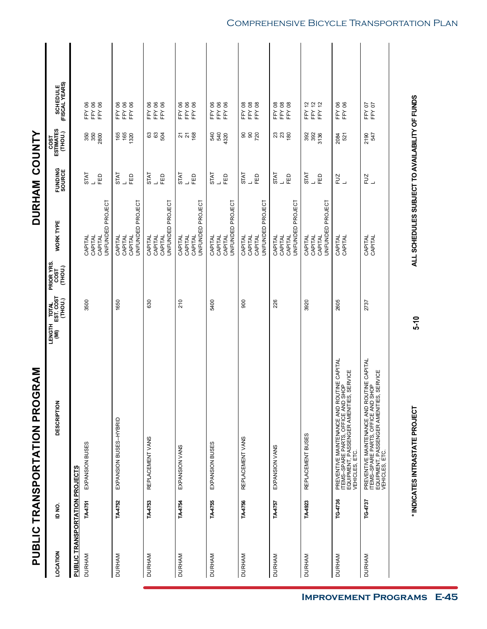|                                                 |         | PUBLIC TRANSPORTATION PROGRAM                                                                                                                                               |                                                                            |                                                   | DURHAM COUNTY                   |                              |                                        |
|-------------------------------------------------|---------|-----------------------------------------------------------------------------------------------------------------------------------------------------------------------------|----------------------------------------------------------------------------|---------------------------------------------------|---------------------------------|------------------------------|----------------------------------------|
| LOCATION                                        | ID NO.  | <b>DESCRIPTION</b>                                                                                                                                                          | PRIOR YRS.<br>COST<br>(THOU.)<br>I TOTAL<br>EST. COST<br>(THOU.)<br>LENGTH | <b>WORK TYPE</b>                                  | FUNDING<br>SOURCE               | COST<br>ESTIMATES<br>(THOU.) | (FISCAL YEARS)<br>(FISCAL YEARS)       |
| PUBLIC TRANSPORTATION PROJECTS<br><b>DURHAM</b> | TA4751  | EXPANSION BUSES                                                                                                                                                             | 3500                                                                       | CAPITAL                                           | <b>STAT</b>                     |                              | <b>FFY06</b>                           |
|                                                 |         |                                                                                                                                                                             |                                                                            | UNFUNDED PROJECT<br>CAPITAL<br>CAPITAL            | 品                               | 350<br>350<br>2800           | <b>FFY06</b><br>FFY 06                 |
| <b>DURHAM</b>                                   | TA4752  | EXPANSION BUSES-HYBRID                                                                                                                                                      | 1650                                                                       | UNFUNDED PROJECT<br>CAPITAL<br>CAPITAL<br>CAPITAL | <b>STAT</b><br>EĐ               | 165<br>165<br>1320           | FFY 06<br>FFY 06<br><b>FFY06</b>       |
| <b>DURHAM</b>                                   | TA4753  | REPLACEMENT VANS                                                                                                                                                            | 630                                                                        | UNFUNDED PROJECT<br>CAPITAL<br>CAPITAL<br>CAPITAL | <b>STAT</b><br>EĐ               | <b>882</b>                   | FFY 06<br><b>FFY06</b><br>FFY 06       |
| <b>DURHAM</b>                                   | TA4754  | EXPANSION VANS                                                                                                                                                              | 210                                                                        | JNFUNDED PROJECT<br>CAPITAL<br>CAPITAL<br>CAPITAL | <b>STAT</b><br>品                | 52 mg                        | <b>FFY06</b><br><b>FFY06</b><br>FFY 06 |
| <b>DURHAM</b>                                   | TA4755  | EXPANSION BUSES                                                                                                                                                             | 5400                                                                       | UNFUNDED PROJECT<br>CAPITAL<br>CAPITAL<br>CAPITAL | <b>TATS</b><br>EED<br>┙         | 8<br>8<br>8<br>4320          | <b>FFY06</b><br><b>FFY06</b><br>FFY 06 |
| <b>DURHAM</b>                                   | TA4756  | REPLACEMENT VANS                                                                                                                                                            | 900                                                                        | UNFUNDED PROJECT<br>CAPITAL<br>CAPITAL<br>CAPITAL | <b>STAT</b><br>FED              | ននន្ថ                        | FFY08<br>FFY08<br>FFY08                |
| <b>DURHAM</b>                                   | TA4757  | EXPANSION VANS                                                                                                                                                              | 226                                                                        | UNFUNDED PROJECT<br>CAPITAL<br>CAPITAL<br>CAPITAL | <b>STAT</b><br>品                | 380                          | FFY08<br><b>FFY08</b><br>FFY08         |
| <b>DURHAM</b>                                   | TA4923  | REPLACEMENT BUSES                                                                                                                                                           | 3920                                                                       | UNFUNDED PROJECT<br>CAPITAL<br>CAPITAL<br>CAPITAL | <b>STAT</b><br>EED              | 392<br>392<br>3136           | FFY 12<br>FFY 12<br>FFY 12             |
| <b>DURHAM</b>                                   | TG-4736 | PREVENTIVE MAINTENANCE AND ROUTINE CAPITAL<br>ITEMS--SPARE PARTS, OFFICE AND SHOP<br>EQUIPMENT, PASSENGER AMENITIES, SERVICE<br>VEHICLES, ETC.                              | 2605                                                                       | CAPITAL<br>CAPITAL                                | FUZ<br>$\overline{\phantom{0}}$ | 2084<br>521                  | FFY 06<br>FFY 06                       |
| <b>DURHAM</b>                                   | TG-4737 | PREVENTIVE MAINTENANCE AND ROUTINE CAPITAL<br>ITEMS--SPARE PARTS, OFFICE AND SHOP<br>VEHICLES, ET PASSENGER AMENITIES, SERVICE<br>VEHICLES, ET PASSENGER AMENITIES, SERVICE | 2737                                                                       | CAPITAL<br>CAPITAL                                | FUZ<br>$\overline{\phantom{0}}$ | 2190<br>547                  | FFY 07<br>FFY 07                       |
|                                                 |         |                                                                                                                                                                             |                                                                            |                                                   |                                 |                              |                                        |

### Comprehensive Bicycle Transportation Plan

**\* INDICATES INTRASTATE PROJECT ALL SCHEDULES SUBJECT TO AVAILABILITY OF FUNDS 5-10**

 $5 - 10$ 

\* INDICATES INTRASTATE PROJECT

ALL SCHEDULES SUBJECT TO AVAILABILITY OF FUNDS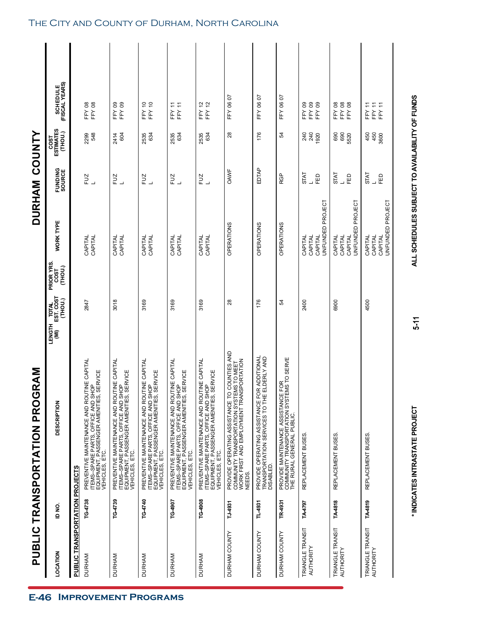|                                       |         | <b>PUBLIC TRANSPORTATION PROGRAM</b>                                                                                                           |                                                     |                               |                                                   | DURHAM COUNTY                   |                                     |                                                  |
|---------------------------------------|---------|------------------------------------------------------------------------------------------------------------------------------------------------|-----------------------------------------------------|-------------------------------|---------------------------------------------------|---------------------------------|-------------------------------------|--------------------------------------------------|
| LOCATION                              | ID NO.  | <b>DESCRIPTION</b>                                                                                                                             | EST. COST<br>(THOU.)<br><b>POLY</b><br>LENGTH<br>ίΜ | PRIOR YRS.<br>(THOU.)<br>COST | <b>WORK TYPE</b>                                  | FUNDING<br>SOURCE               | <b>ESTIMATES</b><br>(THOU.)<br>COST | (FISCAL YEARS)<br>(FISCAL YEARS)                 |
| <b>PUBLIC TRANSPORTATION PROJECTS</b> |         |                                                                                                                                                |                                                     |                               |                                                   |                                 |                                     |                                                  |
| <b>DURHAM</b>                         | TG-4738 | PREVENTIVE MAINTENANCE AND ROUTINE CAPITAL<br>ITEMS--SPARE PARTS, OFFICE AND SHOP<br>EQUIPMENT, PASSENGER AMENITIES, SERVICE<br>VEHICLES, ETC. | 2847                                                |                               | CAPITAL<br>CAPITAL                                | FUZ                             | 548<br>2299                         | FFY 08<br>FFY 08                                 |
| <b>DURHAM</b>                         | TG-4739 | PREVENTIVE MAINTENANCE AND ROUTINE CAPITAL<br>ITEMS--SPARE PARTS, OFFICE AND SHOP<br>EQUIPMENT, PASSENGER AMENITIES, SERVICE<br>VEHICLES, ETC. | 3018                                                |                               | CAPITAL<br>CAPITAL                                | FUZ<br>$\overline{\phantom{0}}$ | 604<br>2414                         | FFY 09<br>FFY09                                  |
| <b>DURHAM</b>                         | TG-4740 | PREVENTIVE MAINTENANCE AND ROUTINE CAPITAL<br>ITEMS--SPARE PARTS, OFFICE AND SHOP<br>EQUIPMENT, PASSENGER AMENITIES, SERVICE<br>VEHICLES, ETC. | 3169                                                |                               | CAPITAL<br>CAPITAL                                | FUZ<br>$\overline{\phantom{0}}$ | 634<br>2535                         | FFY 10<br>FFY 10                                 |
| <b>DURHAM</b>                         | TG-4907 | PREVENTIVE MAINTENANCE AND ROUTINE CAPITAL<br>ITEMS--SPARE PARTS, OFFICE AND SHOP<br>EQUIPMENT, PASSENGER AMENITIES, SERVICE<br>VEHICLES, ETC. | 3169                                                |                               | CAPITAL<br>CAPITAL                                | FUZ<br>L                        | 634<br>2535                         | FFY11<br>FFY <sub>11</sub>                       |
| <b>DURHAM</b>                         | TG-4908 | PREVENTIVE MAINTENANCE AND ROUTINE CAPITAL<br>ITEMS--SPARE PARTS, OFFICE AND SHOP<br>EQUIPMENT, PASSENGER AMENITIES, SERVICE<br>VEHICLES, ETC. | 3169                                                |                               | CAPITAL<br>CAPITAL                                | FUZ<br>L                        | 2535<br>634                         | FFY 12<br>FFY 12                                 |
| DURHAM COUNTY                         | TJ-4931 | PROVIDE OPERATING ASSISTANCE TO COUNTIES AND<br>COMMUNITY TRANSPORTATION SYSTEMS TO MEET<br>WORK FIRST AND EMPLOYMENT TRANSPORTATION<br>NEEDS. | 28                                                  |                               | OPERATIONS                                        | OAWF                            | 28                                  | FFY 06 07                                        |
| DURHAM COUNTY                         | TL-4931 | PROVIDE OPERATING ASSISTANCE FOR ADDITIONAL<br>TRANSPORTATION SERVICES TO THE ELDERLY AND<br>DISABLED.                                         | 176                                                 |                               | OPERATIONS                                        | EDTAP                           | 176                                 | FFY 06 07                                        |
| DURHAM COUNTY                         | TR-4931 | PROVIDE MAINTENANCE ASSISTANCE FOR<br>COMMUNITY TRANSPORTATION SYSTEMS TO SERVE<br>THE RURAL GENERAL PUBLIC.                                   | 54                                                  |                               | OPERATIONS                                        | RGP                             | R,                                  | FFY 06 07                                        |
| TRIANGLE TRANSIT<br>AUTHORITY         | TA4797  | REPLACEMENT BUSES                                                                                                                              | 2400                                                |                               | UNFUNDED PROJECT<br>CAPITAL<br>CAPITAL<br>CAPITAL | <b>STAT</b><br>品                | 240<br>240<br>1920                  | FFY09<br>FFY09<br>FFY 09                         |
| TRIANGLE TRANSIT<br>AUTHORITY         | TA-4818 | REPLACEMENT BUSES                                                                                                                              | 6900                                                |                               | UNFUNDED PROJECT<br>CAPITAL<br>CAPITAL<br>CAPITAL | <b>STAT</b><br>品                | 690<br>690<br>5520                  | FFY08<br>FFY 08<br>FFY08                         |
| TRIANGLE TRANSIT<br>AUTHORITY         | TA4819  | REPLACEMENT BUSES.                                                                                                                             | 4500                                                |                               | UNFUNDED PROJECT<br>CAPITAL<br>CAPITAL<br>CAPITAL | <b>STAT</b><br>品                | 450<br>450<br>3600                  | FFY 11<br>FFY <sub>11</sub><br>FFY <sub>11</sub> |

### The City and County of Durham, North Carolina

**E-46 IMPROVEMENT PROGRAMS** 

 $5-11$ 

## \* INDICATES INTRASTATE PROJECT

ALL SCHEDULES SUBJECT TO AVAILABILITY OF FUNDS **\* INDICATES INTRASTATE PROJECT ALL SCHEDULES SUBJECT TO AVAILABILITY OF FUNDS 5-11**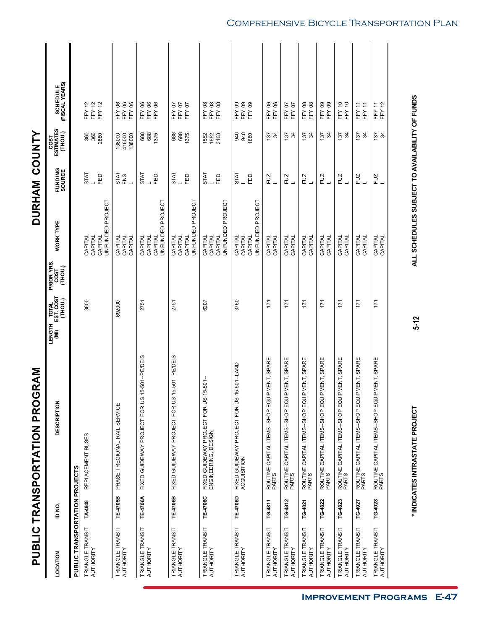|                                       |          | <b>PUBLIC TRANSPORTATION PROGRAM</b>                             |                                         |                               |                             | DURHAM COUNTY                   |                              |                                  |
|---------------------------------------|----------|------------------------------------------------------------------|-----------------------------------------|-------------------------------|-----------------------------|---------------------------------|------------------------------|----------------------------------|
| LOCATION                              | ID NO.   | DESCRIPTION                                                      | TOTAL<br>EST. COST<br>(тнои.)<br>LENGTH | PRIOR YRS.<br>COST<br>(THOU.) | <b>WORK TYPE</b>            | FUNDING<br>SOURCE               | COST<br>ESTIMATES<br>(THOU.) | (FISCAL YEARS)<br>(FISCAL YEARS) |
| <b>PUBLIC TRANSPORTATION PROJECTS</b> |          |                                                                  |                                         |                               |                             |                                 |                              |                                  |
| TRIANGLE TRANSIT                      | TA4945   | REPLACEMENT BUSES                                                | 3600                                    |                               | CAPITAL                     | <b>STAT</b>                     | 360                          | FFY 12                           |
| AUTHORITY                             |          |                                                                  |                                         |                               | CAPITAL                     |                                 | 360                          | FFY 12<br>FFY 12                 |
|                                       |          |                                                                  |                                         |                               | UNFUNDED PROJECT<br>CAPITAL | 品                               | 2880                         |                                  |
| TRIANGLE TRANSIT                      | TE-4705B | PHASE I REGIONAL RAIL SERVICE                                    | 692000                                  |                               | CAPITAL                     | <b>STAT</b>                     | 138000                       | 8<br>FFY                         |
| AUTHORITY                             |          |                                                                  |                                         |                               | CAPITAL<br>CAPITAL          | FNS                             | 416000<br>138000             | <b>FFY06</b><br>FFY 06           |
| TRIANGLE TRANSIT                      | TE-4706A | 15-501-PE/DEIS<br>FIXED GUIDEWAY PROJECT FOR US                  | 2751                                    |                               | CAPITAL                     | <b>STAT</b>                     | 688<br>688                   | FFY06<br>FFY06                   |
| AUTHORITY                             |          |                                                                  |                                         |                               | CAPITAL                     |                                 |                              |                                  |
|                                       |          |                                                                  |                                         |                               | UNFUNDED PROJECT<br>CAPITAL | 品                               | 1375                         | FFY 06                           |
| TRIANGLE TRANSIT                      | TE-4706B | 15-501-PE/DEIS<br>FIXED GUIDEWAY PROJECT FOR US                  | 2751                                    |                               | CAPITAL                     | <b>LKIS</b>                     | 688                          | FFY 07                           |
| AUTHORITY                             |          |                                                                  |                                         |                               | CAPITAL                     |                                 | 688                          | FFY07                            |
|                                       |          |                                                                  |                                         |                               | UNFUNDED PROJECT<br>CAPITAL | EED                             | 1375                         | FFY07                            |
| TRIANGLE TRANSIT                      | TE-4706C | $15 - 501 -$                                                     | 6207                                    |                               | CAPITAL                     | <b>STAT</b>                     | 1552                         | FFY 08                           |
| AUTHORITY                             |          | FIXED GUIDEWAY PROJECT FOR US<br>ENGINEERING, DESIGN             |                                         |                               | CAPITAL                     |                                 | 1552                         |                                  |
|                                       |          |                                                                  |                                         |                               | CAPITAL                     | 日日                              | 3103                         | FFY 08<br>FFY 08                 |
|                                       |          |                                                                  |                                         |                               | UNFUNDED PROJECT            |                                 |                              |                                  |
| TRIANGLE TRANSIT                      | TE-4706D | 15-501-LAND<br>FIXED GUIDEWAY PROJECT FOR US<br>ACQUISITION      | 3760                                    |                               | CAPITAL                     | <b>STAT</b>                     | 940                          | FFY09                            |
| AUTHORITY                             |          |                                                                  |                                         |                               | CAPITAL                     |                                 | 940                          | FFY09                            |
|                                       |          |                                                                  |                                         |                               | UNFUNDED PROJECT<br>CAPITAL | 品                               | 1880                         | FFY09                            |
| TRIANGLE TRANSIT                      | TG-4811  | PMENT, SPARE                                                     | $\overline{171}$                        |                               | CAPITAL                     | FUZ                             |                              | <b>FFY06</b>                     |
| AUTHORITY                             |          | ROUTINE CAPITAL ITEMS--SHOP EQUI<br>PARTS                        |                                         |                               | CAPITAL                     |                                 | $\frac{15}{25}$              | <b>FFY06</b>                     |
| <b>TRIANGLE TRANSIT</b><br>AUTHORITY  | TG-4812  | <b>IPMENT, SPARE</b><br>ROUTINE CAPITAL ITEMS--SHOP EQU<br>PARTS | 171                                     |                               | CAPITAL<br>CAPITAL          | FUZ                             | k ğ                          | FFY07<br>FFY07                   |
|                                       |          |                                                                  |                                         |                               |                             |                                 |                              |                                  |
| TRIANGLE TRANSIT<br>AUTHORITY         | TG-4821  | ROUTINE CAPITAL ITEMS--SHOP EQUIPMENT, SPARE<br>PARTS            | 171                                     |                               | CAPITAL<br>CAPITAL          | FUZ<br>$\overline{\phantom{0}}$ | $rac{15}{25}$                | <b>FFY08</b><br>FFY 08           |
| TRIANGLE TRANSIT<br>AUTHORITY         | TG-4822  | PMENT, SPARE<br>ROUTINE CAPITAL ITEMS--SHOP EQUI<br>PARTS        | 171                                     |                               | CAPITAL<br>CAPITAL          | FUZ<br>┙                        | ਲੇ<br>ਹੋ                     | FFY09<br>FFY09                   |
| TRIANGLE TRANSIT<br>AUTHORITY         | TG-4823  | <b>PMENT, SPARE</b><br>ROUTINE CAPITAL ITEMS--SHOP EQUI<br>PARTS | 171                                     |                               | CAPITAL<br>CAPITAL          | EN<br>L                         | $\frac{15}{24}$              | FFY 10<br>FFY 10                 |
| TRIANGLE TRANSIT<br>AUTHORITY         | TG-4927  | <b>PMENT, SPARE</b><br>ROUTINE CAPITAL ITEMS--SHOP EQUI<br>PARTS | 171                                     |                               | CAPITAL<br>CAPITAL          | FUZ                             | $\frac{15}{24}$              | FFY11<br>FFY <sub>11</sub>       |
|                                       |          |                                                                  |                                         |                               |                             |                                 |                              |                                  |
| TRIANGLE TRANSIT<br>AUTHORITY         | TG-4928  | IPMENT, SPARE<br>ROUTINE CAPITAL ITEMS--SHOP EQU<br>PARTS        | 171                                     |                               | CAPITAL<br>CAPITAL          | EN<br>L                         | $rac{15}{34}$                | FFY 12<br>FFY 11                 |
|                                       |          |                                                                  |                                         |                               |                             |                                 |                              |                                  |

### Comprehensive Bicycle Transportation Plan

**Improvement Programs E-47**

ALL SCHEDULES SUBJECT TO AVAILABILITY OF FUNDS

 $5 - 12$ 

**\* INDICATES INTRASTATE PROJECT ALL SCHEDULES SUBJECT TO AVAILABILITY OF FUNDS 5-12**\* INDICATES INTRASTATE PROJECT